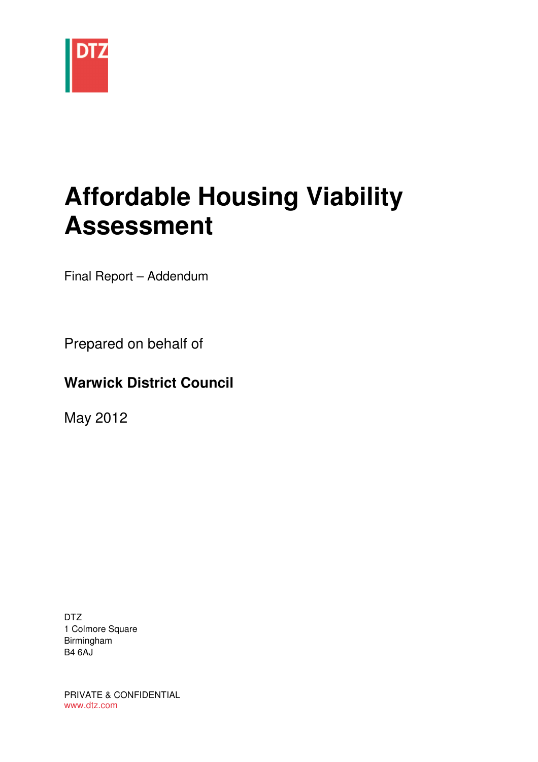

# **Affordable Housing Viability Assessment**

Final Report – Addendum

Prepared on behalf of

## **Warwick District Council**

May 2012

DTZ 1 Colmore Square Birmingham B4 6AJ

PRIVATE & CONFIDENTIAL www.dtz.com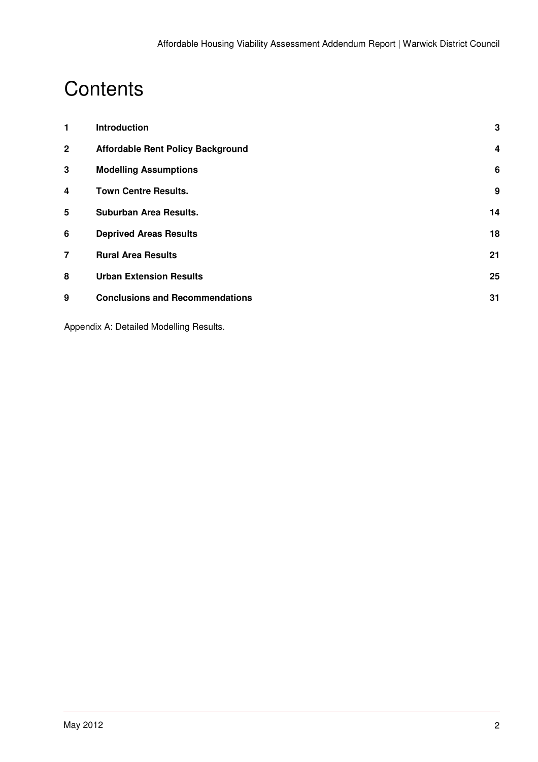# **Contents**

| 1              | <b>Introduction</b>                      | 3  |
|----------------|------------------------------------------|----|
| $\mathbf{2}$   | <b>Affordable Rent Policy Background</b> | 4  |
| 3              | <b>Modelling Assumptions</b>             | 6  |
| 4              | <b>Town Centre Results.</b>              | 9  |
| 5              | Suburban Area Results.                   | 14 |
| 6              | <b>Deprived Areas Results</b>            | 18 |
| $\overline{7}$ | <b>Rural Area Results</b>                | 21 |
| 8              | <b>Urban Extension Results</b>           | 25 |
| 9              | <b>Conclusions and Recommendations</b>   | 31 |
|                |                                          |    |

Appendix A: Detailed Modelling Results.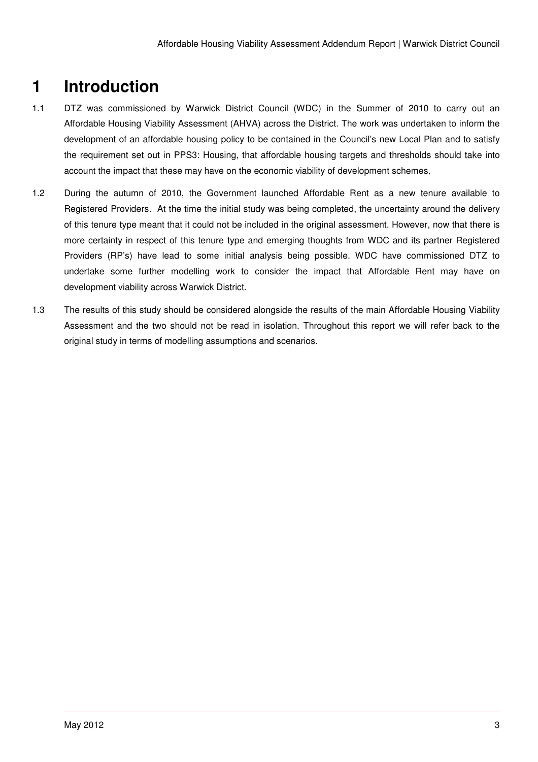# **1 Introduction**

- 1.1 DTZ was commissioned by Warwick District Council (WDC) in the Summer of 2010 to carry out an Affordable Housing Viability Assessment (AHVA) across the District. The work was undertaken to inform the development of an affordable housing policy to be contained in the Council's new Local Plan and to satisfy the requirement set out in PPS3: Housing, that affordable housing targets and thresholds should take into account the impact that these may have on the economic viability of development schemes.
- 1.2 During the autumn of 2010, the Government launched Affordable Rent as a new tenure available to Registered Providers. At the time the initial study was being completed, the uncertainty around the delivery of this tenure type meant that it could not be included in the original assessment. However, now that there is more certainty in respect of this tenure type and emerging thoughts from WDC and its partner Registered Providers (RP's) have lead to some initial analysis being possible. WDC have commissioned DTZ to undertake some further modelling work to consider the impact that Affordable Rent may have on development viability across Warwick District.
- 1.3 The results of this study should be considered alongside the results of the main Affordable Housing Viability Assessment and the two should not be read in isolation. Throughout this report we will refer back to the original study in terms of modelling assumptions and scenarios.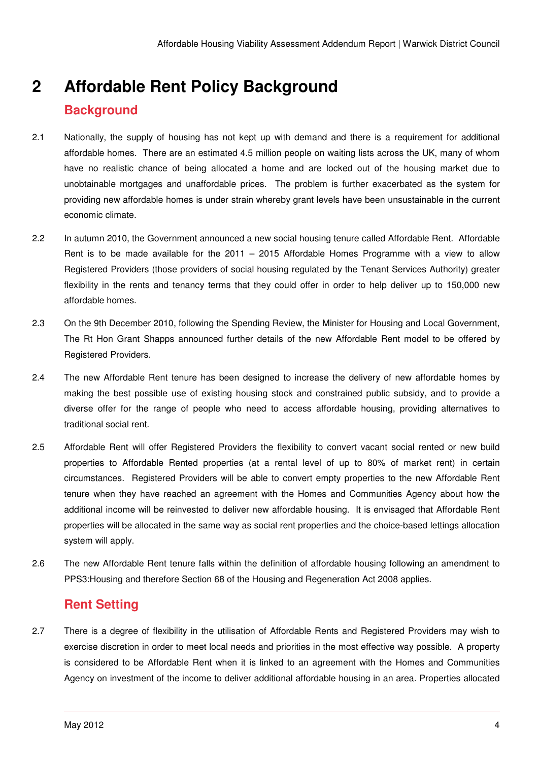# **2 Affordable Rent Policy Background Background**

- 2.1 Nationally, the supply of housing has not kept up with demand and there is a requirement for additional affordable homes. There are an estimated 4.5 million people on waiting lists across the UK, many of whom have no realistic chance of being allocated a home and are locked out of the housing market due to unobtainable mortgages and unaffordable prices. The problem is further exacerbated as the system for providing new affordable homes is under strain whereby grant levels have been unsustainable in the current economic climate.
- 2.2 In autumn 2010, the Government announced a new social housing tenure called Affordable Rent. Affordable Rent is to be made available for the 2011 – 2015 Affordable Homes Programme with a view to allow Registered Providers (those providers of social housing regulated by the Tenant Services Authority) greater flexibility in the rents and tenancy terms that they could offer in order to help deliver up to 150,000 new affordable homes.
- 2.3 On the 9th December 2010, following the Spending Review, the Minister for Housing and Local Government, The Rt Hon Grant Shapps announced further details of the new Affordable Rent model to be offered by Registered Providers.
- 2.4 The new Affordable Rent tenure has been designed to increase the delivery of new affordable homes by making the best possible use of existing housing stock and constrained public subsidy, and to provide a diverse offer for the range of people who need to access affordable housing, providing alternatives to traditional social rent.
- 2.5 Affordable Rent will offer Registered Providers the flexibility to convert vacant social rented or new build properties to Affordable Rented properties (at a rental level of up to 80% of market rent) in certain circumstances. Registered Providers will be able to convert empty properties to the new Affordable Rent tenure when they have reached an agreement with the Homes and Communities Agency about how the additional income will be reinvested to deliver new affordable housing. It is envisaged that Affordable Rent properties will be allocated in the same way as social rent properties and the choice-based lettings allocation system will apply.
- 2.6 The new Affordable Rent tenure falls within the definition of affordable housing following an amendment to PPS3:Housing and therefore Section 68 of the Housing and Regeneration Act 2008 applies.

## **Rent Setting**

2.7 There is a degree of flexibility in the utilisation of Affordable Rents and Registered Providers may wish to exercise discretion in order to meet local needs and priorities in the most effective way possible. A property is considered to be Affordable Rent when it is linked to an agreement with the Homes and Communities Agency on investment of the income to deliver additional affordable housing in an area. Properties allocated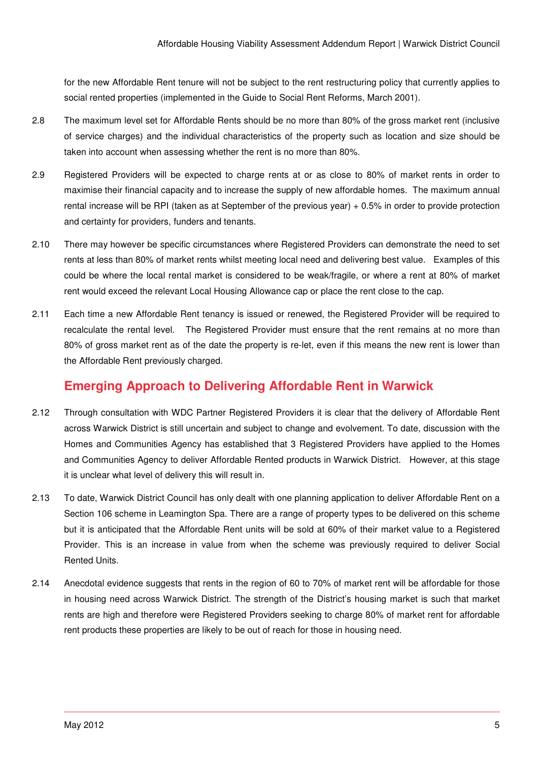for the new Affordable Rent tenure will not be subject to the rent restructuring policy that currently applies to social rented properties (implemented in the Guide to Social Rent Reforms, March 2001).

- 2.8 The maximum level set for Affordable Rents should be no more than 80% of the gross market rent (inclusive of service charges) and the individual characteristics of the property such as location and size should be taken into account when assessing whether the rent is no more than 80%.
- 2.9 Registered Providers will be expected to charge rents at or as close to 80% of market rents in order to maximise their financial capacity and to increase the supply of new affordable homes. The maximum annual rental increase will be RPI (taken as at September of the previous year) + 0.5% in order to provide protection and certainty for providers, funders and tenants.
- 2.10 There may however be specific circumstances where Registered Providers can demonstrate the need to set rents at less than 80% of market rents whilst meeting local need and delivering best value. Examples of this could be where the local rental market is considered to be weak/fragile, or where a rent at 80% of market rent would exceed the relevant Local Housing Allowance cap or place the rent close to the cap.
- 2.11 Each time a new Affordable Rent tenancy is issued or renewed, the Registered Provider will be required to recalculate the rental level. The Registered Provider must ensure that the rent remains at no more than 80% of gross market rent as of the date the property is re-let, even if this means the new rent is lower than the Affordable Rent previously charged.

## **Emerging Approach to Delivering Affordable Rent in Warwick**

- 2.12 Through consultation with WDC Partner Registered Providers it is clear that the delivery of Affordable Rent across Warwick District is still uncertain and subject to change and evolvement. To date, discussion with the Homes and Communities Agency has established that 3 Registered Providers have applied to the Homes and Communities Agency to deliver Affordable Rented products in Warwick District. However, at this stage it is unclear what level of delivery this will result in.
- 2.13 To date, Warwick District Council has only dealt with one planning application to deliver Affordable Rent on a Section 106 scheme in Leamington Spa. There are a range of property types to be delivered on this scheme but it is anticipated that the Affordable Rent units will be sold at 60% of their market value to a Registered Provider. This is an increase in value from when the scheme was previously required to deliver Social Rented Units.
- 2.14 Anecdotal evidence suggests that rents in the region of 60 to 70% of market rent will be affordable for those in housing need across Warwick District. The strength of the District's housing market is such that market rents are high and therefore were Registered Providers seeking to charge 80% of market rent for affordable rent products these properties are likely to be out of reach for those in housing need.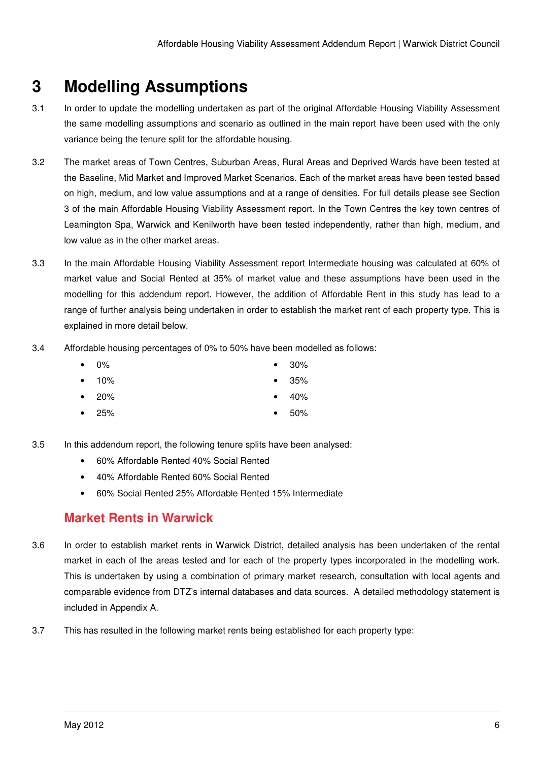# **3 Modelling Assumptions**

- 3.1 In order to update the modelling undertaken as part of the original Affordable Housing Viability Assessment the same modelling assumptions and scenario as outlined in the main report have been used with the only variance being the tenure split for the affordable housing.
- 3.2 The market areas of Town Centres, Suburban Areas, Rural Areas and Deprived Wards have been tested at the Baseline, Mid Market and Improved Market Scenarios. Each of the market areas have been tested based on high, medium, and low value assumptions and at a range of densities. For full details please see Section 3 of the main Affordable Housing Viability Assessment report. In the Town Centres the key town centres of Leamington Spa, Warwick and Kenilworth have been tested independently, rather than high, medium, and low value as in the other market areas.
- 3.3 In the main Affordable Housing Viability Assessment report Intermediate housing was calculated at 60% of market value and Social Rented at 35% of market value and these assumptions have been used in the modelling for this addendum report. However, the addition of Affordable Rent in this study has lead to a range of further analysis being undertaken in order to establish the market rent of each property type. This is explained in more detail below.
- 3.4 Affordable housing percentages of 0% to 50% have been modelled as follows:
	- 0% 30%
	- 10% 35%
	- 20% 40%
	- 25% 50%
- 3.5 In this addendum report, the following tenure splits have been analysed:
	- 60% Affordable Rented 40% Social Rented
	- 40% Affordable Rented 60% Social Rented
	- 60% Social Rented 25% Affordable Rented 15% Intermediate

## **Market Rents in Warwick**

- 3.6 In order to establish market rents in Warwick District, detailed analysis has been undertaken of the rental market in each of the areas tested and for each of the property types incorporated in the modelling work. This is undertaken by using a combination of primary market research, consultation with local agents and comparable evidence from DTZ's internal databases and data sources. A detailed methodology statement is included in Appendix A.
- 3.7 This has resulted in the following market rents being established for each property type: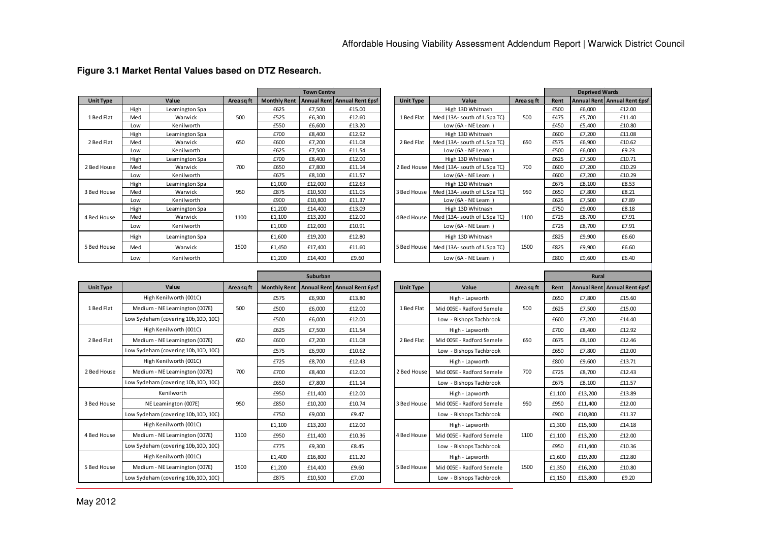|                  |      |                |            |        | <b>Town Centre</b> |                                               |                  |                              |            |      | <b>Deprived Wards</b> |                              |
|------------------|------|----------------|------------|--------|--------------------|-----------------------------------------------|------------------|------------------------------|------------|------|-----------------------|------------------------------|
| <b>Unit Type</b> |      | Value          | Area sq ft |        |                    | Monthly Rent   Annual Rent   Annual Rent Epsf | <b>Unit Type</b> | Value                        | Area sq ft | Rent |                       | Annual Rent Annual Rent Epsf |
|                  | High | Leamington Spa |            | £625   | £7,500             | £15.00                                        |                  | High 13D Whitnash            |            | £500 | £6,000                | £12.00                       |
| 1 Bed Flat       | Med  | Warwick        | 500        | £525   | £6,300             | £12.60                                        | 1 Bed Flat       | Med (13A- south of L.Spa TC) | 500        | £475 | £5,700                | £11.40                       |
|                  | Low  | Kenilworth     |            | £550   | £6,600             | £13.20                                        |                  | Low $(6A - NELearn)$         |            | £450 | £5,400                | £10.80                       |
|                  | High | Leamington Spa |            | £700   | £8,400             | £12.92                                        |                  | High 13D Whitnash            |            | £600 | £7,200                | £11.08                       |
| 2 Bed Flat       | Med  | Warwick        | 650        | £600   | £7,200             | £11.08                                        | 2 Bed Flat       | Med (13A- south of L.Spa TC) | 650        | £575 | £6,900                | £10.62                       |
|                  | Low  | Kenilworth     |            | £625   | £7,500             | £11.54                                        |                  | Low ( $6A - NE$ Leam)        |            | £500 | £6,000                | £9.23                        |
|                  | High | Leamington Spa |            | £700   | £8,400             | £12.00                                        |                  | High 13D Whitnash            |            | £625 | £7,500                | £10.71                       |
| 2 Bed House      | Med  | Warwick        | 700        | £650   | £7,800             | £11.14                                        | 2 Bed House      | Med (13A- south of L.Spa TC) | 700        | £600 | £7,200                | £10.29                       |
|                  | Low  | Kenilworth     |            | £675   | £8,100             | £11.57                                        |                  | Low $(6A - NELearn)$         |            | £600 | £7,200                | £10.29                       |
|                  | High | Leamington Spa |            | £1,000 | £12,000            | £12.63                                        |                  | High 13D Whitnash            |            | £675 | £8,100                | £8.53                        |
| 3 Bed House      | Med  | Warwick        | 950        | £875   | £10,500            | £11.05                                        | 3 Bed House      | Med (13A- south of L.Spa TC) | 950        | £650 | £7,800                | £8.21                        |
|                  | Low  | Kenilworth     |            | £900   | £10,800            | £11.37                                        |                  | Low $(6A - NELearn)$         |            | £625 | £7,500                | £7.89                        |
|                  | High | Leamington Spa |            | £1,200 | £14,400            | £13.09                                        |                  | High 13D Whitnash            |            | £750 | £9,000                | £8.18                        |
| 4 Bed House      | Med  | Warwick        | 1100       | £1,100 | £13,200            | £12.00                                        | 4 Bed House      | Med (13A-south of L.Spa TC)  | 1100       | £725 | £8,700                | £7.91                        |
|                  | Low  | Kenilworth     |            | £1,000 | £12,000            | £10.91                                        |                  | Low (6A - NE Leam)           |            | £725 | £8,700                | £7.91                        |
|                  | High | Leamington Spa |            | £1,600 | £19,200            | £12.80                                        |                  | High 13D Whitnash            |            | £825 | £9,900                | £6.60                        |
| 5 Bed House      | Med  | Warwick        | 1500       | £1,450 | £17,400            | £11.60                                        | 5 Bed House      | Med (13A- south of L.Spa TC) | 1500       | £825 | £9,900                | £6.60                        |
|                  | Low  | Kenilworth     |            | £1,200 | £14,400            | £9.60                                         |                  | Low (6A - NE Leam)           |            | £800 | £9,600                | £6.40                        |

#### **Figure 3.1 Market Rental Values based on DTZ Research.**

|       |                     | <b>Town Centre</b> |                              |  |                    |                              |            |        | <b>Deprived Wards</b> |                              |
|-------|---------------------|--------------------|------------------------------|--|--------------------|------------------------------|------------|--------|-----------------------|------------------------------|
| sq ft | <b>Monthly Rent</b> |                    | Annual Rent Annual Rent Epsf |  | <b>Unit Type</b>   | Value                        | Area sq ft | Rent   |                       | Annual Rent Annual Rent Epsf |
|       | £625                | £7,500             | £15.00                       |  |                    | High 13D Whitnash            |            | £500   | £6,000                | £12.00                       |
|       | £525                | £6,300             | £12.60                       |  | 1 Bed Flat         | Med (13A-south of L.Spa TC)  | 500        | £475   | £5,700                | £11.40                       |
|       | £550                | £6,600             | £13.20                       |  |                    | Low (6A - NE Leam)           |            | £450   | £5,400                | £10.80                       |
|       | £700                | £8,400             | £12.92                       |  |                    | High 13D Whitnash            |            | £600   | £7,200                | £11.08                       |
| O     | £600                | £7,200             | £11.08                       |  | 2 Bed Flat         | Med (13A- south of L.Spa TC) | 650        | £575   | £6,900                | £10.62                       |
|       | £625                | £7,500             | £11.54                       |  |                    | Low (6A - NE Leam)           |            | £500   | £6,000                | £9.23                        |
|       | £700                | £8,400             | £12.00                       |  |                    | High 13D Whitnash            | 700        | £625   | £7,500                | £10.71                       |
| O     | £650                | £7,800             | £11.14                       |  | 2 Bed House        | Med (13A-south of L.Spa TC)  |            | £600   | £7,200                | £10.29                       |
|       | £675                | £8,100             | £11.57                       |  |                    | Low (6A - NE Leam)           |            | £600   | £7,200                | £10.29                       |
|       | £1,000              | £12,000            | £12.63                       |  |                    | High 13D Whitnash            | 950        | £675   | £8,100                | £8.53                        |
| O     | £875                | £10,500            | £11.05                       |  | 3 Bed House        | Med (13A-south of L.Spa TC)  |            | £650   | £7,800                | £8.21                        |
|       | £900                | £10,800            | £11.37                       |  |                    | Low (6A - NE Leam)           |            | £625   | £7,500                | £7.89                        |
|       | £1,200              | £14,400            | £13.09                       |  |                    | High 13D Whitnash            |            | £750   | £9,000                | £8.18                        |
| OC    | £1,100              | £13,200            | £12.00                       |  | 4 Bed House        | Med (13A-south of L.Spa TC)  | 1100       | £725   | £8,700                | £7.91                        |
|       | £1,000              | £12,000            | £10.91                       |  |                    | Low (6A - NE Leam)           |            | £725   | £8,700                | £7.91                        |
|       | £1,600              | £19,200            | £12.80                       |  |                    | High 13D Whitnash            |            | £825   | £9,900                | £6.60                        |
| CC.   | £1,450              | £17.400            | £11.60                       |  | 5 Bed House        | Med (13A- south of L.Spa TC) | 1500       | £825   | £9,900                | £6.60                        |
|       | £1,200              | £14,400            | £9.60                        |  | Low (6A - NE Leam) |                              | £800       | £9,600 | £6.40                 |                              |

|                  |                                      |            |        | Suburban |                                               |                  |                           |            |        | <b>Rural</b> |                                |
|------------------|--------------------------------------|------------|--------|----------|-----------------------------------------------|------------------|---------------------------|------------|--------|--------------|--------------------------------|
| <b>Unit Type</b> | Value                                | Area sq ft |        |          | Monthly Rent   Annual Rent   Annual Rent Epsf | <b>Unit Type</b> | Value                     | Area sq ft | Rent   |              | Annual Rent   Annual Rent £psf |
|                  | High Kenilworth (001C)               |            | £575   | £6.900   | £13.80                                        |                  | High - Lapworth           |            | £650   | £7.800       | £15.60                         |
| 1 Bed Flat       | Medium - NE Leamington (007E)        | 500        | £500   | £6,000   | £12.00                                        | 1 Bed Flat       | Mid 005E - Radford Semele | 500        | £625   | £7,500       | £15.00                         |
|                  | Low Sydeham (covering 10b, 10D, 10C) |            | £500   | £6,000   | £12.00                                        |                  | Low - Bishops Tachbrook   |            | £600   | £7,200       | £14.40                         |
|                  | High Kenilworth (001C)               |            | £625   | £7,500   | £11.54                                        |                  | High - Lapworth           |            | £700   | £8,400       | £12.92                         |
| 2 Bed Flat       | Medium - NE Leamington (007E)        | 650        | £600   | £7,200   | £11.08                                        | 2 Bed Flat       | Mid 005E - Radford Semele | 650        | £675   | £8,100       | £12.46                         |
|                  | Low Sydeham (covering 10b, 10D, 10C) |            | £575   | £6,900   | £10.62                                        |                  | Low - Bishops Tachbrook   |            | £650   | £7,800       | £12.00                         |
|                  | High Kenilworth (001C)               |            | £725   | £8,700   | £12.43                                        |                  | High - Lapworth           |            | £800   | £9,600       | £13.71                         |
| 2 Bed House      | Medium - NE Leamington (007E)        | 700        | £700   | £8.400   | £12.00                                        | 2 Bed House      | Mid 005E - Radford Semele | 700        | £725   | £8.700       | £12.43                         |
|                  | Low Sydeham (covering 10b, 10D, 10C) |            | £650   | £7,800   | £11.14                                        |                  | Low - Bishops Tachbrook   |            | £675   | £8,100       | £11.57                         |
|                  | Kenilworth                           |            | £950   | £11,400  | £12.00                                        |                  | High - Lapworth           |            | £1.100 | £13,200      | £13.89                         |
| 3 Bed House      | NE Leamington (007E)                 | 950        | £850   | £10,200  | £10.74                                        | 3 Bed House      | Mid 005E - Radford Semele | 950        | £950   | £11,400      | £12.00                         |
|                  | Low Sydeham (covering 10b, 10D, 10C) |            | £750   | £9,000   | £9.47                                         |                  | Low - Bishops Tachbrook   |            | £900   | £10,800      | £11.37                         |
|                  | High Kenilworth (001C)               |            | £1,100 | £13,200  | £12.00                                        |                  | High - Lapworth           |            | £1,300 | £15,600      | £14.18                         |
| 4 Bed House      | Medium - NE Leamington (007E)        | 1100       | £950   | £11,400  | £10.36                                        | 4 Bed House      | Mid 005E - Radford Semele | 1100       | £1,100 | £13,200      | £12.00                         |
|                  | Low Sydeham (covering 10b, 10D, 10C) |            | £775   | £9,300   | £8.45                                         |                  | Low - Bishops Tachbrook   |            | £950   | £11,400      | £10.36                         |
|                  | High Kenilworth (001C)               |            | £1,400 | £16,800  | £11.20                                        |                  | High - Lapworth           |            | £1,600 | £19,200      | £12.80                         |
| 5 Bed House      | Medium - NE Leamington (007E)        | 1500       | £1,200 | £14,400  | £9.60                                         | 5 Bed House      | Mid 005E - Radford Semele | 1500       | £1,350 | £16,200      | £10.80                         |
|                  | Low Sydeham (covering 10b, 10D, 10C) |            | £875   | £10,500  | £7.00                                         |                  | Low - Bishops Tachbrook   |            | £1,150 | £13.800      | £9.20                          |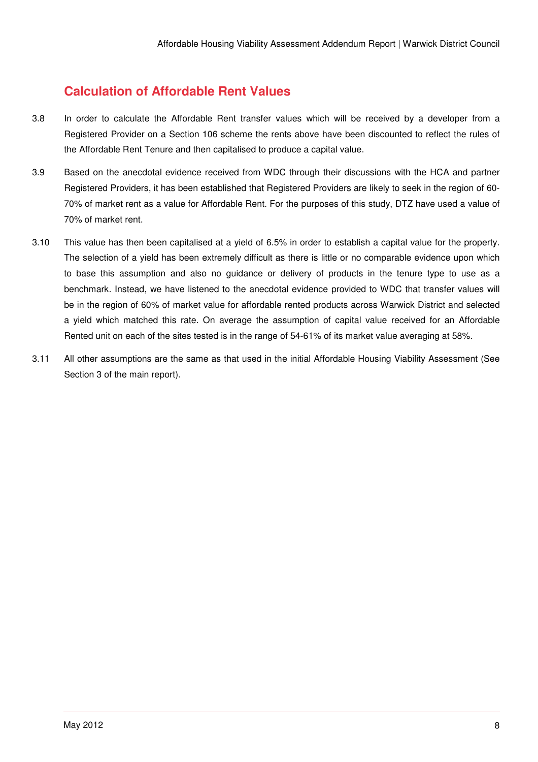## **Calculation of Affordable Rent Values**

- 3.8 In order to calculate the Affordable Rent transfer values which will be received by a developer from a Registered Provider on a Section 106 scheme the rents above have been discounted to reflect the rules of the Affordable Rent Tenure and then capitalised to produce a capital value.
- 3.9 Based on the anecdotal evidence received from WDC through their discussions with the HCA and partner Registered Providers, it has been established that Registered Providers are likely to seek in the region of 60- 70% of market rent as a value for Affordable Rent. For the purposes of this study, DTZ have used a value of 70% of market rent.
- 3.10 This value has then been capitalised at a yield of 6.5% in order to establish a capital value for the property. The selection of a yield has been extremely difficult as there is little or no comparable evidence upon which to base this assumption and also no guidance or delivery of products in the tenure type to use as a benchmark. Instead, we have listened to the anecdotal evidence provided to WDC that transfer values will be in the region of 60% of market value for affordable rented products across Warwick District and selected a yield which matched this rate. On average the assumption of capital value received for an Affordable Rented unit on each of the sites tested is in the range of 54-61% of its market value averaging at 58%.
- 3.11 All other assumptions are the same as that used in the initial Affordable Housing Viability Assessment (See Section 3 of the main report).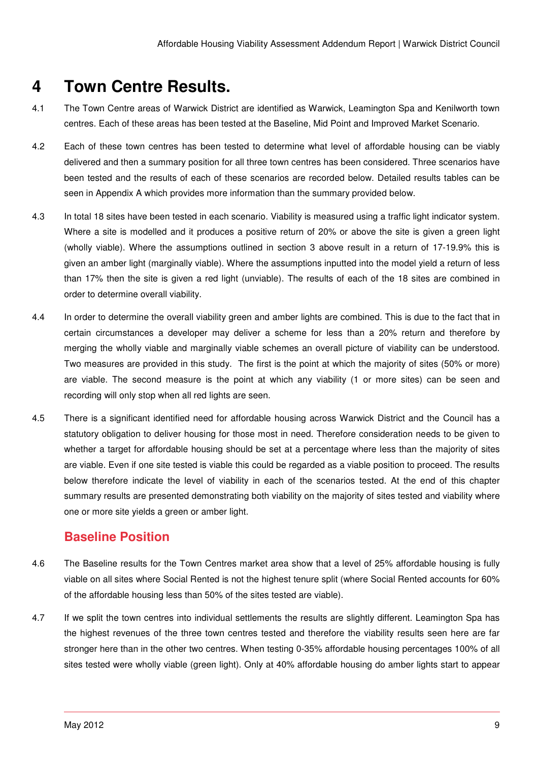# **4 Town Centre Results.**

- 4.1 The Town Centre areas of Warwick District are identified as Warwick, Leamington Spa and Kenilworth town centres. Each of these areas has been tested at the Baseline, Mid Point and Improved Market Scenario.
- 4.2 Each of these town centres has been tested to determine what level of affordable housing can be viably delivered and then a summary position for all three town centres has been considered. Three scenarios have been tested and the results of each of these scenarios are recorded below. Detailed results tables can be seen in Appendix A which provides more information than the summary provided below.
- 4.3 In total 18 sites have been tested in each scenario. Viability is measured using a traffic light indicator system. Where a site is modelled and it produces a positive return of 20% or above the site is given a green light (wholly viable). Where the assumptions outlined in section 3 above result in a return of 17-19.9% this is given an amber light (marginally viable). Where the assumptions inputted into the model yield a return of less than 17% then the site is given a red light (unviable). The results of each of the 18 sites are combined in order to determine overall viability.
- 4.4 In order to determine the overall viability green and amber lights are combined. This is due to the fact that in certain circumstances a developer may deliver a scheme for less than a 20% return and therefore by merging the wholly viable and marginally viable schemes an overall picture of viability can be understood. Two measures are provided in this study. The first is the point at which the majority of sites (50% or more) are viable. The second measure is the point at which any viability (1 or more sites) can be seen and recording will only stop when all red lights are seen.
- 4.5 There is a significant identified need for affordable housing across Warwick District and the Council has a statutory obligation to deliver housing for those most in need. Therefore consideration needs to be given to whether a target for affordable housing should be set at a percentage where less than the majority of sites are viable. Even if one site tested is viable this could be regarded as a viable position to proceed. The results below therefore indicate the level of viability in each of the scenarios tested. At the end of this chapter summary results are presented demonstrating both viability on the majority of sites tested and viability where one or more site yields a green or amber light.

## **Baseline Position**

- 4.6 The Baseline results for the Town Centres market area show that a level of 25% affordable housing is fully viable on all sites where Social Rented is not the highest tenure split (where Social Rented accounts for 60% of the affordable housing less than 50% of the sites tested are viable).
- 4.7 If we split the town centres into individual settlements the results are slightly different. Leamington Spa has the highest revenues of the three town centres tested and therefore the viability results seen here are far stronger here than in the other two centres. When testing 0-35% affordable housing percentages 100% of all sites tested were wholly viable (green light). Only at 40% affordable housing do amber lights start to appear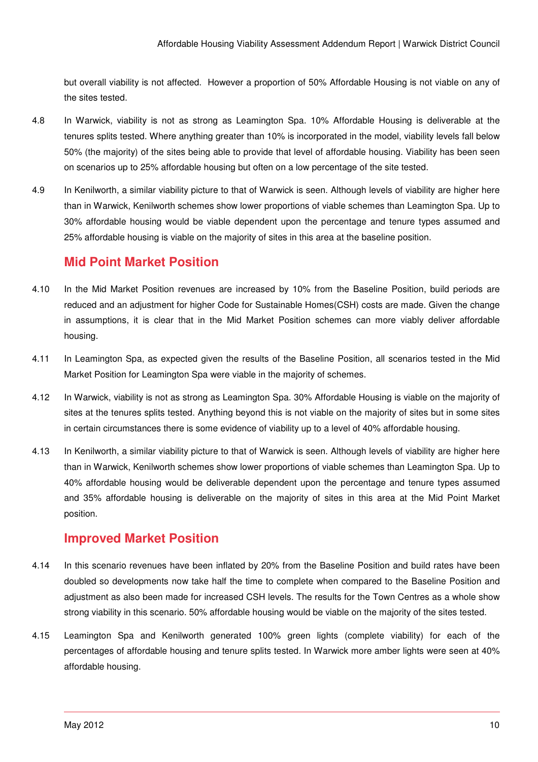but overall viability is not affected. However a proportion of 50% Affordable Housing is not viable on any of the sites tested.

- 4.8 In Warwick, viability is not as strong as Leamington Spa. 10% Affordable Housing is deliverable at the tenures splits tested. Where anything greater than 10% is incorporated in the model, viability levels fall below 50% (the majority) of the sites being able to provide that level of affordable housing. Viability has been seen on scenarios up to 25% affordable housing but often on a low percentage of the site tested.
- 4.9 In Kenilworth, a similar viability picture to that of Warwick is seen. Although levels of viability are higher here than in Warwick, Kenilworth schemes show lower proportions of viable schemes than Leamington Spa. Up to 30% affordable housing would be viable dependent upon the percentage and tenure types assumed and 25% affordable housing is viable on the majority of sites in this area at the baseline position.

## **Mid Point Market Position**

- 4.10 In the Mid Market Position revenues are increased by 10% from the Baseline Position, build periods are reduced and an adjustment for higher Code for Sustainable Homes(CSH) costs are made. Given the change in assumptions, it is clear that in the Mid Market Position schemes can more viably deliver affordable housing.
- 4.11 In Leamington Spa, as expected given the results of the Baseline Position, all scenarios tested in the Mid Market Position for Leamington Spa were viable in the majority of schemes.
- 4.12 In Warwick, viability is not as strong as Leamington Spa. 30% Affordable Housing is viable on the majority of sites at the tenures splits tested. Anything beyond this is not viable on the majority of sites but in some sites in certain circumstances there is some evidence of viability up to a level of 40% affordable housing.
- 4.13 In Kenilworth, a similar viability picture to that of Warwick is seen. Although levels of viability are higher here than in Warwick, Kenilworth schemes show lower proportions of viable schemes than Leamington Spa. Up to 40% affordable housing would be deliverable dependent upon the percentage and tenure types assumed and 35% affordable housing is deliverable on the majority of sites in this area at the Mid Point Market position.

## **Improved Market Position**

- 4.14 In this scenario revenues have been inflated by 20% from the Baseline Position and build rates have been doubled so developments now take half the time to complete when compared to the Baseline Position and adjustment as also been made for increased CSH levels. The results for the Town Centres as a whole show strong viability in this scenario. 50% affordable housing would be viable on the majority of the sites tested.
- 4.15 Leamington Spa and Kenilworth generated 100% green lights (complete viability) for each of the percentages of affordable housing and tenure splits tested. In Warwick more amber lights were seen at 40% affordable housing.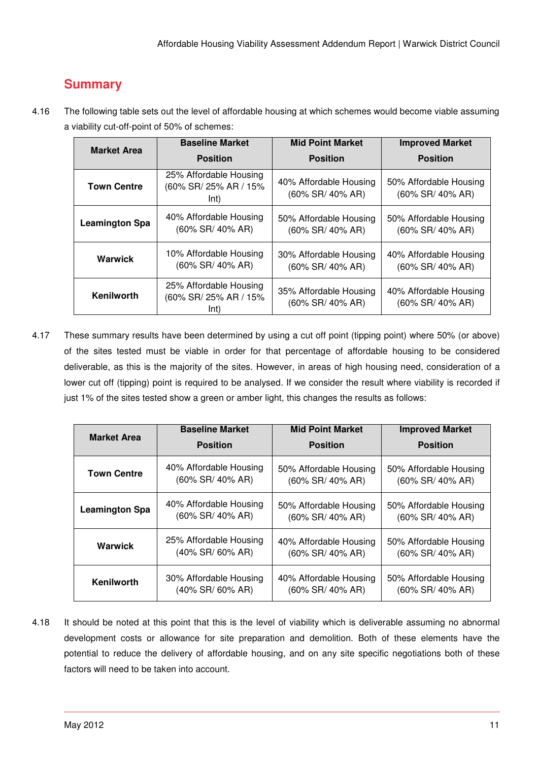## **Summary**

4.16 The following table sets out the level of affordable housing at which schemes would become viable assuming a viability cut-off-point of 50% of schemes:

| <b>Market Area</b>    | <b>Baseline Market</b>                                  | <b>Mid Point Market</b>                    | <b>Improved Market</b>                     |  |  |
|-----------------------|---------------------------------------------------------|--------------------------------------------|--------------------------------------------|--|--|
|                       | <b>Position</b>                                         | <b>Position</b>                            | <b>Position</b>                            |  |  |
| <b>Town Centre</b>    | 25% Affordable Housing<br>(60% SR/ 25% AR / 15%<br>Int) | 40% Affordable Housing<br>(60% SR/ 40% AR) | 50% Affordable Housing<br>(60% SR/ 40% AR) |  |  |
| <b>Leamington Spa</b> | 40% Affordable Housing<br>$(60\%$ SR/ 40% AR)           | 50% Affordable Housing<br>(60% SR/ 40% AR) | 50% Affordable Housing<br>(60% SR/ 40% AR) |  |  |
| Warwick               | 10% Affordable Housing<br>(60% SR/ 40% AR)              | 30% Affordable Housing<br>(60% SR/ 40% AR) | 40% Affordable Housing<br>(60% SR/ 40% AR) |  |  |
| Kenilworth            | 25% Affordable Housing<br>(60% SR/ 25% AR / 15%<br>Int) | 35% Affordable Housing<br>(60% SR/ 40% AR) | 40% Affordable Housing<br>(60% SR/ 40% AR) |  |  |

4.17 These summary results have been determined by using a cut off point (tipping point) where 50% (or above) of the sites tested must be viable in order for that percentage of affordable housing to be considered deliverable, as this is the majority of the sites. However, in areas of high housing need, consideration of a lower cut off (tipping) point is required to be analysed. If we consider the result where viability is recorded if just 1% of the sites tested show a green or amber light, this changes the results as follows:

| <b>Market Area</b>    | <b>Baseline Market</b> | <b>Mid Point Market</b> | <b>Improved Market</b> |  |  |
|-----------------------|------------------------|-------------------------|------------------------|--|--|
|                       | <b>Position</b>        | <b>Position</b>         | <b>Position</b>        |  |  |
| <b>Town Centre</b>    | 40% Affordable Housing | 50% Affordable Housing  | 50% Affordable Housing |  |  |
|                       | (60% SR/ 40% AR)       | (60% SR/ 40% AR)        | (60% SR/ 40% AR)       |  |  |
| <b>Leamington Spa</b> | 40% Affordable Housing | 50% Affordable Housing  | 50% Affordable Housing |  |  |
|                       | (60% SR/ 40% AR)       | (60% SR/ 40% AR)        | (60% SR/ 40% AR)       |  |  |
| Warwick               | 25% Affordable Housing | 40% Affordable Housing  | 50% Affordable Housing |  |  |
|                       | (40% SR/60% AR)        | (60% SR/ 40% AR)        | (60% SR/ 40% AR)       |  |  |
| Kenilworth            | 30% Affordable Housing | 40% Affordable Housing  | 50% Affordable Housing |  |  |
|                       | (40% SR/60% AR)        | (60% SR/ 40% AR)        | (60% SR/ 40% AR)       |  |  |

4.18 It should be noted at this point that this is the level of viability which is deliverable assuming no abnormal development costs or allowance for site preparation and demolition. Both of these elements have the potential to reduce the delivery of affordable housing, and on any site specific negotiations both of these factors will need to be taken into account.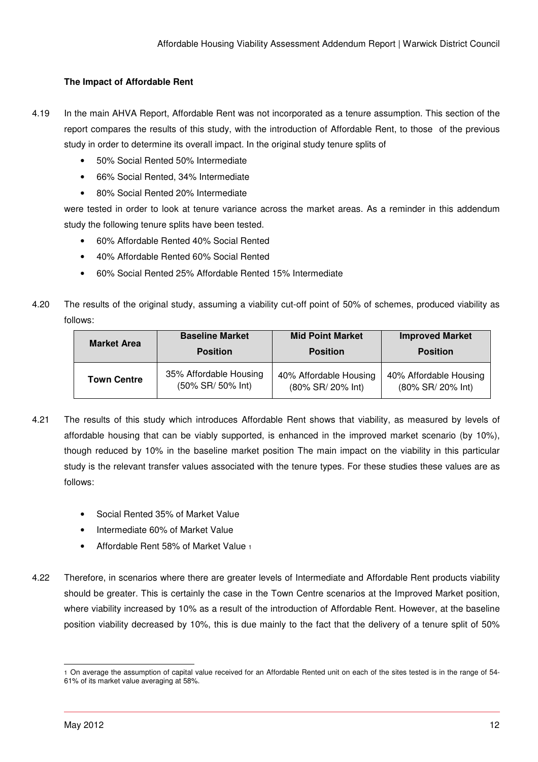#### **The Impact of Affordable Rent**

- 4.19 In the main AHVA Report, Affordable Rent was not incorporated as a tenure assumption. This section of the report compares the results of this study, with the introduction of Affordable Rent, to those of the previous study in order to determine its overall impact. In the original study tenure splits of
	- 50% Social Rented 50% Intermediate
	- 66% Social Rented, 34% Intermediate
	- 80% Social Rented 20% Intermediate

were tested in order to look at tenure variance across the market areas. As a reminder in this addendum study the following tenure splits have been tested.

- 60% Affordable Rented 40% Social Rented
- 40% Affordable Rented 60% Social Rented
- 60% Social Rented 25% Affordable Rented 15% Intermediate
- 4.20 The results of the original study, assuming a viability cut-off point of 50% of schemes, produced viability as follows:

| <b>Market Area</b> | <b>Baseline Market</b> | <b>Mid Point Market</b> | <b>Improved Market</b> |
|--------------------|------------------------|-------------------------|------------------------|
|                    | <b>Position</b>        | <b>Position</b>         | <b>Position</b>        |
| <b>Town Centre</b> | 35% Affordable Housing | 40% Affordable Housing  | 40% Affordable Housing |
|                    | (50% SR/ 50% Int)      | (80% SR/ 20% Int)       | (80% SR/ 20% Int)      |

- 4.21 The results of this study which introduces Affordable Rent shows that viability, as measured by levels of affordable housing that can be viably supported, is enhanced in the improved market scenario (by 10%), though reduced by 10% in the baseline market position The main impact on the viability in this particular study is the relevant transfer values associated with the tenure types. For these studies these values are as follows:
	- Social Rented 35% of Market Value
	- Intermediate 60% of Market Value
	- Affordable Rent 58% of Market Value <sup>1</sup>
- 4.22 Therefore, in scenarios where there are greater levels of Intermediate and Affordable Rent products viability should be greater. This is certainly the case in the Town Centre scenarios at the Improved Market position, where viability increased by 10% as a result of the introduction of Affordable Rent. However, at the baseline position viability decreased by 10%, this is due mainly to the fact that the delivery of a tenure split of 50%

<sup>-</sup>1 On average the assumption of capital value received for an Affordable Rented unit on each of the sites tested is in the range of 54- 61% of its market value averaging at 58%.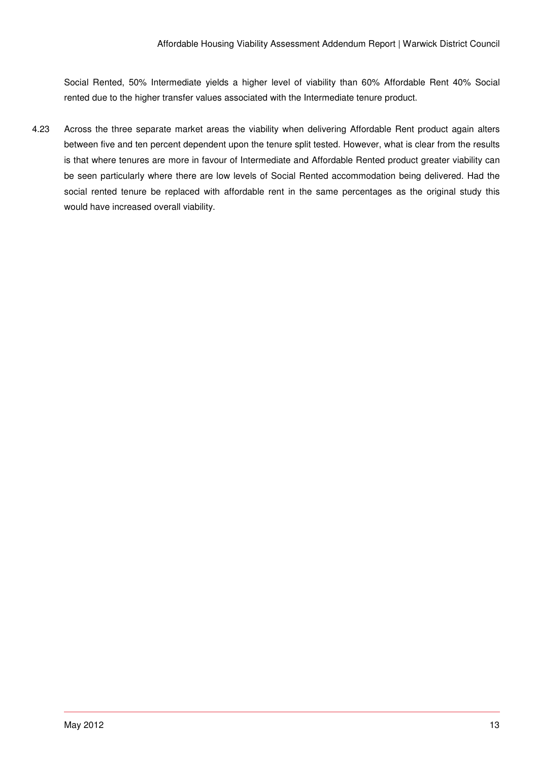Social Rented, 50% Intermediate yields a higher level of viability than 60% Affordable Rent 40% Social rented due to the higher transfer values associated with the Intermediate tenure product.

4.23 Across the three separate market areas the viability when delivering Affordable Rent product again alters between five and ten percent dependent upon the tenure split tested. However, what is clear from the results is that where tenures are more in favour of Intermediate and Affordable Rented product greater viability can be seen particularly where there are low levels of Social Rented accommodation being delivered. Had the social rented tenure be replaced with affordable rent in the same percentages as the original study this would have increased overall viability.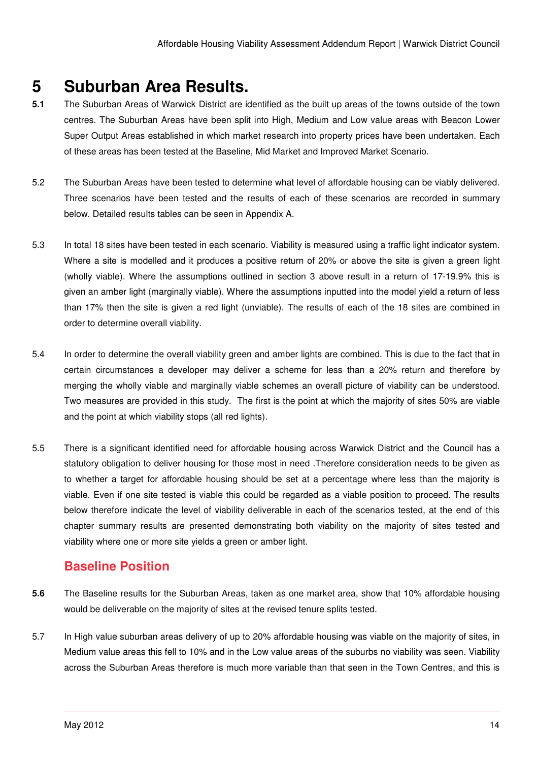# **5 Suburban Area Results.**

- **5.1** The Suburban Areas of Warwick District are identified as the built up areas of the towns outside of the town centres. The Suburban Areas have been split into High, Medium and Low value areas with Beacon Lower Super Output Areas established in which market research into property prices have been undertaken. Each of these areas has been tested at the Baseline, Mid Market and Improved Market Scenario.
- 5.2 The Suburban Areas have been tested to determine what level of affordable housing can be viably delivered. Three scenarios have been tested and the results of each of these scenarios are recorded in summary below. Detailed results tables can be seen in Appendix A.
- 5.3 In total 18 sites have been tested in each scenario. Viability is measured using a traffic light indicator system. Where a site is modelled and it produces a positive return of 20% or above the site is given a green light (wholly viable). Where the assumptions outlined in section 3 above result in a return of 17-19.9% this is given an amber light (marginally viable). Where the assumptions inputted into the model yield a return of less than 17% then the site is given a red light (unviable). The results of each of the 18 sites are combined in order to determine overall viability.
- 5.4 In order to determine the overall viability green and amber lights are combined. This is due to the fact that in certain circumstances a developer may deliver a scheme for less than a 20% return and therefore by merging the wholly viable and marginally viable schemes an overall picture of viability can be understood. Two measures are provided in this study. The first is the point at which the majority of sites 50% are viable and the point at which viability stops (all red lights).
- 5.5 There is a significant identified need for affordable housing across Warwick District and the Council has a statutory obligation to deliver housing for those most in need .Therefore consideration needs to be given as to whether a target for affordable housing should be set at a percentage where less than the majority is viable. Even if one site tested is viable this could be regarded as a viable position to proceed. The results below therefore indicate the level of viability deliverable in each of the scenarios tested, at the end of this chapter summary results are presented demonstrating both viability on the majority of sites tested and viability where one or more site yields a green or amber light.

## **Baseline Position**

- **5.6** The Baseline results for the Suburban Areas, taken as one market area, show that 10% affordable housing would be deliverable on the majority of sites at the revised tenure splits tested.
- 5.7 In High value suburban areas delivery of up to 20% affordable housing was viable on the majority of sites, in Medium value areas this fell to 10% and in the Low value areas of the suburbs no viability was seen. Viability across the Suburban Areas therefore is much more variable than that seen in the Town Centres, and this is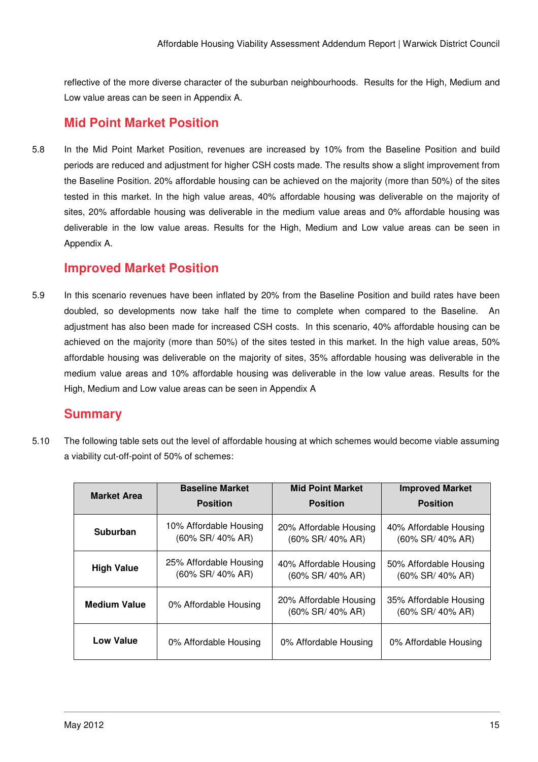reflective of the more diverse character of the suburban neighbourhoods. Results for the High, Medium and Low value areas can be seen in Appendix A.

## **Mid Point Market Position**

5.8 In the Mid Point Market Position, revenues are increased by 10% from the Baseline Position and build periods are reduced and adjustment for higher CSH costs made. The results show a slight improvement from the Baseline Position. 20% affordable housing can be achieved on the majority (more than 50%) of the sites tested in this market. In the high value areas, 40% affordable housing was deliverable on the majority of sites, 20% affordable housing was deliverable in the medium value areas and 0% affordable housing was deliverable in the low value areas. Results for the High, Medium and Low value areas can be seen in Appendix A.

## **Improved Market Position**

5.9 In this scenario revenues have been inflated by 20% from the Baseline Position and build rates have been doubled, so developments now take half the time to complete when compared to the Baseline. An adjustment has also been made for increased CSH costs. In this scenario, 40% affordable housing can be achieved on the majority (more than 50%) of the sites tested in this market. In the high value areas, 50% affordable housing was deliverable on the majority of sites, 35% affordable housing was deliverable in the medium value areas and 10% affordable housing was deliverable in the low value areas. Results for the High, Medium and Low value areas can be seen in Appendix A

## **Summary**

5.10 The following table sets out the level of affordable housing at which schemes would become viable assuming a viability cut-off-point of 50% of schemes:

| <b>Market Area</b>  | <b>Baseline Market</b>                        | <b>Mid Point Market</b>                       | <b>Improved Market</b>                        |  |  |
|---------------------|-----------------------------------------------|-----------------------------------------------|-----------------------------------------------|--|--|
|                     | <b>Position</b>                               | <b>Position</b>                               | <b>Position</b>                               |  |  |
| <b>Suburban</b>     | 10% Affordable Housing<br>$(60\%$ SR/ 40% AR) | 20% Affordable Housing<br>(60% SR/ 40% AR)    | 40% Affordable Housing<br>$(60\%$ SR/ 40% AR) |  |  |
| <b>High Value</b>   | 25% Affordable Housing<br>(60% SR/ 40% AR)    | 40% Affordable Housing<br>$(60\%$ SR/ 40% AR) | 50% Affordable Housing<br>$(60\%$ SR/ 40% AR) |  |  |
| <b>Medium Value</b> | 0% Affordable Housing                         | 20% Affordable Housing<br>$(60\%$ SR/ 40% AR) | 35% Affordable Housing<br>$(60\%$ SR/ 40% AR) |  |  |
| <b>Low Value</b>    | 0% Affordable Housing                         | 0% Affordable Housing                         | 0% Affordable Housing                         |  |  |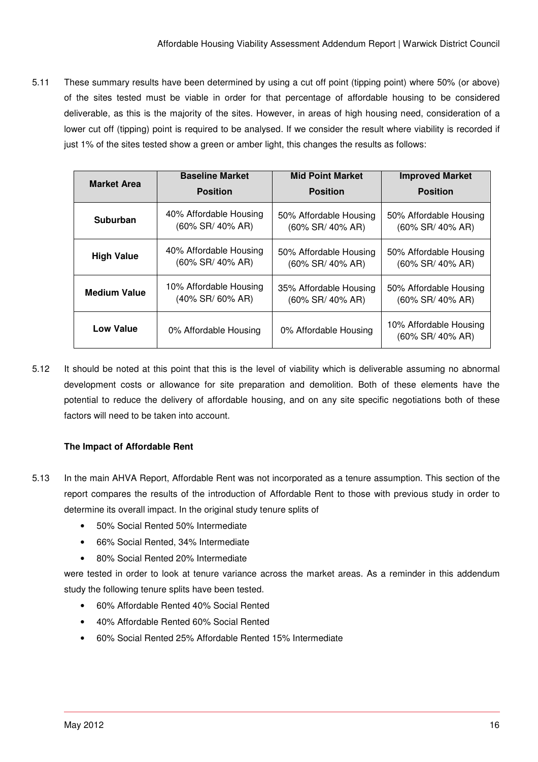5.11 These summary results have been determined by using a cut off point (tipping point) where 50% (or above) of the sites tested must be viable in order for that percentage of affordable housing to be considered deliverable, as this is the majority of the sites. However, in areas of high housing need, consideration of a lower cut off (tipping) point is required to be analysed. If we consider the result where viability is recorded if just 1% of the sites tested show a green or amber light, this changes the results as follows:

| <b>Market Area</b>  | <b>Baseline Market</b> | <b>Mid Point Market</b> | <b>Improved Market</b>                     |  |  |
|---------------------|------------------------|-------------------------|--------------------------------------------|--|--|
|                     | <b>Position</b>        | <b>Position</b>         | <b>Position</b>                            |  |  |
| <b>Suburban</b>     | 40% Affordable Housing | 50% Affordable Housing  | 50% Affordable Housing                     |  |  |
|                     | (60% SR/ 40% AR)       | (60% SR/ 40% AR)        | (60% SR/ 40% AR)                           |  |  |
| <b>High Value</b>   | 40% Affordable Housing | 50% Affordable Housing  | 50% Affordable Housing                     |  |  |
|                     | (60% SR/ 40% AR)       | (60% SR/ 40% AR)        | (60% SR/ 40% AR)                           |  |  |
| <b>Medium Value</b> | 10% Affordable Housing | 35% Affordable Housing  | 50% Affordable Housing                     |  |  |
|                     | $(40\%$ SR/ $60\%$ AR) | (60% SR/ 40% AR)        | (60% SR/ 40% AR)                           |  |  |
| <b>Low Value</b>    | 0% Affordable Housing  | 0% Affordable Housing   | 10% Affordable Housing<br>(60% SR/ 40% AR) |  |  |

5.12 It should be noted at this point that this is the level of viability which is deliverable assuming no abnormal development costs or allowance for site preparation and demolition. Both of these elements have the potential to reduce the delivery of affordable housing, and on any site specific negotiations both of these factors will need to be taken into account.

#### **The Impact of Affordable Rent**

- 5.13 In the main AHVA Report, Affordable Rent was not incorporated as a tenure assumption. This section of the report compares the results of the introduction of Affordable Rent to those with previous study in order to determine its overall impact. In the original study tenure splits of
	- 50% Social Rented 50% Intermediate
	- 66% Social Rented, 34% Intermediate
	- 80% Social Rented 20% Intermediate

were tested in order to look at tenure variance across the market areas. As a reminder in this addendum study the following tenure splits have been tested.

- 60% Affordable Rented 40% Social Rented
- 40% Affordable Rented 60% Social Rented
- 60% Social Rented 25% Affordable Rented 15% Intermediate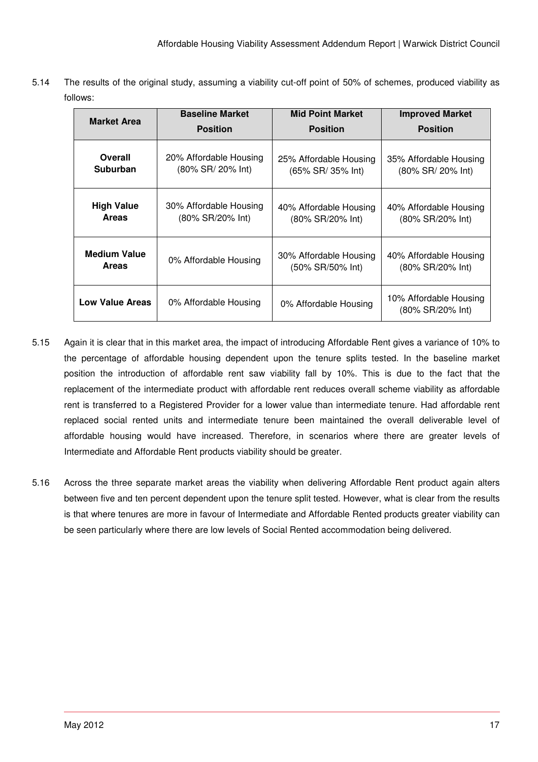5.14 The results of the original study, assuming a viability cut-off point of 50% of schemes, produced viability as follows:

| <b>Market Area</b>     | <b>Baseline Market</b> | <b>Mid Point Market</b> | <b>Improved Market</b>                     |  |  |
|------------------------|------------------------|-------------------------|--------------------------------------------|--|--|
|                        | <b>Position</b>        | <b>Position</b>         | <b>Position</b>                            |  |  |
| Overall                | 20% Affordable Housing | 25% Affordable Housing  | 35% Affordable Housing                     |  |  |
| Suburban               | (80% SR/ 20% Int)      | (65% SR/ 35% Int)       | (80% SR/ 20% Int)                          |  |  |
| <b>High Value</b>      | 30% Affordable Housing | 40% Affordable Housing  | 40% Affordable Housing                     |  |  |
| <b>Areas</b>           | (80% SR/20% Int)       | (80% SR/20% Int)        | (80% SR/20% Int)                           |  |  |
| <b>Medium Value</b>    | 0% Affordable Housing  | 30% Affordable Housing  | 40% Affordable Housing                     |  |  |
| <b>Areas</b>           |                        | (50% SR/50% Int)        | (80% SR/20% Int)                           |  |  |
| <b>Low Value Areas</b> | 0% Affordable Housing  | 0% Affordable Housing   | 10% Affordable Housing<br>(80% SR/20% Int) |  |  |

- 5.15 Again it is clear that in this market area, the impact of introducing Affordable Rent gives a variance of 10% to the percentage of affordable housing dependent upon the tenure splits tested. In the baseline market position the introduction of affordable rent saw viability fall by 10%. This is due to the fact that the replacement of the intermediate product with affordable rent reduces overall scheme viability as affordable rent is transferred to a Registered Provider for a lower value than intermediate tenure. Had affordable rent replaced social rented units and intermediate tenure been maintained the overall deliverable level of affordable housing would have increased. Therefore, in scenarios where there are greater levels of Intermediate and Affordable Rent products viability should be greater.
- 5.16 Across the three separate market areas the viability when delivering Affordable Rent product again alters between five and ten percent dependent upon the tenure split tested. However, what is clear from the results is that where tenures are more in favour of Intermediate and Affordable Rented products greater viability can be seen particularly where there are low levels of Social Rented accommodation being delivered.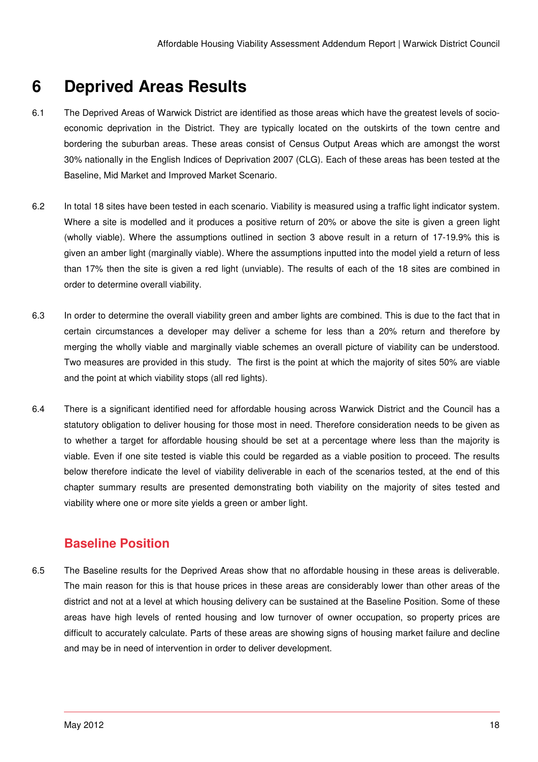# **6 Deprived Areas Results**

- 6.1 The Deprived Areas of Warwick District are identified as those areas which have the greatest levels of socioeconomic deprivation in the District. They are typically located on the outskirts of the town centre and bordering the suburban areas. These areas consist of Census Output Areas which are amongst the worst 30% nationally in the English Indices of Deprivation 2007 (CLG). Each of these areas has been tested at the Baseline, Mid Market and Improved Market Scenario.
- 6.2 In total 18 sites have been tested in each scenario. Viability is measured using a traffic light indicator system. Where a site is modelled and it produces a positive return of 20% or above the site is given a green light (wholly viable). Where the assumptions outlined in section 3 above result in a return of 17-19.9% this is given an amber light (marginally viable). Where the assumptions inputted into the model yield a return of less than 17% then the site is given a red light (unviable). The results of each of the 18 sites are combined in order to determine overall viability.
- 6.3 In order to determine the overall viability green and amber lights are combined. This is due to the fact that in certain circumstances a developer may deliver a scheme for less than a 20% return and therefore by merging the wholly viable and marginally viable schemes an overall picture of viability can be understood. Two measures are provided in this study. The first is the point at which the majority of sites 50% are viable and the point at which viability stops (all red lights).
- 6.4 There is a significant identified need for affordable housing across Warwick District and the Council has a statutory obligation to deliver housing for those most in need. Therefore consideration needs to be given as to whether a target for affordable housing should be set at a percentage where less than the majority is viable. Even if one site tested is viable this could be regarded as a viable position to proceed. The results below therefore indicate the level of viability deliverable in each of the scenarios tested, at the end of this chapter summary results are presented demonstrating both viability on the majority of sites tested and viability where one or more site yields a green or amber light.

## **Baseline Position**

6.5 The Baseline results for the Deprived Areas show that no affordable housing in these areas is deliverable. The main reason for this is that house prices in these areas are considerably lower than other areas of the district and not at a level at which housing delivery can be sustained at the Baseline Position. Some of these areas have high levels of rented housing and low turnover of owner occupation, so property prices are difficult to accurately calculate. Parts of these areas are showing signs of housing market failure and decline and may be in need of intervention in order to deliver development.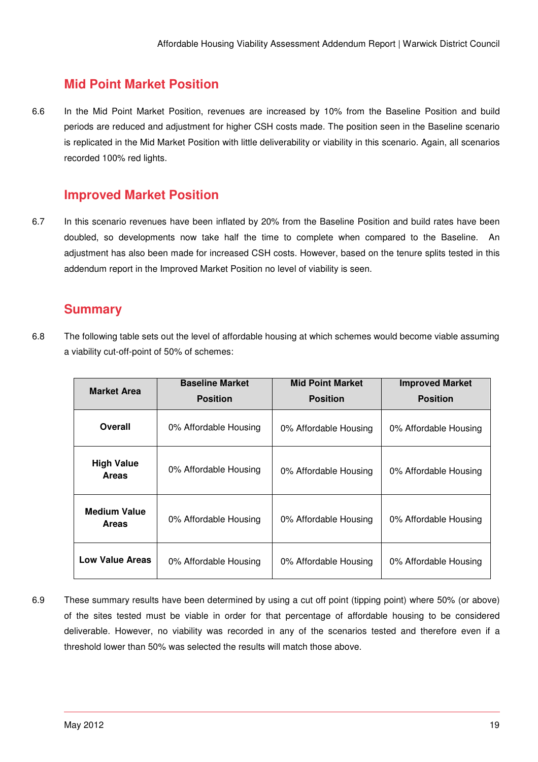## **Mid Point Market Position**

6.6 In the Mid Point Market Position, revenues are increased by 10% from the Baseline Position and build periods are reduced and adjustment for higher CSH costs made. The position seen in the Baseline scenario is replicated in the Mid Market Position with little deliverability or viability in this scenario. Again, all scenarios recorded 100% red lights.

## **Improved Market Position**

6.7 In this scenario revenues have been inflated by 20% from the Baseline Position and build rates have been doubled, so developments now take half the time to complete when compared to the Baseline. An adjustment has also been made for increased CSH costs. However, based on the tenure splits tested in this addendum report in the Improved Market Position no level of viability is seen.

## **Summary**

6.8 The following table sets out the level of affordable housing at which schemes would become viable assuming a viability cut-off-point of 50% of schemes:

| <b>Market Area</b>                  | <b>Baseline Market</b> | <b>Mid Point Market</b> | <b>Improved Market</b> |  |  |
|-------------------------------------|------------------------|-------------------------|------------------------|--|--|
|                                     | <b>Position</b>        | <b>Position</b>         | <b>Position</b>        |  |  |
| Overall                             | 0% Affordable Housing  | 0% Affordable Housing   | 0% Affordable Housing  |  |  |
| <b>High Value</b><br><b>Areas</b>   | 0% Affordable Housing  | 0% Affordable Housing   | 0% Affordable Housing  |  |  |
| <b>Medium Value</b><br><b>Areas</b> | 0% Affordable Housing  | 0% Affordable Housing   | 0% Affordable Housing  |  |  |
| <b>Low Value Areas</b>              | 0% Affordable Housing  | 0% Affordable Housing   | 0% Affordable Housing  |  |  |

6.9 These summary results have been determined by using a cut off point (tipping point) where 50% (or above) of the sites tested must be viable in order for that percentage of affordable housing to be considered deliverable. However, no viability was recorded in any of the scenarios tested and therefore even if a threshold lower than 50% was selected the results will match those above.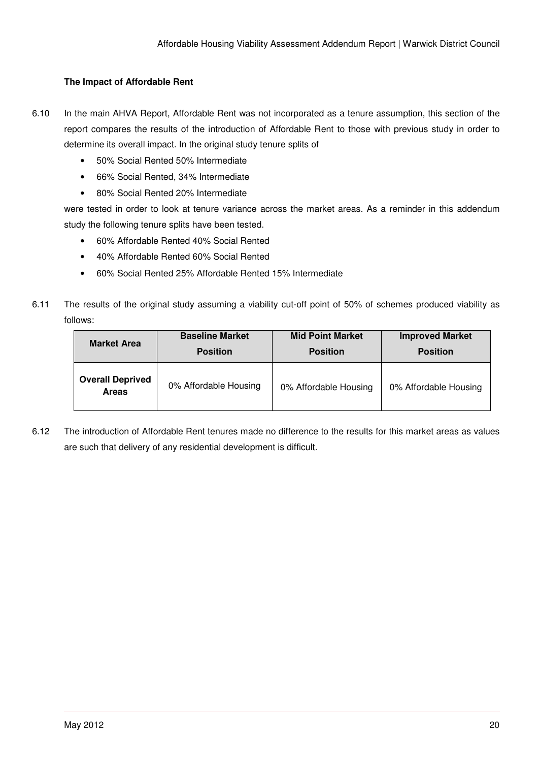#### **The Impact of Affordable Rent**

- 6.10 In the main AHVA Report, Affordable Rent was not incorporated as a tenure assumption, this section of the report compares the results of the introduction of Affordable Rent to those with previous study in order to determine its overall impact. In the original study tenure splits of
	- 50% Social Rented 50% Intermediate
	- 66% Social Rented, 34% Intermediate
	- 80% Social Rented 20% Intermediate

were tested in order to look at tenure variance across the market areas. As a reminder in this addendum study the following tenure splits have been tested.

- 60% Affordable Rented 40% Social Rented
- 40% Affordable Rented 60% Social Rented
- 60% Social Rented 25% Affordable Rented 15% Intermediate
- 6.11 The results of the original study assuming a viability cut-off point of 50% of schemes produced viability as follows:

| <b>Market Area</b>                      | <b>Baseline Market</b> | <b>Mid Point Market</b> | <b>Improved Market</b> |
|-----------------------------------------|------------------------|-------------------------|------------------------|
|                                         | <b>Position</b>        | <b>Position</b>         | <b>Position</b>        |
| <b>Overall Deprived</b><br><b>Areas</b> | 0% Affordable Housing  | 0% Affordable Housing   | 0% Affordable Housing  |

6.12 The introduction of Affordable Rent tenures made no difference to the results for this market areas as values are such that delivery of any residential development is difficult.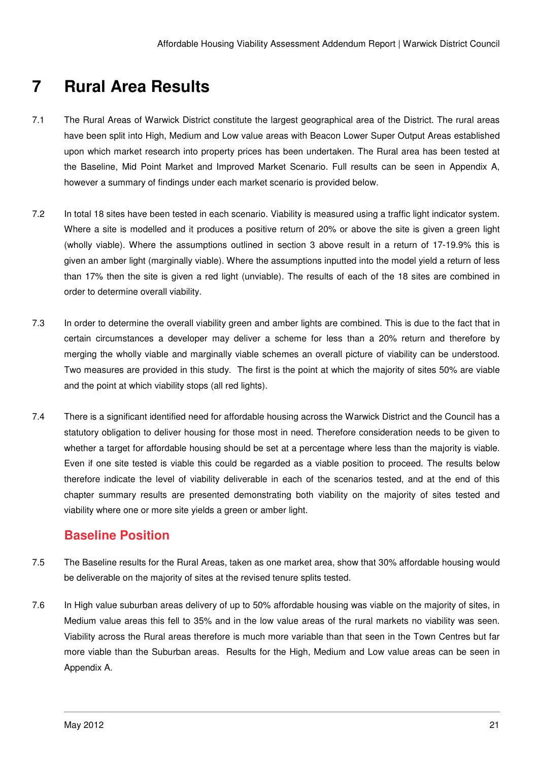# **7 Rural Area Results**

- 7.1 The Rural Areas of Warwick District constitute the largest geographical area of the District. The rural areas have been split into High, Medium and Low value areas with Beacon Lower Super Output Areas established upon which market research into property prices has been undertaken. The Rural area has been tested at the Baseline, Mid Point Market and Improved Market Scenario. Full results can be seen in Appendix A, however a summary of findings under each market scenario is provided below.
- 7.2 In total 18 sites have been tested in each scenario. Viability is measured using a traffic light indicator system. Where a site is modelled and it produces a positive return of 20% or above the site is given a green light (wholly viable). Where the assumptions outlined in section 3 above result in a return of 17-19.9% this is given an amber light (marginally viable). Where the assumptions inputted into the model yield a return of less than 17% then the site is given a red light (unviable). The results of each of the 18 sites are combined in order to determine overall viability.
- 7.3 In order to determine the overall viability green and amber lights are combined. This is due to the fact that in certain circumstances a developer may deliver a scheme for less than a 20% return and therefore by merging the wholly viable and marginally viable schemes an overall picture of viability can be understood. Two measures are provided in this study. The first is the point at which the majority of sites 50% are viable and the point at which viability stops (all red lights).
- 7.4 There is a significant identified need for affordable housing across the Warwick District and the Council has a statutory obligation to deliver housing for those most in need. Therefore consideration needs to be given to whether a target for affordable housing should be set at a percentage where less than the majority is viable. Even if one site tested is viable this could be regarded as a viable position to proceed. The results below therefore indicate the level of viability deliverable in each of the scenarios tested, and at the end of this chapter summary results are presented demonstrating both viability on the majority of sites tested and viability where one or more site yields a green or amber light.

## **Baseline Position**

- 7.5 The Baseline results for the Rural Areas, taken as one market area, show that 30% affordable housing would be deliverable on the majority of sites at the revised tenure splits tested.
- 7.6 In High value suburban areas delivery of up to 50% affordable housing was viable on the majority of sites, in Medium value areas this fell to 35% and in the low value areas of the rural markets no viability was seen. Viability across the Rural areas therefore is much more variable than that seen in the Town Centres but far more viable than the Suburban areas. Results for the High, Medium and Low value areas can be seen in Appendix A.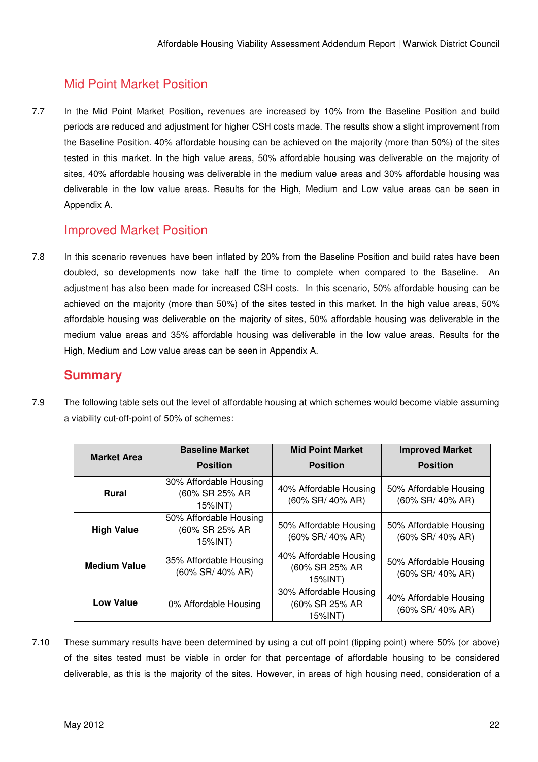## Mid Point Market Position

7.7 In the Mid Point Market Position, revenues are increased by 10% from the Baseline Position and build periods are reduced and adjustment for higher CSH costs made. The results show a slight improvement from the Baseline Position. 40% affordable housing can be achieved on the majority (more than 50%) of the sites tested in this market. In the high value areas, 50% affordable housing was deliverable on the majority of sites, 40% affordable housing was deliverable in the medium value areas and 30% affordable housing was deliverable in the low value areas. Results for the High, Medium and Low value areas can be seen in Appendix A.

## Improved Market Position

7.8 In this scenario revenues have been inflated by 20% from the Baseline Position and build rates have been doubled, so developments now take half the time to complete when compared to the Baseline. An adjustment has also been made for increased CSH costs. In this scenario, 50% affordable housing can be achieved on the majority (more than 50%) of the sites tested in this market. In the high value areas, 50% affordable housing was deliverable on the majority of sites, 50% affordable housing was deliverable in the medium value areas and 35% affordable housing was deliverable in the low value areas. Results for the High, Medium and Low value areas can be seen in Appendix A.

## **Summary**

7.9 The following table sets out the level of affordable housing at which schemes would become viable assuming a viability cut-off-point of 50% of schemes:

| <b>Market Area</b>  | <b>Baseline Market</b>                              | <b>Mid Point Market</b>                             | <b>Improved Market</b>                        |
|---------------------|-----------------------------------------------------|-----------------------------------------------------|-----------------------------------------------|
|                     | <b>Position</b>                                     | <b>Position</b>                                     | <b>Position</b>                               |
| <b>Rural</b>        | 30% Affordable Housing<br>(60% SR 25% AR<br>15%INT) | 40% Affordable Housing<br>(60% SR/ 40% AR)          | 50% Affordable Housing<br>(60% SR/ 40% AR)    |
| <b>High Value</b>   | 50% Affordable Housing<br>(60% SR 25% AR<br>15%INT) | 50% Affordable Housing<br>(60% SR/ 40% AR)          | 50% Affordable Housing<br>$(60\%$ SR/ 40% AR) |
| <b>Medium Value</b> | 35% Affordable Housing<br>(60% SR/ 40% AR)          | 40% Affordable Housing<br>(60% SR 25% AR<br>15%INT) | 50% Affordable Housing<br>(60% SR/ 40% AR)    |
| Low Value           | 0% Affordable Housing                               | 30% Affordable Housing<br>(60% SR 25% AR<br>15%INT) | 40% Affordable Housing<br>(60% SR/ 40% AR)    |

7.10 These summary results have been determined by using a cut off point (tipping point) where 50% (or above) of the sites tested must be viable in order for that percentage of affordable housing to be considered deliverable, as this is the majority of the sites. However, in areas of high housing need, consideration of a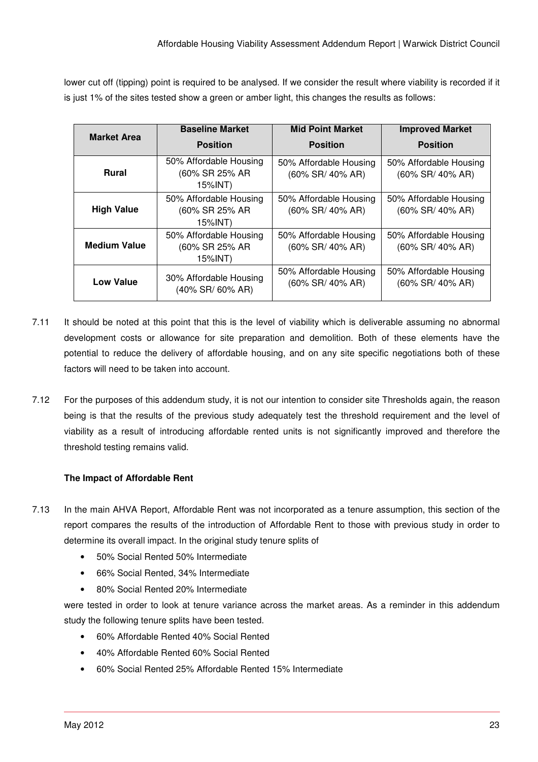lower cut off (tipping) point is required to be analysed. If we consider the result where viability is recorded if it is just 1% of the sites tested show a green or amber light, this changes the results as follows:

| <b>Market Area</b>  | <b>Baseline Market</b>                              | <b>Mid Point Market</b>                    | <b>Improved Market</b>                     |
|---------------------|-----------------------------------------------------|--------------------------------------------|--------------------------------------------|
|                     | <b>Position</b>                                     | <b>Position</b>                            | <b>Position</b>                            |
| <b>Rural</b>        | 50% Affordable Housing<br>(60% SR 25% AR<br>15%INT) | 50% Affordable Housing<br>(60% SR/ 40% AR) | 50% Affordable Housing<br>(60% SR/ 40% AR) |
| <b>High Value</b>   | 50% Affordable Housing<br>(60% SR 25% AR<br>15%INT) | 50% Affordable Housing<br>(60% SR/ 40% AR) | 50% Affordable Housing<br>(60% SR/ 40% AR) |
| <b>Medium Value</b> | 50% Affordable Housing<br>(60% SR 25% AR<br>15%INT) | 50% Affordable Housing<br>(60% SR/ 40% AR) | 50% Affordable Housing<br>(60% SR/ 40% AR) |
| <b>Low Value</b>    | 30% Affordable Housing<br>$(40\%$ SR/ $60\%$ AR)    | 50% Affordable Housing<br>(60% SR/ 40% AR) | 50% Affordable Housing<br>(60% SR/ 40% AR) |

- 7.11 It should be noted at this point that this is the level of viability which is deliverable assuming no abnormal development costs or allowance for site preparation and demolition. Both of these elements have the potential to reduce the delivery of affordable housing, and on any site specific negotiations both of these factors will need to be taken into account.
- 7.12 For the purposes of this addendum study, it is not our intention to consider site Thresholds again, the reason being is that the results of the previous study adequately test the threshold requirement and the level of viability as a result of introducing affordable rented units is not significantly improved and therefore the threshold testing remains valid.

#### **The Impact of Affordable Rent**

- 7.13 In the main AHVA Report, Affordable Rent was not incorporated as a tenure assumption, this section of the report compares the results of the introduction of Affordable Rent to those with previous study in order to determine its overall impact. In the original study tenure splits of
	- 50% Social Rented 50% Intermediate
	- 66% Social Rented, 34% Intermediate
	- 80% Social Rented 20% Intermediate

were tested in order to look at tenure variance across the market areas. As a reminder in this addendum study the following tenure splits have been tested.

- 60% Affordable Rented 40% Social Rented
- 40% Affordable Rented 60% Social Rented
- 60% Social Rented 25% Affordable Rented 15% Intermediate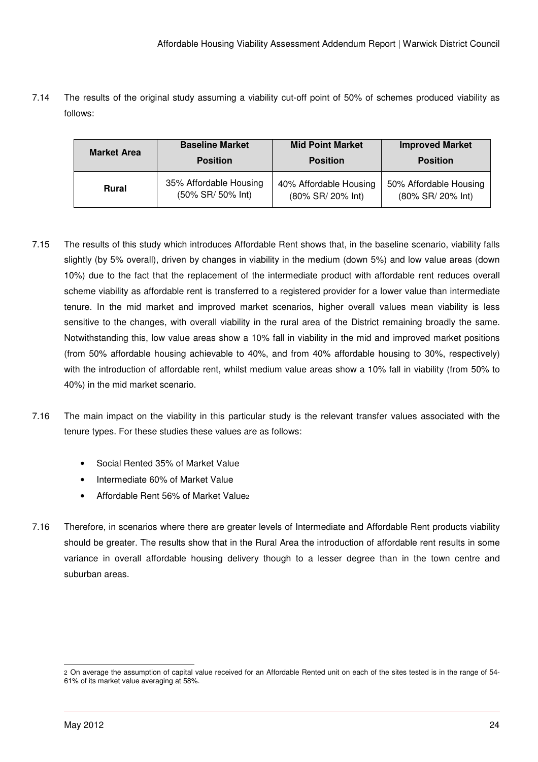7.14 The results of the original study assuming a viability cut-off point of 50% of schemes produced viability as follows:

| <b>Market Area</b> | <b>Baseline Market</b> | <b>Mid Point Market</b> | <b>Improved Market</b> |
|--------------------|------------------------|-------------------------|------------------------|
|                    | <b>Position</b>        | <b>Position</b>         | <b>Position</b>        |
| <b>Rural</b>       | 35% Affordable Housing | 40% Affordable Housing  | 50% Affordable Housing |
|                    | (50% SR/ 50% Int)      | (80% SR/ 20% Int)       | (80% SR/ 20% Int)      |

- 7.15 The results of this study which introduces Affordable Rent shows that, in the baseline scenario, viability falls slightly (by 5% overall), driven by changes in viability in the medium (down 5%) and low value areas (down 10%) due to the fact that the replacement of the intermediate product with affordable rent reduces overall scheme viability as affordable rent is transferred to a registered provider for a lower value than intermediate tenure. In the mid market and improved market scenarios, higher overall values mean viability is less sensitive to the changes, with overall viability in the rural area of the District remaining broadly the same. Notwithstanding this, low value areas show a 10% fall in viability in the mid and improved market positions (from 50% affordable housing achievable to 40%, and from 40% affordable housing to 30%, respectively) with the introduction of affordable rent, whilst medium value areas show a 10% fall in viability (from 50% to 40%) in the mid market scenario.
- 7.16 The main impact on the viability in this particular study is the relevant transfer values associated with the tenure types. For these studies these values are as follows:
	- Social Rented 35% of Market Value
	- Intermediate 60% of Market Value
	- Affordable Rent 56% of Market Value2
- 7.16 Therefore, in scenarios where there are greater levels of Intermediate and Affordable Rent products viability should be greater. The results show that in the Rural Area the introduction of affordable rent results in some variance in overall affordable housing delivery though to a lesser degree than in the town centre and suburban areas.

<sup>-</sup>2 On average the assumption of capital value received for an Affordable Rented unit on each of the sites tested is in the range of 54- 61% of its market value averaging at 58%.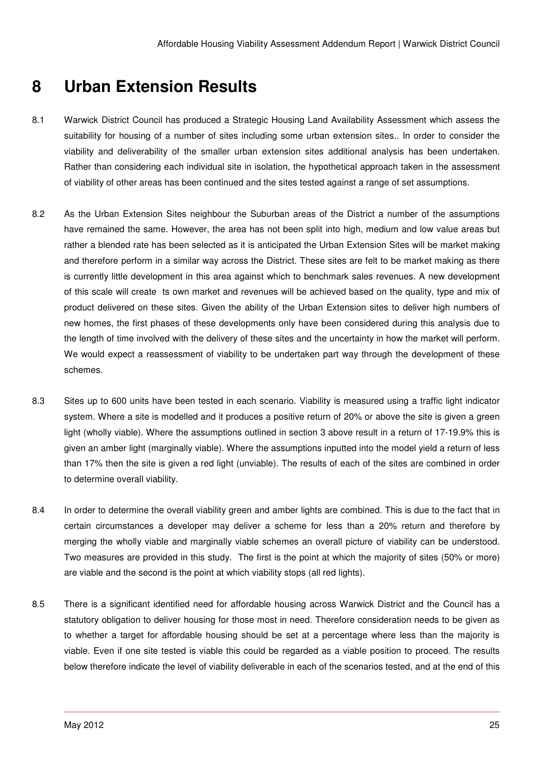# **8 Urban Extension Results**

- 8.1 Warwick District Council has produced a Strategic Housing Land Availability Assessment which assess the suitability for housing of a number of sites including some urban extension sites.. In order to consider the viability and deliverability of the smaller urban extension sites additional analysis has been undertaken. Rather than considering each individual site in isolation, the hypothetical approach taken in the assessment of viability of other areas has been continued and the sites tested against a range of set assumptions.
- 8.2 As the Urban Extension Sites neighbour the Suburban areas of the District a number of the assumptions have remained the same. However, the area has not been split into high, medium and low value areas but rather a blended rate has been selected as it is anticipated the Urban Extension Sites will be market making and therefore perform in a similar way across the District. These sites are felt to be market making as there is currently little development in this area against which to benchmark sales revenues. A new development of this scale will create ts own market and revenues will be achieved based on the quality, type and mix of product delivered on these sites. Given the ability of the Urban Extension sites to deliver high numbers of new homes, the first phases of these developments only have been considered during this analysis due to the length of time involved with the delivery of these sites and the uncertainty in how the market will perform. We would expect a reassessment of viability to be undertaken part way through the development of these schemes.
- 8.3 Sites up to 600 units have been tested in each scenario. Viability is measured using a traffic light indicator system. Where a site is modelled and it produces a positive return of 20% or above the site is given a green light (wholly viable). Where the assumptions outlined in section 3 above result in a return of 17-19.9% this is given an amber light (marginally viable). Where the assumptions inputted into the model yield a return of less than 17% then the site is given a red light (unviable). The results of each of the sites are combined in order to determine overall viability.
- 8.4 In order to determine the overall viability green and amber lights are combined. This is due to the fact that in certain circumstances a developer may deliver a scheme for less than a 20% return and therefore by merging the wholly viable and marginally viable schemes an overall picture of viability can be understood. Two measures are provided in this study. The first is the point at which the majority of sites (50% or more) are viable and the second is the point at which viability stops (all red lights).
- 8.5 There is a significant identified need for affordable housing across Warwick District and the Council has a statutory obligation to deliver housing for those most in need. Therefore consideration needs to be given as to whether a target for affordable housing should be set at a percentage where less than the majority is viable. Even if one site tested is viable this could be regarded as a viable position to proceed. The results below therefore indicate the level of viability deliverable in each of the scenarios tested, and at the end of this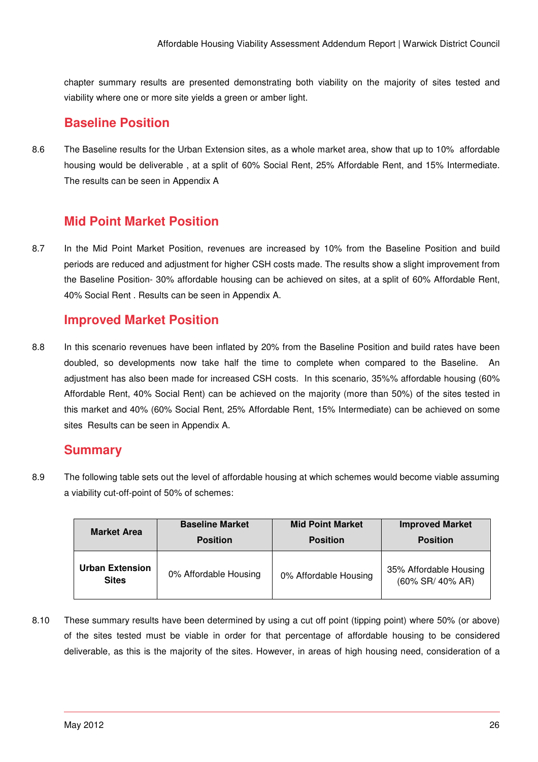chapter summary results are presented demonstrating both viability on the majority of sites tested and viability where one or more site yields a green or amber light.

## **Baseline Position**

8.6 The Baseline results for the Urban Extension sites, as a whole market area, show that up to 10% affordable housing would be deliverable, at a split of 60% Social Rent, 25% Affordable Rent, and 15% Intermediate. The results can be seen in Appendix A

## **Mid Point Market Position**

8.7 In the Mid Point Market Position, revenues are increased by 10% from the Baseline Position and build periods are reduced and adjustment for higher CSH costs made. The results show a slight improvement from the Baseline Position- 30% affordable housing can be achieved on sites, at a split of 60% Affordable Rent, 40% Social Rent . Results can be seen in Appendix A.

## **Improved Market Position**

8.8 In this scenario revenues have been inflated by 20% from the Baseline Position and build rates have been doubled, so developments now take half the time to complete when compared to the Baseline. An adjustment has also been made for increased CSH costs. In this scenario, 35%% affordable housing (60% Affordable Rent, 40% Social Rent) can be achieved on the majority (more than 50%) of the sites tested in this market and 40% (60% Social Rent, 25% Affordable Rent, 15% Intermediate) can be achieved on some sites Results can be seen in Appendix A.

### **Summary**

8.9 The following table sets out the level of affordable housing at which schemes would become viable assuming a viability cut-off-point of 50% of schemes:

| <b>Market Area</b>                     | <b>Baseline Market</b> | <b>Mid Point Market</b> | <b>Improved Market</b>                     |
|----------------------------------------|------------------------|-------------------------|--------------------------------------------|
|                                        | <b>Position</b>        | <b>Position</b>         | <b>Position</b>                            |
| <b>Urban Extension</b><br><b>Sites</b> | 0% Affordable Housing  | 0% Affordable Housing   | 35% Affordable Housing<br>(60% SR/ 40% AR) |

8.10 These summary results have been determined by using a cut off point (tipping point) where 50% (or above) of the sites tested must be viable in order for that percentage of affordable housing to be considered deliverable, as this is the majority of the sites. However, in areas of high housing need, consideration of a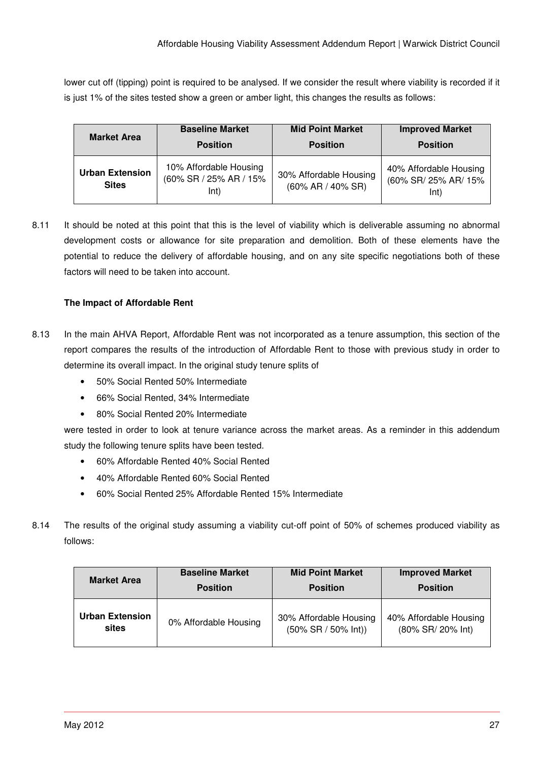lower cut off (tipping) point is required to be analysed. If we consider the result where viability is recorded if it is just 1% of the sites tested show a green or amber light, this changes the results as follows:

| <b>Market Area</b>                     | <b>Baseline Market</b>                                   | <b>Mid Point Market</b>                          | <b>Improved Market</b>                                 |
|----------------------------------------|----------------------------------------------------------|--------------------------------------------------|--------------------------------------------------------|
|                                        | <b>Position</b>                                          | <b>Position</b>                                  | <b>Position</b>                                        |
| <b>Urban Extension</b><br><b>Sites</b> | 10% Affordable Housing<br>(60% SR / 25% AR / 15%<br>lnt) | 30% Affordable Housing<br>$(60\%$ AR $/$ 40% SR) | 40% Affordable Housing<br>(60% SR/ 25% AR/ 15%<br>lnt) |

8.11 It should be noted at this point that this is the level of viability which is deliverable assuming no abnormal development costs or allowance for site preparation and demolition. Both of these elements have the potential to reduce the delivery of affordable housing, and on any site specific negotiations both of these factors will need to be taken into account.

#### **The Impact of Affordable Rent**

- 8.13 In the main AHVA Report, Affordable Rent was not incorporated as a tenure assumption, this section of the report compares the results of the introduction of Affordable Rent to those with previous study in order to determine its overall impact. In the original study tenure splits of
	- 50% Social Rented 50% Intermediate
	- 66% Social Rented, 34% Intermediate
	- 80% Social Rented 20% Intermediate

were tested in order to look at tenure variance across the market areas. As a reminder in this addendum study the following tenure splits have been tested.

- 60% Affordable Rented 40% Social Rented
- 40% Affordable Rented 60% Social Rented
- 60% Social Rented 25% Affordable Rented 15% Intermediate
- 8.14 The results of the original study assuming a viability cut-off point of 50% of schemes produced viability as follows:

| <b>Market Area</b>     | <b>Baseline Market</b> | <b>Mid Point Market</b>  | <b>Improved Market</b> |
|------------------------|------------------------|--------------------------|------------------------|
|                        | <b>Position</b>        | <b>Position</b>          | <b>Position</b>        |
| <b>Urban Extension</b> | 0% Affordable Housing  | 30% Affordable Housing   | 40% Affordable Housing |
| sites                  |                        | $(50\%$ SR $/$ 50% Int)) | (80% SR/ 20% Int)      |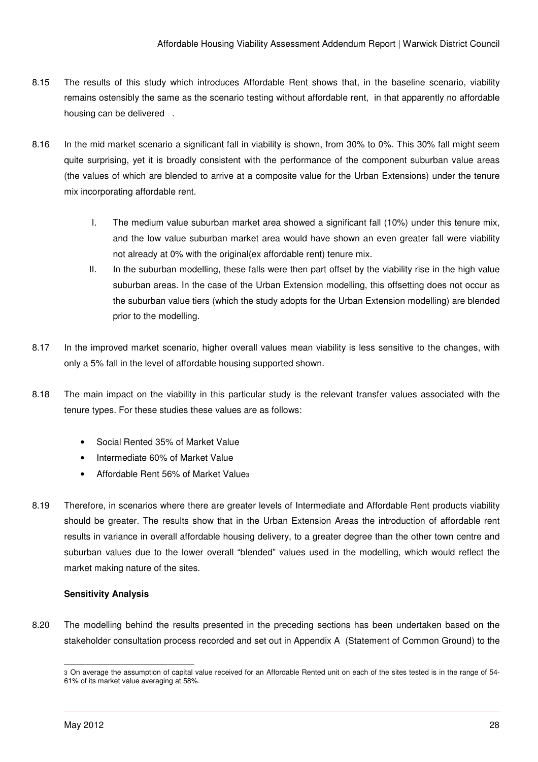- 8.15 The results of this study which introduces Affordable Rent shows that, in the baseline scenario, viability remains ostensibly the same as the scenario testing without affordable rent, in that apparently no affordable housing can be delivered .
- 8.16 In the mid market scenario a significant fall in viability is shown, from 30% to 0%. This 30% fall might seem quite surprising, yet it is broadly consistent with the performance of the component suburban value areas (the values of which are blended to arrive at a composite value for the Urban Extensions) under the tenure mix incorporating affordable rent.
	- I. The medium value suburban market area showed a significant fall (10%) under this tenure mix, and the low value suburban market area would have shown an even greater fall were viability not already at 0% with the original(ex affordable rent) tenure mix.
	- II. In the suburban modelling, these falls were then part offset by the viability rise in the high value suburban areas. In the case of the Urban Extension modelling, this offsetting does not occur as the suburban value tiers (which the study adopts for the Urban Extension modelling) are blended prior to the modelling.
- 8.17 In the improved market scenario, higher overall values mean viability is less sensitive to the changes, with only a 5% fall in the level of affordable housing supported shown.
- 8.18 The main impact on the viability in this particular study is the relevant transfer values associated with the tenure types. For these studies these values are as follows:
	- Social Rented 35% of Market Value
	- Intermediate 60% of Market Value
	- Affordable Rent 56% of Market Value<sub>3</sub>
- 8.19 Therefore, in scenarios where there are greater levels of Intermediate and Affordable Rent products viability should be greater. The results show that in the Urban Extension Areas the introduction of affordable rent results in variance in overall affordable housing delivery, to a greater degree than the other town centre and suburban values due to the lower overall "blended" values used in the modelling, which would reflect the market making nature of the sites.

#### **Sensitivity Analysis**

8.20 The modelling behind the results presented in the preceding sections has been undertaken based on the stakeholder consultation process recorded and set out in Appendix A (Statement of Common Ground) to the

<sup>-</sup>3 On average the assumption of capital value received for an Affordable Rented unit on each of the sites tested is in the range of 54- 61% of its market value averaging at 58%.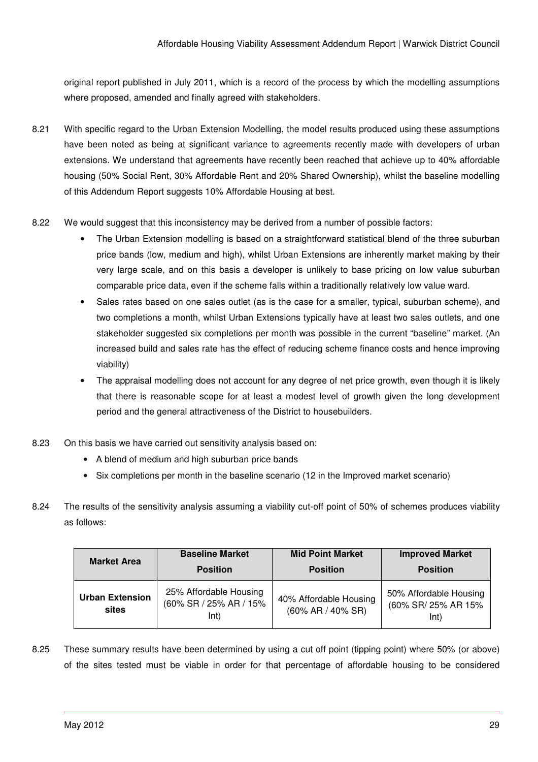original report published in July 2011, which is a record of the process by which the modelling assumptions where proposed, amended and finally agreed with stakeholders.

- 8.21 With specific regard to the Urban Extension Modelling, the model results produced using these assumptions have been noted as being at significant variance to agreements recently made with developers of urban extensions. We understand that agreements have recently been reached that achieve up to 40% affordable housing (50% Social Rent, 30% Affordable Rent and 20% Shared Ownership), whilst the baseline modelling of this Addendum Report suggests 10% Affordable Housing at best.
- 8.22 We would suggest that this inconsistency may be derived from a number of possible factors:
	- The Urban Extension modelling is based on a straightforward statistical blend of the three suburban price bands (low, medium and high), whilst Urban Extensions are inherently market making by their very large scale, and on this basis a developer is unlikely to base pricing on low value suburban comparable price data, even if the scheme falls within a traditionally relatively low value ward.
	- Sales rates based on one sales outlet (as is the case for a smaller, typical, suburban scheme), and two completions a month, whilst Urban Extensions typically have at least two sales outlets, and one stakeholder suggested six completions per month was possible in the current "baseline" market. (An increased build and sales rate has the effect of reducing scheme finance costs and hence improving viability)
	- The appraisal modelling does not account for any degree of net price growth, even though it is likely that there is reasonable scope for at least a modest level of growth given the long development period and the general attractiveness of the District to housebuilders.
- 8.23 On this basis we have carried out sensitivity analysis based on:
	- A blend of medium and high suburban price bands
	- Six completions per month in the baseline scenario (12 in the Improved market scenario)
- 8.24 The results of the sensitivity analysis assuming a viability cut-off point of 50% of schemes produces viability as follows:

| <b>Market Area</b>              | <b>Baseline Market</b>                                   | <b>Mid Point Market</b>                          | <b>Improved Market</b>                                |
|---------------------------------|----------------------------------------------------------|--------------------------------------------------|-------------------------------------------------------|
|                                 | <b>Position</b>                                          | <b>Position</b>                                  | <b>Position</b>                                       |
| <b>Urban Extension</b><br>sites | 25% Affordable Housing<br>(60% SR / 25% AR / 15%<br>Int) | 40% Affordable Housing<br>$(60\%$ AR $/$ 40% SR) | 50% Affordable Housing<br>(60% SR/ 25% AR 15%<br>lnt) |

8.25 These summary results have been determined by using a cut off point (tipping point) where 50% (or above) of the sites tested must be viable in order for that percentage of affordable housing to be considered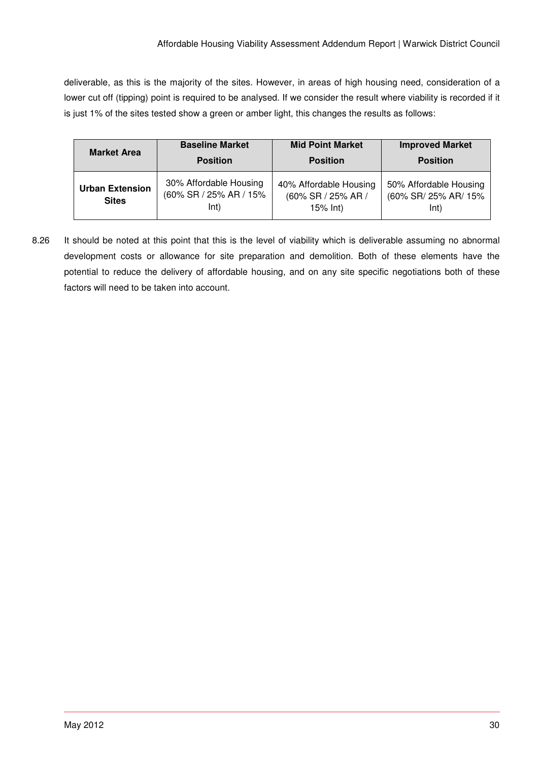deliverable, as this is the majority of the sites. However, in areas of high housing need, consideration of a lower cut off (tipping) point is required to be analysed. If we consider the result where viability is recorded if it is just 1% of the sites tested show a green or amber light, this changes the results as follows:

| <b>Market Area</b>                     | <b>Baseline Market</b>                                   | <b>Mid Point Market</b>                                     | <b>Improved Market</b>                                 |
|----------------------------------------|----------------------------------------------------------|-------------------------------------------------------------|--------------------------------------------------------|
|                                        | <b>Position</b>                                          | <b>Position</b>                                             | <b>Position</b>                                        |
| <b>Urban Extension</b><br><b>Sites</b> | 30% Affordable Housing<br>(60% SR / 25% AR / 15%<br>lnt) | 40% Affordable Housing<br>(60% SR / 25% AR /<br>$15\%$ lnt) | 50% Affordable Housing<br>(60% SR/ 25% AR/ 15%<br>lnt) |

8.26 It should be noted at this point that this is the level of viability which is deliverable assuming no abnormal development costs or allowance for site preparation and demolition. Both of these elements have the potential to reduce the delivery of affordable housing, and on any site specific negotiations both of these factors will need to be taken into account.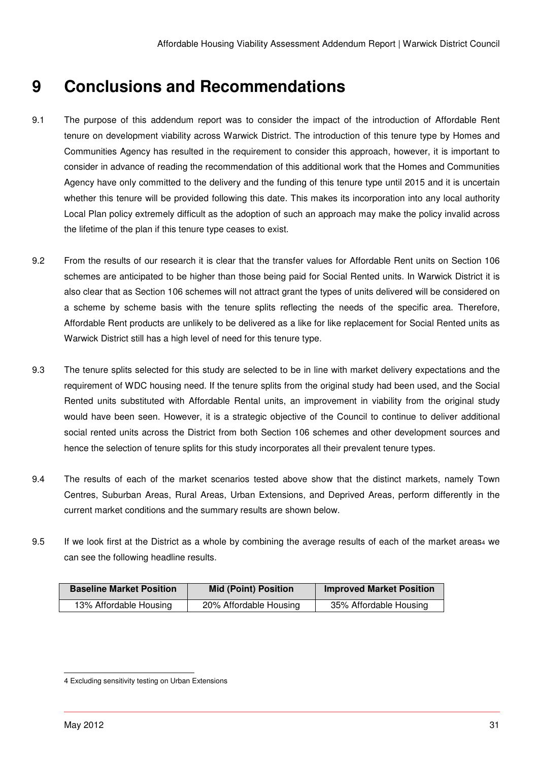# **9 Conclusions and Recommendations**

- 9.1 The purpose of this addendum report was to consider the impact of the introduction of Affordable Rent tenure on development viability across Warwick District. The introduction of this tenure type by Homes and Communities Agency has resulted in the requirement to consider this approach, however, it is important to consider in advance of reading the recommendation of this additional work that the Homes and Communities Agency have only committed to the delivery and the funding of this tenure type until 2015 and it is uncertain whether this tenure will be provided following this date. This makes its incorporation into any local authority Local Plan policy extremely difficult as the adoption of such an approach may make the policy invalid across the lifetime of the plan if this tenure type ceases to exist.
- 9.2 From the results of our research it is clear that the transfer values for Affordable Rent units on Section 106 schemes are anticipated to be higher than those being paid for Social Rented units. In Warwick District it is also clear that as Section 106 schemes will not attract grant the types of units delivered will be considered on a scheme by scheme basis with the tenure splits reflecting the needs of the specific area. Therefore, Affordable Rent products are unlikely to be delivered as a like for like replacement for Social Rented units as Warwick District still has a high level of need for this tenure type.
- 9.3 The tenure splits selected for this study are selected to be in line with market delivery expectations and the requirement of WDC housing need. If the tenure splits from the original study had been used, and the Social Rented units substituted with Affordable Rental units, an improvement in viability from the original study would have been seen. However, it is a strategic objective of the Council to continue to deliver additional social rented units across the District from both Section 106 schemes and other development sources and hence the selection of tenure splits for this study incorporates all their prevalent tenure types.
- 9.4 The results of each of the market scenarios tested above show that the distinct markets, namely Town Centres, Suburban Areas, Rural Areas, Urban Extensions, and Deprived Areas, perform differently in the current market conditions and the summary results are shown below.
- 9.5 If we look first at the District as a whole by combining the average results of each of the market areas4 we can see the following headline results.

| <b>Baseline Market Position</b> | <b>Mid (Point) Position</b> | <b>Improved Market Position</b> |
|---------------------------------|-----------------------------|---------------------------------|
| 13% Affordable Housing          | 20% Affordable Housing      | 35% Affordable Housing          |

l 4 Excluding sensitivity testing on Urban Extensions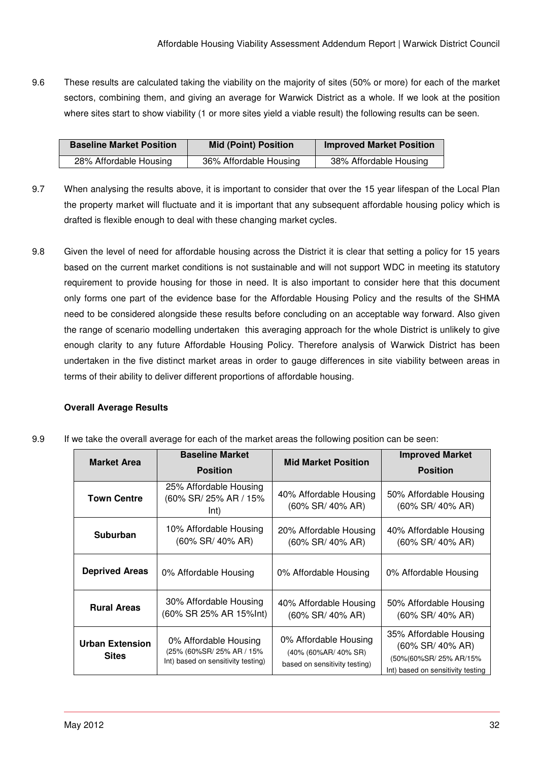9.6 These results are calculated taking the viability on the majority of sites (50% or more) for each of the market sectors, combining them, and giving an average for Warwick District as a whole. If we look at the position where sites start to show viability (1 or more sites yield a viable result) the following results can be seen.

| <b>Baseline Market Position</b> | <b>Mid (Point) Position</b> | <b>Improved Market Position</b> |
|---------------------------------|-----------------------------|---------------------------------|
| 28% Affordable Housing          | 36% Affordable Housing      | 38% Affordable Housing          |

- 9.7 When analysing the results above, it is important to consider that over the 15 year lifespan of the Local Plan the property market will fluctuate and it is important that any subsequent affordable housing policy which is drafted is flexible enough to deal with these changing market cycles.
- 9.8 Given the level of need for affordable housing across the District it is clear that setting a policy for 15 years based on the current market conditions is not sustainable and will not support WDC in meeting its statutory requirement to provide housing for those in need. It is also important to consider here that this document only forms one part of the evidence base for the Affordable Housing Policy and the results of the SHMA need to be considered alongside these results before concluding on an acceptable way forward. Also given the range of scenario modelling undertaken this averaging approach for the whole District is unlikely to give enough clarity to any future Affordable Housing Policy. Therefore analysis of Warwick District has been undertaken in the five distinct market areas in order to gauge differences in site viability between areas in terms of their ability to deliver different proportions of affordable housing.

#### **Overall Average Results**

9.9 If we take the overall average for each of the market areas the following position can be seen:

| <b>Market Area</b>                     | <b>Baseline Market</b><br><b>Position</b>                                                | <b>Mid Market Position</b>                                                     | <b>Improved Market</b><br><b>Position</b>                                                                |
|----------------------------------------|------------------------------------------------------------------------------------------|--------------------------------------------------------------------------------|----------------------------------------------------------------------------------------------------------|
| <b>Town Centre</b>                     | 25% Affordable Housing<br>(60% SR/ 25% AR / 15%<br>Int)                                  | 40% Affordable Housing<br>$(60\%$ SR/ 40% AR)                                  | 50% Affordable Housing<br>(60% SR/ 40% AR)                                                               |
| <b>Suburban</b>                        | 10% Affordable Housing<br>$(60\%$ SR/ 40% AR)                                            | 20% Affordable Housing<br>$(60\%$ SR/ 40% AR)                                  | 40% Affordable Housing<br>(60% SR/ 40% AR)                                                               |
| <b>Deprived Areas</b>                  | 0% Affordable Housing                                                                    | 0% Affordable Housing                                                          | 0% Affordable Housing                                                                                    |
| <b>Rural Areas</b>                     | 30% Affordable Housing<br>(60% SR 25% AR 15%lnt)                                         | 40% Affordable Housing<br>$(60\%$ SR/ 40% AR)                                  | 50% Affordable Housing<br>(60% SR/ 40% AR)                                                               |
| <b>Urban Extension</b><br><b>Sites</b> | 0% Affordable Housing<br>(25% (60%SR/ 25% AR / 15%<br>Int) based on sensitivity testing) | 0% Affordable Housing<br>(40% (60%AR/ 40% SR)<br>based on sensitivity testing) | 35% Affordable Housing<br>(60% SR/ 40% AR)<br>(50%(60%SR/25% AR/15%<br>Int) based on sensitivity testing |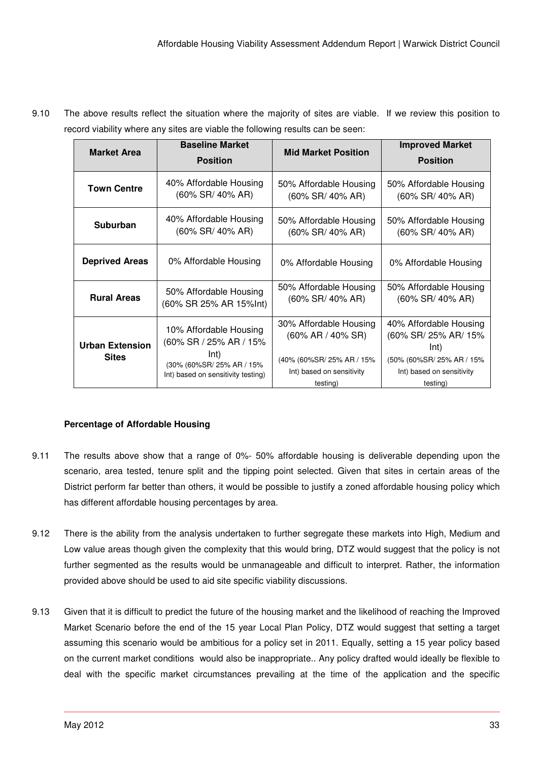| <b>Market Area</b>                     | <b>Baseline Market</b><br><b>Position</b>                                                                                   | <b>Mid Market Position</b>                                                                                            | <b>Improved Market</b><br><b>Position</b>                                                                                    |
|----------------------------------------|-----------------------------------------------------------------------------------------------------------------------------|-----------------------------------------------------------------------------------------------------------------------|------------------------------------------------------------------------------------------------------------------------------|
| <b>Town Centre</b>                     | 40% Affordable Housing                                                                                                      | 50% Affordable Housing                                                                                                | 50% Affordable Housing                                                                                                       |
|                                        | $(60\%$ SR/ 40% AR)                                                                                                         | $(60\%$ SR/ 40% AR)                                                                                                   | (60% SR/ 40% AR)                                                                                                             |
| <b>Suburban</b>                        | 40% Affordable Housing                                                                                                      | 50% Affordable Housing                                                                                                | 50% Affordable Housing                                                                                                       |
|                                        | (60% SR/ 40% AR)                                                                                                            | (60% SR/ 40% AR)                                                                                                      | $(60\%$ SR/ 40% AR)                                                                                                          |
| <b>Deprived Areas</b>                  | 0% Affordable Housing                                                                                                       | 0% Affordable Housing                                                                                                 | 0% Affordable Housing                                                                                                        |
| <b>Rural Areas</b>                     | 50% Affordable Housing                                                                                                      | 50% Affordable Housing                                                                                                | 50% Affordable Housing                                                                                                       |
|                                        | (60% SR 25% AR 15%lnt)                                                                                                      | $(60\%$ SR/ 40% AR)                                                                                                   | $(60\%$ SR/ 40% AR)                                                                                                          |
| <b>Urban Extension</b><br><b>Sites</b> | 10% Affordable Housing<br>(60% SR / 25% AR / 15%<br>Int)<br>(30% (60%SR/25% AR / 15%)<br>Int) based on sensitivity testing) | 30% Affordable Housing<br>$(60\%$ AR / 40% SR)<br>(40% (60%SR/ 25% AR / 15%)<br>Int) based on sensitivity<br>testing) | 40% Affordable Housing<br>(60% SR/ 25% AR/ 15%<br>Int)<br>(50% (60%SR/ 25% AR / 15%<br>Int) based on sensitivity<br>testing) |

9.10 The above results reflect the situation where the majority of sites are viable. If we review this position to record viability where any sites are viable the following results can be seen:

#### **Percentage of Affordable Housing**

- 9.11 The results above show that a range of 0%- 50% affordable housing is deliverable depending upon the scenario, area tested, tenure split and the tipping point selected. Given that sites in certain areas of the District perform far better than others, it would be possible to justify a zoned affordable housing policy which has different affordable housing percentages by area.
- 9.12 There is the ability from the analysis undertaken to further segregate these markets into High, Medium and Low value areas though given the complexity that this would bring, DTZ would suggest that the policy is not further segmented as the results would be unmanageable and difficult to interpret. Rather, the information provided above should be used to aid site specific viability discussions.
- 9.13 Given that it is difficult to predict the future of the housing market and the likelihood of reaching the Improved Market Scenario before the end of the 15 year Local Plan Policy, DTZ would suggest that setting a target assuming this scenario would be ambitious for a policy set in 2011. Equally, setting a 15 year policy based on the current market conditions would also be inappropriate.. Any policy drafted would ideally be flexible to deal with the specific market circumstances prevailing at the time of the application and the specific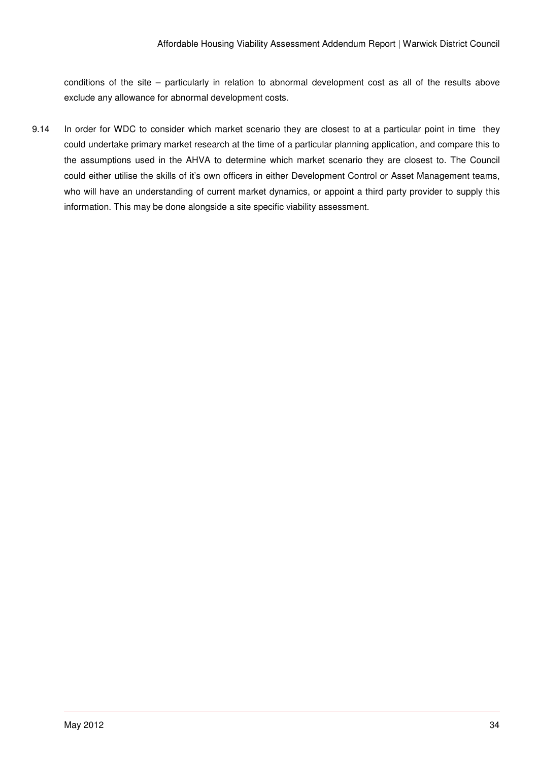conditions of the site – particularly in relation to abnormal development cost as all of the results above exclude any allowance for abnormal development costs.

9.14 In order for WDC to consider which market scenario they are closest to at a particular point in time they could undertake primary market research at the time of a particular planning application, and compare this to the assumptions used in the AHVA to determine which market scenario they are closest to. The Council could either utilise the skills of it's own officers in either Development Control or Asset Management teams, who will have an understanding of current market dynamics, or appoint a third party provider to supply this information. This may be done alongside a site specific viability assessment.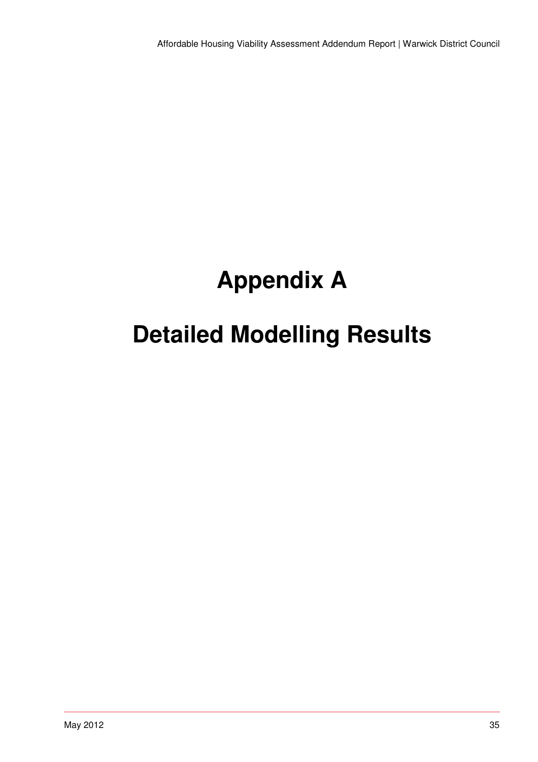# **Appendix A**

# **Detailed Modelling Results**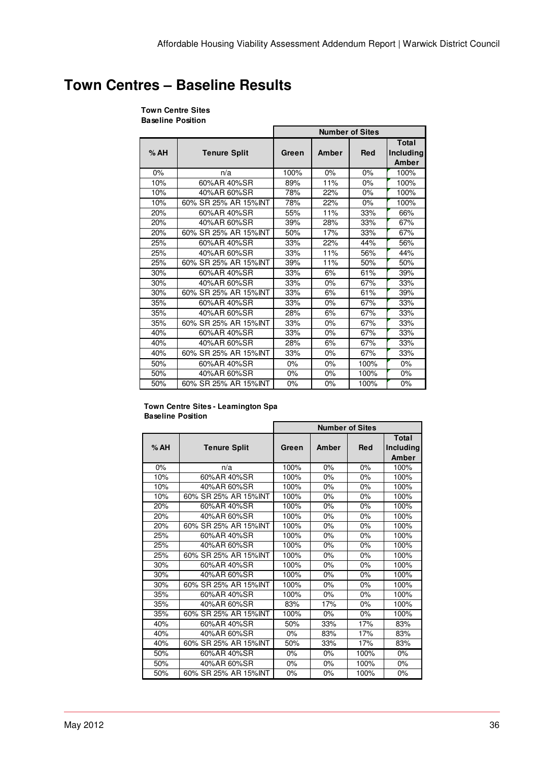## **Town Centres – Baseline Results**

## **Town Centre Sites**

**Baseline Position**

|     |                       | <b>Number of Sites</b> |       |            |                                    |
|-----|-----------------------|------------------------|-------|------------|------------------------------------|
| %AH | <b>Tenure Split</b>   | Green                  | Amber | <b>Red</b> | <b>Total</b><br>Including<br>Amber |
| 0%  | n/a                   | 100%                   | 0%    | 0%         | 100%                               |
| 10% | 60%AR 40%SR           | 89%                    | 11%   | 0%         | 100%                               |
| 10% | 40%AR 60%SR           | 78%                    | 22%   | 0%         | 100%                               |
| 10% | 60% SR 25% AR 15% INT | 78%                    | 22%   | 0%         | 100%                               |
| 20% | 60%AR 40%SR           | 55%                    | 11%   | 33%        | 66%                                |
| 20% | 40%AR 60%SR           | 39%                    | 28%   | 33%        | 67%                                |
| 20% | 60% SR 25% AR 15% INT | 50%                    | 17%   | 33%        | 67%                                |
| 25% | 60%AR 40%SR           | 33%                    | 22%   | 44%        | 56%                                |
| 25% | 40%AR 60%SR           | 33%                    | 11%   | 56%        | 44%                                |
| 25% | 60% SR 25% AR 15%INT  | 39%                    | 11%   | 50%        | 50%                                |
| 30% | 60%AR 40%SR           | 33%                    | 6%    | 61%        | 39%                                |
| 30% | 40%AR 60%SR           | 33%                    | 0%    | 67%        | 33%                                |
| 30% | 60% SR 25% AR 15% INT | 33%                    | 6%    | 61%        | 39%                                |
| 35% | 60%AR 40%SR           | 33%                    | $0\%$ | 67%        | 33%                                |
| 35% | 40%AR 60%SR           | 28%                    | 6%    | 67%        | 33%                                |
| 35% | 60% SR 25% AR 15% INT | 33%                    | 0%    | 67%        | 33%                                |
| 40% | 60%AR 40%SR           | 33%                    | 0%    | 67%        | 33%                                |
| 40% | 40%AR 60%SR           | 28%                    | 6%    | 67%        | 33%                                |
| 40% | 60% SR 25% AR 15% INT | 33%                    | 0%    | 67%        | 33%                                |
| 50% | 60%AR 40%SR           | 0%                     | 0%    | 100%       | 0%                                 |
| 50% | 40%AR 60%SR           | 0%                     | 0%    | 100%       | 0%                                 |
| 50% | 60% SR 25% AR 15%INT  | 0%                     | 0%    | 100%       | 0%                                 |

#### **Town Centre Sites - Leamington Spa Baseline Position**

|     |                       | <b>Number of Sites</b> |       |            |                                    |  |
|-----|-----------------------|------------------------|-------|------------|------------------------------------|--|
| %AH | <b>Tenure Split</b>   | Green                  | Amber | <b>Red</b> | <b>Total</b><br>Including<br>Amber |  |
| 0%  | n/a                   | 100%                   | 0%    | 0%         | 100%                               |  |
| 10% | 60%AR 40%SR           | 100%                   | 0%    | 0%         | 100%                               |  |
| 10% | 40%AR 60%SR           | 100%                   | 0%    | 0%         | 100%                               |  |
| 10% | 60% SR 25% AR 15%INT  | 100%                   | 0%    | $0\%$      | 100%                               |  |
| 20% | 60%AR 40%SR           | 100%                   | 0%    | 0%         | 100%                               |  |
| 20% | 40%AR 60%SR           | 100%                   | 0%    | 0%         | 100%                               |  |
| 20% | 60% SR 25% AR 15%INT  | 100%                   | 0%    | $0\%$      | 100%                               |  |
| 25% | 60%AR 40%SR           | 100%                   | 0%    | 0%         | 100%                               |  |
| 25% | 40%AR 60%SR           | 100%                   | 0%    | $0\%$      | 100%                               |  |
| 25% | 60% SR 25% AR 15%INT  | 100%                   | 0%    | 0%         | 100%                               |  |
| 30% | 60%AR 40%SR           | 100%                   | 0%    | $0\%$      | 100%                               |  |
| 30% | 40%AR 60%SR           | 100%                   | $0\%$ | $0\%$      | 100%                               |  |
| 30% | 60% SR 25% AR 15%INT  | 100%                   | 0%    | $0\%$      | 100%                               |  |
| 35% | 60%AR 40%SR           | 100%                   | 0%    | $0\%$      | 100%                               |  |
| 35% | 40%AR 60%SR           | 83%                    | 17%   | 0%         | 100%                               |  |
| 35% | 60% SR 25% AR 15%INT  | 100%                   | 0%    | 0%         | 100%                               |  |
| 40% | 60%AR 40%SR           | 50%                    | 33%   | 17%        | 83%                                |  |
| 40% | 40%AR 60%SR           | 0%                     | 83%   | 17%        | 83%                                |  |
| 40% | 60% SR 25% AR 15% INT | 50%                    | 33%   | 17%        | 83%                                |  |
| 50% | 60%AR 40%SR           | 0%                     | 0%    | 100%       | 0%                                 |  |
| 50% | 40%AR 60%SR           | 0%                     | 0%    | 100%       | 0%                                 |  |
| 50% | 60% SR 25% AR 15%INT  | 0%                     | 0%    | 100%       | 0%                                 |  |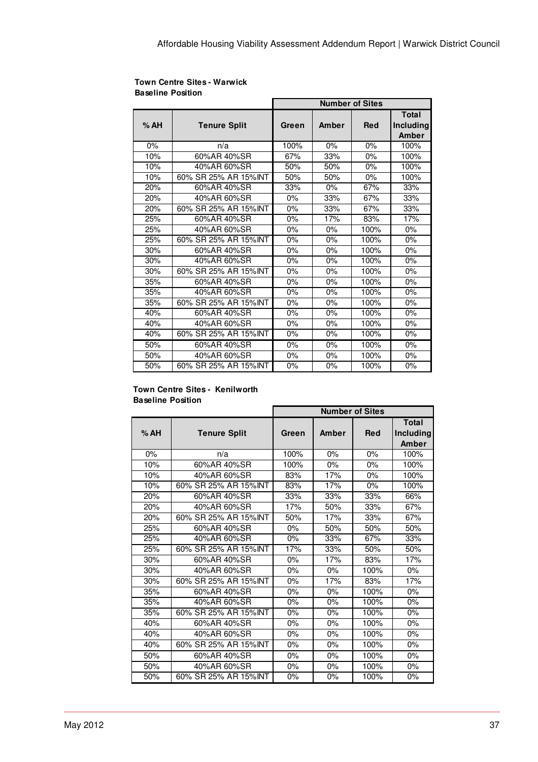|     |                       | <b>Number of Sites</b> |       |            |                                           |
|-----|-----------------------|------------------------|-------|------------|-------------------------------------------|
| %AH | <b>Tenure Split</b>   | Green                  | Amber | <b>Red</b> | <b>Total</b><br><b>Including</b><br>Amber |
| 0%  | n/a                   | 100%                   | 0%    | 0%         | 100%                                      |
| 10% | 60%AR 40%SR           | 67%                    | 33%   | 0%         | 100%                                      |
| 10% | 40%AR 60%SR           | 50%                    | 50%   | $0\%$      | 100%                                      |
| 10% | 60% SR 25% AR 15%INT  | 50%                    | 50%   | 0%         | 100%                                      |
| 20% | 60%AR 40%SR           | 33%                    | $0\%$ | 67%        | 33%                                       |
| 20% | 40%AR 60%SR           | $0\%$                  | 33%   | 67%        | 33%                                       |
| 20% | 60% SR 25% AR 15% INT | 0%                     | 33%   | 67%        | 33%                                       |
| 25% | 60%AR 40%SR           | 0%                     | 17%   | 83%        | 17%                                       |
| 25% | 40%AR 60%SR           | 0%                     | 0%    | 100%       | 0%                                        |
| 25% | 60% SR 25% AR 15% INT | 0%                     | 0%    | 100%       | 0%                                        |
| 30% | 60%AR 40%SR           | 0%                     | 0%    | 100%       | 0%                                        |
| 30% | 40%AR 60%SR           | 0%                     | 0%    | 100%       | 0%                                        |
| 30% | 60% SR 25% AR 15%INT  | 0%                     | 0%    | 100%       | 0%                                        |
| 35% | 60%AR 40%SR           | 0%                     | 0%    | 100%       | 0%                                        |
| 35% | 40%AR 60%SR           | 0%                     | 0%    | 100%       | 0%                                        |
| 35% | 60% SR 25% AR 15% INT | 0%                     | 0%    | 100%       | 0%                                        |
| 40% | 60%AR 40%SR           | 0%                     | 0%    | 100%       | 0%                                        |
| 40% | 40%AR 60%SR           | 0%                     | 0%    | 100%       | 0%                                        |
| 40% | 60% SR 25% AR 15% INT | $0\%$                  | $0\%$ | 100%       | $0\%$                                     |
| 50% | 60%AR 40%SR           | 0%                     | 0%    | 100%       | 0%                                        |
| 50% | 40%AR 60%SR           | 0%                     | 0%    | 100%       | $0\%$                                     |
| 50% | 60% SR 25% AR 15%INT  | 0%                     | 0%    | 100%       | 0%                                        |

#### **Town Centre Sites - Warwick Baseline Position**

#### **Town Centre Sites - Kenilworth Baseline Position**

|     |                       | <b>Number of Sites</b> |       |            |              |
|-----|-----------------------|------------------------|-------|------------|--------------|
|     |                       |                        |       |            | <b>Total</b> |
| %AH | <b>Tenure Split</b>   | Green                  | Amber | <b>Red</b> | Including    |
|     |                       |                        |       |            | Amber        |
| 0%  | n/a                   | 100%                   | 0%    | 0%         | 100%         |
| 10% | 60%AR 40%SR           | 100%                   | $0\%$ | 0%         | 100%         |
| 10% | 40%AR 60%SR           | 83%                    | 17%   | 0%         | 100%         |
| 10% | 60% SR 25% AR 15%INT  | 83%                    | 17%   | $0\%$      | 100%         |
| 20% | 60%AR 40%SR           | 33%                    | 33%   | 33%        | 66%          |
| 20% | 40%AR 60%SR           | 17%                    | 50%   | 33%        | 67%          |
| 20% | 60% SR 25% AR 15%INT  | 50%                    | 17%   | 33%        | 67%          |
| 25% | 60%AR 40%SR           | 0%                     | 50%   | 50%        | 50%          |
| 25% | 40%AR 60%SR           | $0\%$                  | 33%   | 67%        | 33%          |
| 25% | 60% SR 25% AR 15%INT  | 17%                    | 33%   | 50%        | 50%          |
| 30% | 60%AR 40%SR           | $0\%$                  | 17%   | 83%        | 17%          |
| 30% | 40%AR 60%SR           | $0\%$                  | $0\%$ | 100%       | $0\%$        |
| 30% | 60% SR 25% AR 15% INT | 0%                     | 17%   | 83%        | 17%          |
| 35% | 60%AR 40%SR           | 0%                     | 0%    | 100%       | $0\%$        |
| 35% | 40%AR 60%SR           | 0%                     | $0\%$ | 100%       | 0%           |
| 35% | 60% SR 25% AR 15%INT  | 0%                     | $0\%$ | 100%       | 0%           |
| 40% | 60%AR 40%SR           | 0%                     | $0\%$ | 100%       | 0%           |
| 40% | 40%AR 60%SR           | 0%                     | $0\%$ | 100%       | 0%           |
| 40% | 60% SR 25% AR 15%INT  | $0\%$                  | $0\%$ | 100%       | $0\%$        |
| 50% | 60%AR 40%SR           | 0%                     | $0\%$ | 100%       | 0%           |
| 50% | 40%AR 60%SR           | $0\%$                  | 0%    | 100%       | 0%           |
| 50% | 60% SR 25% AR 15%INT  | 0%                     | 0%    | 100%       | 0%           |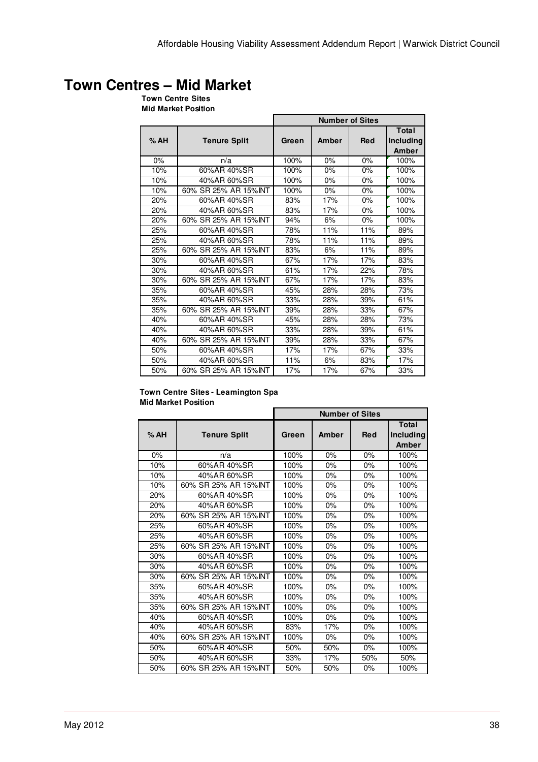# **Town Centres – Mid Market**

**Town Centre Sites Mid Market Position**

|     |                       | <b>Number of Sites</b> |       |            |                             |  |
|-----|-----------------------|------------------------|-------|------------|-----------------------------|--|
| %AH | <b>Tenure Split</b>   | Green                  | Amber | <b>Red</b> | Total<br>Including<br>Amber |  |
| 0%  | n/a                   | 100%                   | $0\%$ | $0\%$      | 100%                        |  |
| 10% | 60%AR 40%SR           | 100%                   | 0%    | $0\%$      | 100%                        |  |
| 10% | 40%AR 60%SR           | 100%                   | 0%    | 0%         | 100%                        |  |
| 10% | 60% SR 25% AR 15% INT | 100%                   | $0\%$ | 0%         | 100%                        |  |
| 20% | 60%AR 40%SR           | 83%                    | 17%   | 0%         | 100%                        |  |
| 20% | 40%AR 60%SR           | 83%                    | 17%   | 0%         | 100%                        |  |
| 20% | 60% SR 25% AR 15% INT | 94%                    | 6%    | 0%         | 100%                        |  |
| 25% | 60%AR 40%SR           | 78%                    | 11%   | 11%        | 89%                         |  |
| 25% | 40%AR 60%SR           | 78%                    | 11%   | 11%        | 89%                         |  |
| 25% | 60% SR 25% AR 15% INT | 83%                    | 6%    | 11%        | 89%                         |  |
| 30% | 60%AR 40%SR           | 67%                    | 17%   | 17%        | 83%                         |  |
| 30% | 40%AR 60%SR           | 61%                    | 17%   | 22%        | 78%                         |  |
| 30% | 60% SR 25% AR 15% INT | 67%                    | 17%   | 17%        | 83%                         |  |
| 35% | 60%AR 40%SR           | 45%                    | 28%   | 28%        | 73%                         |  |
| 35% | 40%AR 60%SR           | 33%                    | 28%   | 39%        | 61%                         |  |
| 35% | 60% SR 25% AR 15% INT | 39%                    | 28%   | 33%        | 67%                         |  |
| 40% | 60%AR 40%SR           | 45%                    | 28%   | 28%        | 73%                         |  |
| 40% | 40%AR 60%SR           | 33%                    | 28%   | 39%        | 61%                         |  |
| 40% | 60% SR 25% AR 15% INT | 39%                    | 28%   | 33%        | 67%                         |  |
| 50% | 60%AR 40%SR           | 17%                    | 17%   | 67%        | 33%                         |  |
| 50% | 40%AR 60%SR           | 11%                    | 6%    | 83%        | 17%                         |  |
| 50% | 60% SR 25% AR 15% INT | 17%                    | 17%   | 67%        | 33%                         |  |

#### **Town Centre Sites - Leamington Spa Mid Market Position**

|     |                       | <b>Number of Sites</b> |       |            |                                    |
|-----|-----------------------|------------------------|-------|------------|------------------------------------|
| %AH | <b>Tenure Split</b>   | Green                  | Amber | <b>Red</b> | <b>Total</b><br>Including<br>Amber |
| 0%  | n/a                   | 100%                   | 0%    | 0%         | 100%                               |
| 10% | 60%AR 40%SR           | 100%                   | 0%    | $0\%$      | 100%                               |
| 10% | 40%AR 60%SR           | 100%                   | 0%    | $0\%$      | 100%                               |
| 10% | 60% SR 25% AR 15% INT | 100%                   | 0%    | $0\%$      | 100%                               |
| 20% | 60%AR 40%SR           | 100%                   | $0\%$ | 0%         | 100%                               |
| 20% | 40%AR 60%SR           | 100%                   | 0%    | $0\%$      | 100%                               |
| 20% | 60% SR 25% AR 15% NT  | 100%                   | 0%    | $0\%$      | 100%                               |
| 25% | 60%AR 40%SR           | 100%                   | 0%    | 0%         | 100%                               |
| 25% | 40%AR 60%SR           | 100%                   | 0%    | 0%         | 100%                               |
| 25% | 60% SR 25% AR 15% INT | 100%                   | 0%    | $0\%$      | 100%                               |
| 30% | 60%AR 40%SR           | 100%                   | 0%    | $0\%$      | 100%                               |
| 30% | 40%AR 60%SR           | 100%                   | $0\%$ | $0\%$      | 100%                               |
| 30% | 60% SR 25% AR 15% INT | 100%                   | 0%    | $0\%$      | 100%                               |
| 35% | 60%AR 40%SR           | 100%                   | 0%    | $0\%$      | 100%                               |
| 35% | 40%AR 60%SR           | 100%                   | 0%    | $0\%$      | 100%                               |
| 35% | 60% SR 25% AR 15% INT | 100%                   | 0%    | 0%         | 100%                               |
| 40% | 60%AR 40%SR           | 100%                   | 0%    | $0\%$      | 100%                               |
| 40% | 40%AR 60%SR           | 83%                    | 17%   | 0%         | 100%                               |
| 40% | 60% SR 25% AR 15% INT | 100%                   | $0\%$ | $0\%$      | 100%                               |
| 50% | 60%AR 40%SR           | 50%                    | 50%   | $0\%$      | 100%                               |
| 50% | 40%AR 60%SR           | 33%                    | 17%   | 50%        | 50%                                |
| 50% | 60% SR 25% AR 15% INT | 50%                    | 50%   | 0%         | 100%                               |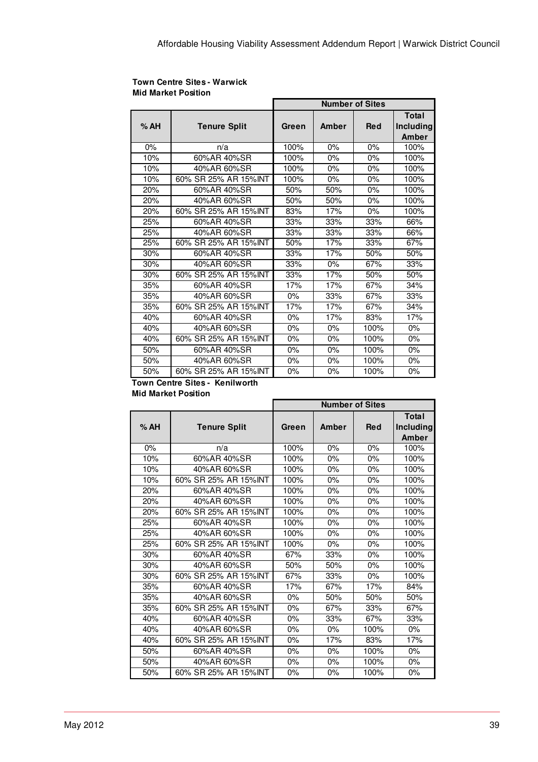#### **Town Centre Sites - Warwick Mid Market Position**

|     |                       | <b>Number of Sites</b> |       |            |                                    |
|-----|-----------------------|------------------------|-------|------------|------------------------------------|
| %AH | <b>Tenure Split</b>   | Green                  | Amber | <b>Red</b> | <b>Total</b><br>Including<br>Amber |
| 0%  | n/a                   | 100%                   | 0%    | 0%         | 100%                               |
| 10% | 60%AR 40%SR           | 100%                   | 0%    | $0\%$      | 100%                               |
| 10% | 40%AR 60%SR           | 100%                   | 0%    | $0\%$      | 100%                               |
| 10% | 60% SR 25% AR 15% INT | 100%                   | $0\%$ | $0\%$      | 100%                               |
| 20% | 60%AR 40%SR           | 50%                    | 50%   | $0\%$      | 100%                               |
| 20% | 40%AR 60%SR           | 50%                    | 50%   | $0\%$      | 100%                               |
| 20% | 60% SR 25% AR 15% INT | 83%                    | 17%   | $0\%$      | 100%                               |
| 25% | 60%AR 40%SR           | 33%                    | 33%   | 33%        | 66%                                |
| 25% | 40%AR 60%SR           | 33%                    | 33%   | 33%        | 66%                                |
| 25% | 60% SR 25% AR 15% INT | 50%                    | 17%   | 33%        | 67%                                |
| 30% | 60%AR 40%SR           | 33%                    | 17%   | 50%        | 50%                                |
| 30% | 40%AR 60%SR           | 33%                    | $0\%$ | 67%        | 33%                                |
| 30% | 60% SR 25% AR 15% INT | 33%                    | 17%   | 50%        | 50%                                |
| 35% | 60%AR 40%SR           | 17%                    | 17%   | 67%        | 34%                                |
| 35% | 40%AR 60%SR           | 0%                     | 33%   | 67%        | 33%                                |
| 35% | 60% SR 25% AR 15% INT | 17%                    | 17%   | 67%        | 34%                                |
| 40% | 60%AR 40%SR           | $0\%$                  | 17%   | 83%        | 17%                                |
| 40% | 40%AR 60%SR           | 0%                     | $0\%$ | 100%       | 0%                                 |
| 40% | 60% SR 25% AR 15% INT | $0\%$                  | $0\%$ | 100%       | 0%                                 |
| 50% | 60%AR 40%SR           | $0\%$                  | 0%    | 100%       | 0%                                 |
| 50% | 40%AR 60%SR           | $0\%$                  | $0\%$ | 100%       | 0%                                 |
| 50% | 60% SR 25% AR 15% INT | 0%                     | 0%    | 100%       | 0%                                 |

#### **Town Centre Sites - Kenilworth Mid Market Position**

|     |                       | <b>Number of Sites</b> |       |            |                                    |  |
|-----|-----------------------|------------------------|-------|------------|------------------------------------|--|
| %AH | <b>Tenure Split</b>   | Green                  | Amber | <b>Red</b> | <b>Total</b><br>Including<br>Amber |  |
| 0%  | n/a                   | 100%                   | 0%    | 0%         | 100%                               |  |
| 10% | 60%AR 40%SR           | 100%                   | $0\%$ | 0%         | 100%                               |  |
| 10% | 40%AR 60%SR           | 100%                   | $0\%$ | 0%         | 100%                               |  |
| 10% | 60% SR 25% AR 15% INT | 100%                   | 0%    | 0%         | 100%                               |  |
| 20% | 60%AR 40%SR           | 100%                   | 0%    | 0%         | 100%                               |  |
| 20% | 40%AR 60%SR           | 100%                   | $0\%$ | 0%         | 100%                               |  |
| 20% | 60% SR 25% AR 15% INT | 100%                   | $0\%$ | 0%         | 100%                               |  |
| 25% | 60%AR 40%SR           | 100%                   | $0\%$ | 0%         | 100%                               |  |
| 25% | 40%AR 60%SR           | 100%                   | 0%    | 0%         | 100%                               |  |
| 25% | 60% SR 25% AR 15%INT  | 100%                   | 0%    | 0%         | 100%                               |  |
| 30% | 60%AR 40%SR           | 67%                    | 33%   | 0%         | 100%                               |  |
| 30% | 40%AR 60%SR           | 50%                    | 50%   | 0%         | 100%                               |  |
| 30% | 60% SR 25% AR 15%INT  | 67%                    | 33%   | 0%         | 100%                               |  |
| 35% | 60%AR 40%SR           | 17%                    | 67%   | 17%        | 84%                                |  |
| 35% | 40%AR 60%SR           | $0\%$                  | 50%   | 50%        | 50%                                |  |
| 35% | 60% SR 25% AR 15%INT  | $0\%$                  | 67%   | 33%        | 67%                                |  |
| 40% | 60%AR 40%SR           | $0\%$                  | 33%   | 67%        | 33%                                |  |
| 40% | 40%AR 60%SR           | $0\%$                  | 0%    | 100%       | 0%                                 |  |
| 40% | 60% SR 25% AR 15% INT | 0%                     | 17%   | 83%        | 17%                                |  |
| 50% | 60%AR 40%SR           | $0\%$                  | 0%    | 100%       | 0%                                 |  |
| 50% | 40%AR 60%SR           | $0\%$                  | 0%    | 100%       | $0\%$                              |  |
| 50% | 60% SR 25% AR 15%INT  | 0%                     | 0%    | 100%       | 0%                                 |  |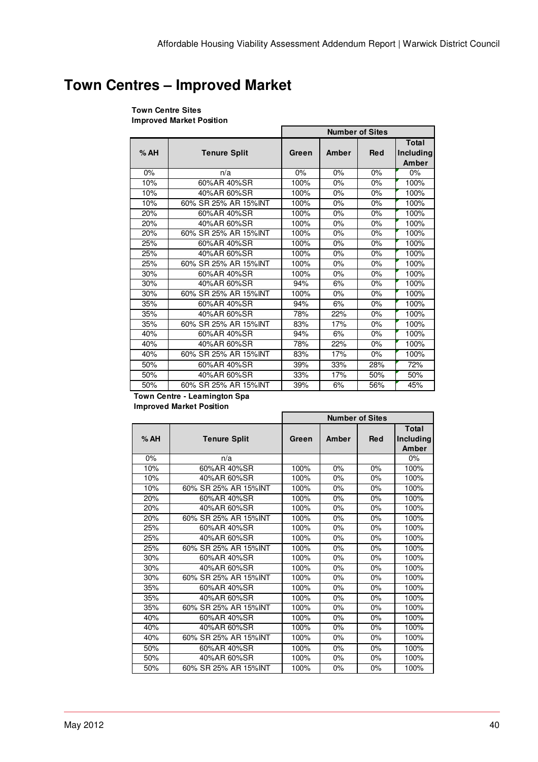# **Town Centres – Improved Market**

#### **Town Centre Sites Improved Market Position**

|     |                       | <b>Number of Sites</b> |       |            |                                    |
|-----|-----------------------|------------------------|-------|------------|------------------------------------|
| %AH | <b>Tenure Split</b>   | Green                  | Amber | <b>Red</b> | <b>Total</b><br>Including<br>Amber |
| 0%  | n/a                   | 0%                     | 0%    | 0%         | $0\%$                              |
| 10% | 60%AR 40%SR           | 100%                   | 0%    | 0%         | 100%                               |
| 10% | 40%AR 60%SR           | 100%                   | 0%    | 0%         | 100%                               |
| 10% | 60% SR 25% AR 15% INT | 100%                   | 0%    | 0%         | 100%                               |
| 20% | 60%AR 40%SR           | 100%                   | 0%    | 0%         | 100%                               |
| 20% | 40%AR 60%SR           | 100%                   | $0\%$ | $0\%$      | 100%                               |
| 20% | 60% SR 25% AR 15% INT | 100%                   | 0%    | 0%         | 100%                               |
| 25% | 60%AR 40%SR           | 100%                   | 0%    | 0%         | 100%                               |
| 25% | 40%AR 60%SR           | 100%                   | 0%    | 0%         | 100%                               |
| 25% | 60% SR 25% AR 15% INT | 100%                   | 0%    | 0%         | 100%                               |
| 30% | 60%AR 40%SR           | 100%                   | 0%    | 0%         | 100%                               |
| 30% | 40%AR 60%SR           | 94%                    | 6%    | 0%         | 100%                               |
| 30% | 60% SR 25% AR 15% INT | 100%                   | 0%    | 0%         | 100%                               |
| 35% | 60%AR 40%SR           | 94%                    | 6%    | 0%         | 100%                               |
| 35% | 40%AR 60%SR           | 78%                    | 22%   | 0%         | 100%                               |
| 35% | 60% SR 25% AR 15% INT | 83%                    | 17%   | 0%         | 100%                               |
| 40% | 60%AR 40%SR           | 94%                    | 6%    | 0%         | 100%                               |
| 40% | 40%AR 60%SR           | 78%                    | 22%   | 0%         | 100%                               |
| 40% | 60% SR 25% AR 15% INT | 83%                    | 17%   | 0%         | 100%                               |
| 50% | 60%AR 40%SR           | 39%                    | 33%   | 28%        | 72%                                |
| 50% | 40%AR 60%SR           | 33%                    | 17%   | 50%        | 50%                                |
| 50% | 60% SR 25% AR 15% INT | 39%                    | 6%    | 56%        | 45%                                |

**Town Centre - Leamington Spa**

| <b>Improved Market Position</b> |  |  |
|---------------------------------|--|--|
|---------------------------------|--|--|

|     |                       | <b>Number of Sites</b> |       |            |                             |
|-----|-----------------------|------------------------|-------|------------|-----------------------------|
| %AH | <b>Tenure Split</b>   | Green                  | Amber | <b>Red</b> | Total<br>Including<br>Amber |
| 0%  | n/a                   |                        |       |            | 0%                          |
| 10% | 60%AR 40%SR           | 100%                   | 0%    | 0%         | 100%                        |
| 10% | 40%AR 60%SR           | 100%                   | 0%    | 0%         | 100%                        |
| 10% | 60% SR 25% AR 15% INT | 100%                   | 0%    | 0%         | 100%                        |
| 20% | 60%AR 40%SR           | 100%                   | 0%    | 0%         | 100%                        |
| 20% | 40%AR 60%SR           | 100%                   | 0%    | 0%         | 100%                        |
| 20% | 60% SR 25% AR 15% INT | 100%                   | 0%    | 0%         | 100%                        |
| 25% | 60%AR 40%SR           | 100%                   | 0%    | 0%         | 100%                        |
| 25% | 40%AR 60%SR           | 100%                   | 0%    | 0%         | 100%                        |
| 25% | 60% SR 25% AR 15% INT | 100%                   | 0%    | 0%         | 100%                        |
| 30% | 60%AR 40%SR           | 100%                   | 0%    | 0%         | 100%                        |
| 30% | 40%AR 60%SR           | 100%                   | $0\%$ | $0\%$      | 100%                        |
| 30% | 60% SR 25% AR 15% INT | 100%                   | 0%    | 0%         | 100%                        |
| 35% | 60%AR 40%SR           | 100%                   | 0%    | 0%         | 100%                        |
| 35% | 40%AR 60%SR           | 100%                   | 0%    | 0%         | 100%                        |
| 35% | 60% SR 25% AR 15% INT | 100%                   | 0%    | 0%         | 100%                        |
| 40% | 60%AR 40%SR           | 100%                   | 0%    | 0%         | 100%                        |
| 40% | 40%AR 60%SR           | 100%                   | 0%    | 0%         | 100%                        |
| 40% | 60% SR 25% AR 15% INT | 100%                   | $0\%$ | $0\%$      | 100%                        |
| 50% | 60%AR 40%SR           | 100%                   | 0%    | 0%         | 100%                        |
| 50% | 40%AR 60%SR           | 100%                   | 0%    | 0%         | 100%                        |
| 50% | 60% SR 25% AR 15% INT | 100%                   | 0%    | 0%         | 100%                        |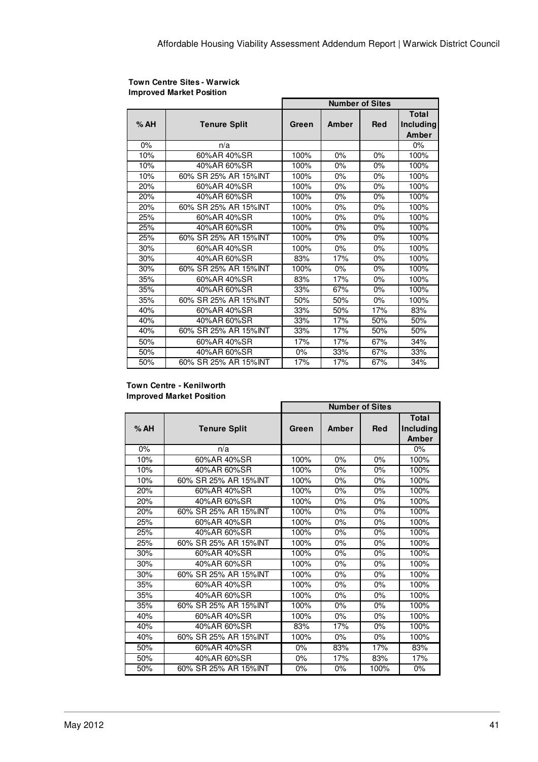|     |                       | <b>Number of Sites</b> |       |            |                                    |
|-----|-----------------------|------------------------|-------|------------|------------------------------------|
| %AH | <b>Tenure Split</b>   | Green                  | Amber | <b>Red</b> | <b>Total</b><br>Including<br>Amber |
| 0%  | n/a                   |                        |       |            | 0%                                 |
| 10% | 60%AR 40%SR           | 100%                   | 0%    | 0%         | 100%                               |
| 10% | 40%AR 60%SR           | 100%                   | 0%    | 0%         | 100%                               |
| 10% | 60% SR 25% AR 15% INT | 100%                   | 0%    | $0\%$      | 100%                               |
| 20% | 60%AR 40%SR           | 100%                   | 0%    | 0%         | 100%                               |
| 20% | 40%AR 60%SR           | 100%                   | 0%    | 0%         | 100%                               |
| 20% | 60% SR 25% AR 15% INT | 100%                   | 0%    | 0%         | 100%                               |
| 25% | 60%AR 40%SR           | 100%                   | 0%    | 0%         | 100%                               |
| 25% | 40%AR 60%SR           | 100%                   | 0%    | 0%         | 100%                               |
| 25% | 60% SR 25% AR 15% INT | 100%                   | 0%    | 0%         | 100%                               |
| 30% | 60%AR 40%SR           | 100%                   | 0%    | $0\%$      | 100%                               |
| 30% | 40%AR 60%SR           | 83%                    | 17%   | 0%         | 100%                               |
| 30% | 60% SR 25% AR 15% INT | 100%                   | 0%    | 0%         | 100%                               |
| 35% | 60%AR 40%SR           | 83%                    | 17%   | 0%         | 100%                               |
| 35% | 40%AR 60%SR           | 33%                    | 67%   | 0%         | 100%                               |
| 35% | 60% SR 25% AR 15% INT | 50%                    | 50%   | 0%         | 100%                               |
| 40% | 60%AR 40%SR           | 33%                    | 50%   | 17%        | 83%                                |
| 40% | 40%AR 60%SR           | 33%                    | 17%   | 50%        | 50%                                |
| 40% | 60% SR 25% AR 15%INT  | 33%                    | 17%   | 50%        | 50%                                |
| 50% | 60%AR 40%SR           | 17%                    | 17%   | 67%        | 34%                                |
| 50% | 40%AR 60%SR           | 0%                     | 33%   | 67%        | 33%                                |
| 50% | 60% SR 25% AR 15% INT | 17%                    | 17%   | 67%        | 34%                                |

#### **Town Centre Sites - Warwick Improved Market Position**

#### **Town Centre - Kenilworth**

**Improved Market Position**

|       |                       | <b>Number of Sites</b> |       |            |                                    |
|-------|-----------------------|------------------------|-------|------------|------------------------------------|
| % AH  | <b>Tenure Split</b>   | Green                  | Amber | <b>Red</b> | <b>Total</b><br>Including<br>Amber |
| $0\%$ | n/a                   |                        |       |            | 0%                                 |
| 10%   | 60%AR 40%SR           | 100%                   | 0%    | 0%         | 100%                               |
| 10%   | 40%AR 60%SR           | 100%                   | $0\%$ | $0\%$      | 100%                               |
| 10%   | 60% SR 25% AR 15% INT | 100%                   | 0%    | 0%         | 100%                               |
| 20%   | 60%AR 40%SR           | 100%                   | 0%    | 0%         | 100%                               |
| 20%   | 40%AR 60%SR           | 100%                   | 0%    | $0\%$      | 100%                               |
| 20%   | 60% SR 25% AR 15% INT | 100%                   | 0%    | 0%         | 100%                               |
| 25%   | 60%AR 40%SR           | 100%                   | 0%    | 0%         | 100%                               |
| 25%   | 40%AR 60%SR           | 100%                   | 0%    | 0%         | 100%                               |
| 25%   | 60% SR 25% AR 15% INT | 100%                   | 0%    | 0%         | 100%                               |
| 30%   | 60%AR 40%SR           | 100%                   | $0\%$ | $0\%$      | 100%                               |
| 30%   | 40%AR 60%SR           | 100%                   | 0%    | 0%         | 100%                               |
| 30%   | 60% SR 25% AR 15% INT | 100%                   | 0%    | 0%         | 100%                               |
| 35%   | 60%AR 40%SR           | 100%                   | 0%    | 0%         | 100%                               |
| 35%   | 40%AR 60%SR           | 100%                   | 0%    | 0%         | 100%                               |
| 35%   | 60% SR 25% AR 15% INT | 100%                   | 0%    | 0%         | 100%                               |
| 40%   | 60%AR 40%SR           | 100%                   | 0%    | 0%         | 100%                               |
| 40%   | 40%AR 60%SR           | 83%                    | 17%   | 0%         | 100%                               |
| 40%   | 60% SR 25% AR 15% INT | 100%                   | 0%    | $0\%$      | 100%                               |
| 50%   | 60%AR 40%SR           | $0\%$                  | 83%   | 17%        | 83%                                |
| 50%   | 40%AR 60%SR           | $0\%$                  | 17%   | 83%        | 17%                                |
| 50%   | 60% SR 25% AR 15% INT | 0%                     | 0%    | 100%       | 0%                                 |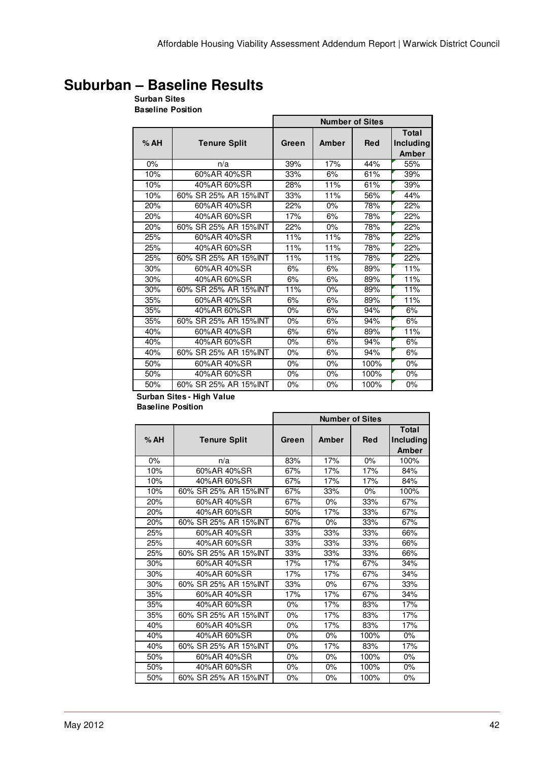# **Suburban – Baseline Results**

## **Surban Sites**

**Baseline Position**

|     |                       | <b>Number of Sites</b> |       |            |                                    |
|-----|-----------------------|------------------------|-------|------------|------------------------------------|
| %AH | <b>Tenure Split</b>   | Green                  | Amber | <b>Red</b> | Total<br><b>Including</b><br>Amber |
| 0%  | n/a                   | 39%                    | 17%   | 44%        | 55%                                |
| 10% | 60%AR 40%SR           | 33%                    | 6%    | 61%        | 39%                                |
| 10% | 40%AR 60%SR           | 28%                    | 11%   | 61%        | 39%                                |
| 10% | 60% SR 25% AR 15% INT | 33%                    | 11%   | 56%        | 44%                                |
| 20% | 60%AR 40%SR           | 22%                    | $0\%$ | 78%        | 22%                                |
| 20% | 40%AR 60%SR           | 17%                    | 6%    | 78%        | 22%                                |
| 20% | 60% SR 25% AR 15% INT | 22%                    | 0%    | 78%        | 22%                                |
| 25% | 60%AR 40%SR           | 11%                    | 11%   | 78%        | 22%                                |
| 25% | 40%AR 60%SR           | 11%                    | 11%   | 78%        | 22%                                |
| 25% | 60% SR 25% AR 15% INT | 11%                    | 11%   | 78%        | 22%                                |
| 30% | 60%AR 40%SR           | 6%                     | 6%    | 89%        | 11%                                |
| 30% | 40%AR 60%SR           | 6%                     | 6%    | 89%        | 11%                                |
| 30% | 60% SR 25% AR 15% INT | 11%                    | 0%    | 89%        | 11%                                |
| 35% | 60%AR 40%SR           | 6%                     | 6%    | 89%        | 11%                                |
| 35% | 40%AR 60%SR           | $0\%$                  | 6%    | 94%        | 6%                                 |
| 35% | 60% SR 25% AR 15% INT | $0\%$                  | 6%    | 94%        | 6%                                 |
| 40% | 60%AR 40%SR           | 6%                     | 6%    | 89%        | 11%                                |
| 40% | 40%AR 60%SR           | $0\%$                  | 6%    | 94%        | 6%                                 |
| 40% | 60% SR 25% AR 15% INT | $0\%$                  | 6%    | 94%        | 6%                                 |
| 50% | 60%AR 40%SR           | 0%                     | 0%    | 100%       | 0%                                 |
| 50% | 40%AR 60%SR           | 0%                     | 0%    | 100%       | 0%                                 |
| 50% | 60% SR 25% AR 15%INT  | 0%                     | 0%    | 100%       | 0%                                 |

#### **Surban Sites - High Value Baseline Position**

|     |                       | <b>Number of Sites</b> |       |            |                             |
|-----|-----------------------|------------------------|-------|------------|-----------------------------|
| %AH | <b>Tenure Split</b>   | Green                  | Amber | <b>Red</b> | Total<br>Including<br>Amber |
| 0%  | n/a                   | 83%                    | 17%   | $0\%$      | 100%                        |
| 10% | 60%AR 40%SR           | 67%                    | 17%   | 17%        | 84%                         |
| 10% | 40%AR 60%SR           | 67%                    | 17%   | 17%        | 84%                         |
| 10% | 60% SR 25% AR 15% INT | 67%                    | 33%   | $0\%$      | 100%                        |
| 20% | 60%AR 40%SR           | 67%                    | $0\%$ | 33%        | 67%                         |
| 20% | 40%AR 60%SR           | 50%                    | 17%   | 33%        | 67%                         |
| 20% | 60% SR 25% AR 15% INT | 67%                    | $0\%$ | 33%        | 67%                         |
| 25% | 60%AR 40%SR           | 33%                    | 33%   | 33%        | 66%                         |
| 25% | 40%AR 60%SR           | 33%                    | 33%   | 33%        | 66%                         |
| 25% | 60% SR 25% AR 15% INT | 33%                    | 33%   | 33%        | 66%                         |
| 30% | 60%AR 40%SR           | 17%                    | 17%   | 67%        | 34%                         |
| 30% | 40%AR 60%SR           | 17%                    | 17%   | 67%        | 34%                         |
| 30% | 60% SR 25% AR 15% INT | 33%                    | $0\%$ | 67%        | 33%                         |
| 35% | 60%AR 40%SR           | 17%                    | 17%   | 67%        | 34%                         |
| 35% | 40%AR 60%SR           | $0\%$                  | 17%   | 83%        | 17%                         |
| 35% | 60% SR 25% AR 15% INT | $0\%$                  | 17%   | 83%        | 17%                         |
| 40% | 60%AR 40%SR           | $0\%$                  | 17%   | 83%        | 17%                         |
| 40% | 40%AR 60%SR           | $0\%$                  | $0\%$ | 100%       | $0\%$                       |
| 40% | 60% SR 25% AR 15% INT | $0\%$                  | 17%   | 83%        | 17%                         |
| 50% | 60%AR 40%SR           | $0\%$                  | $0\%$ | 100%       | $0\%$                       |
| 50% | 40%AR 60%SR           | 0%                     | $0\%$ | 100%       | $0\%$                       |
| 50% | 60% SR 25% AR 15% INT | 0%                     | 0%    | 100%       | 0%                          |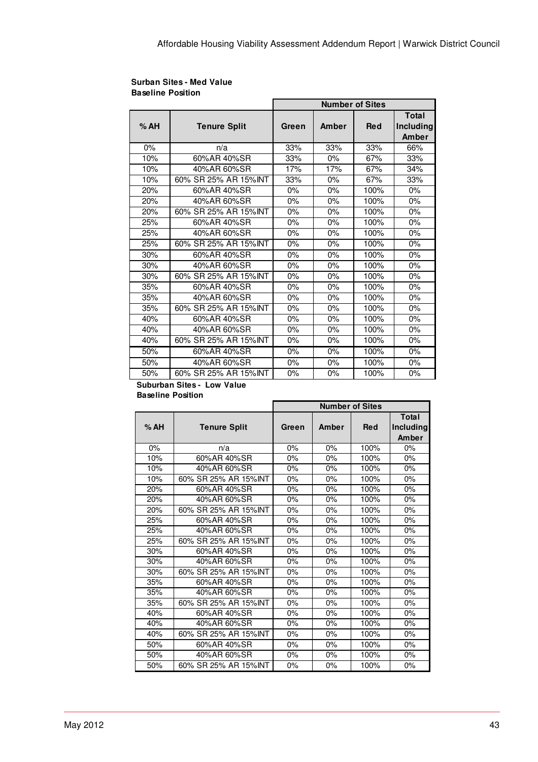| <b>Surban Sites - Med Value</b> |  |
|---------------------------------|--|
| <b>Baseline Position</b>        |  |

|     |                       | <b>Number of Sites</b> |       |            |                                    |  |
|-----|-----------------------|------------------------|-------|------------|------------------------------------|--|
| %AH | <b>Tenure Split</b>   | Green                  | Amber | <b>Red</b> | <b>Total</b><br>Including<br>Amber |  |
| 0%  | n/a                   | 33%                    | 33%   | 33%        | 66%                                |  |
| 10% | 60%AR 40%SR           | 33%                    | $0\%$ | 67%        | 33%                                |  |
| 10% | 40%AR 60%SR           | 17%                    | 17%   | 67%        | 34%                                |  |
| 10% | 60% SR 25% AR 15% INT | 33%                    | 0%    | 67%        | 33%                                |  |
| 20% | 60%AR 40%SR           | 0%                     | $0\%$ | 100%       | 0%                                 |  |
| 20% | 40%AR 60%SR           | $0\%$                  | $0\%$ | 100%       | 0%                                 |  |
| 20% | 60% SR 25% AR 15% INT | $0\%$                  | $0\%$ | 100%       | 0%                                 |  |
| 25% | 60%AR 40%SR           | $0\%$                  | $0\%$ | 100%       | 0%                                 |  |
| 25% | 40%AR 60%SR           | 0%                     | 0%    | 100%       | 0%                                 |  |
| 25% | 60% SR 25% AR 15% INT | 0%                     | 0%    | 100%       | 0%                                 |  |
| 30% | 60%AR 40%SR           | 0%                     | 0%    | 100%       | 0%                                 |  |
| 30% | 40%AR 60%SR           | 0%                     | $0\%$ | 100%       | 0%                                 |  |
| 30% | 60% SR 25% AR 15% INT | 0%                     | $0\%$ | 100%       | 0%                                 |  |
| 35% | 60%AR 40%SR           | 0%                     | 0%    | 100%       | 0%                                 |  |
| 35% | 40%AR 60%SR           | 0%                     | 0%    | 100%       | 0%                                 |  |
| 35% | 60% SR 25% AR 15%INT  | 0%                     | 0%    | 100%       | 0%                                 |  |
| 40% | 60%AR 40%SR           | 0%                     | 0%    | 100%       | 0%                                 |  |
| 40% | 40%AR 60%SR           | 0%                     | 0%    | 100%       | 0%                                 |  |
| 40% | 60% SR 25% AR 15% INT | 0%                     | $0\%$ | 100%       | 0%                                 |  |
| 50% | 60%AR 40%SR           | $0\%$                  | $0\%$ | 100%       | 0%                                 |  |
| 50% | 40%AR 60%SR           | 0%                     | 0%    | 100%       | 0%                                 |  |
| 50% | 60% SR 25% AR 15% INT | 0%                     | 0%    | 100%       | 0%                                 |  |

### **Suburban Sites - Low Value**

**Baseline Position**

|     |                       | <b>Number of Sites</b> |       |            |                                    |
|-----|-----------------------|------------------------|-------|------------|------------------------------------|
| %AH | <b>Tenure Split</b>   | Green                  | Amber | <b>Red</b> | <b>Total</b><br>Including<br>Amber |
| 0%  | n/a                   | 0%                     | 0%    | 100%       | 0%                                 |
| 10% | 60%AR 40%SR           | 0%                     | 0%    | 100%       | 0%                                 |
| 10% | 40%AR 60%SR           | $0\%$                  | $0\%$ | 100%       | 0%                                 |
| 10% | 60% SR 25% AR 15%INT  | $0\%$                  | 0%    | 100%       | 0%                                 |
| 20% | 60%AR 40%SR           | $0\%$                  | 0%    | 100%       | 0%                                 |
| 20% | 40%AR 60%SR           | 0%                     | 0%    | 100%       | $0\%$                              |
| 20% | 60% SR 25% AR 15% INT | 0%                     | 0%    | 100%       | 0%                                 |
| 25% | 60%AR 40%SR           | 0%                     | 0%    | 100%       | 0%                                 |
| 25% | 40%AR 60%SR           | $0\%$                  | 0%    | 100%       | 0%                                 |
| 25% | 60% SR 25% AR 15% INT | $0\%$                  | 0%    | 100%       | 0%                                 |
| 30% | 60%AR 40%SR           | $0\%$                  | 0%    | 100%       | 0%                                 |
| 30% | 40%AR 60%SR           | $0\%$                  | 0%    | 100%       | 0%                                 |
| 30% | 60% SR 25% AR 15%INT  | $0\%$                  | 0%    | 100%       | 0%                                 |
| 35% | 60%AR 40%SR           | $0\%$                  | 0%    | 100%       | 0%                                 |
| 35% | 40%AR 60%SR           | 0%                     | 0%    | 100%       | 0%                                 |
| 35% | 60% SR 25% AR 15%INT  | 0%                     | 0%    | 100%       | 0%                                 |
| 40% | 60%AR 40%SR           | 0%                     | 0%    | 100%       | 0%                                 |
| 40% | 40%AR 60%SR           | $0\%$                  | 0%    | 100%       | 0%                                 |
| 40% | 60% SR 25% AR 15%INT  | 0%                     | 0%    | 100%       | 0%                                 |
| 50% | 60%AR 40%SR           | 0%                     | 0%    | 100%       | 0%                                 |
| 50% | 40%AR 60%SR           | $0\%$                  | $0\%$ | 100%       | $0\%$                              |
| 50% | 60% SR 25% AR 15%INT  | 0%                     | 0%    | 100%       | 0%                                 |

r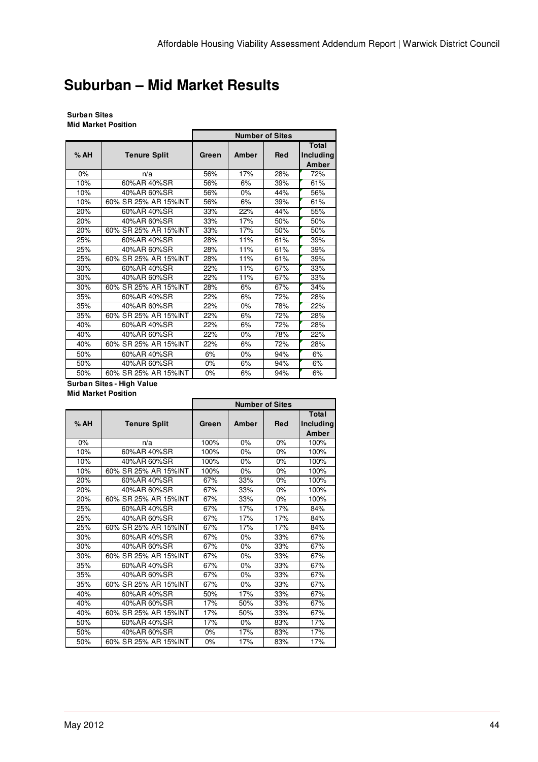# **Suburban – Mid Market Results**

#### **Surban Sites Mid Market Position**

|     |                       | <b>Number of Sites</b> |       |            |                                    |
|-----|-----------------------|------------------------|-------|------------|------------------------------------|
| %AH | <b>Tenure Split</b>   | Green                  | Amber | <b>Red</b> | <b>Total</b><br>Including<br>Amber |
| 0%  | n/a                   | 56%                    | 17%   | 28%        | 72%                                |
| 10% | 60%AR 40%SR           | 56%                    | 6%    | 39%        | 61%                                |
| 10% | 40%AR 60%SR           | 56%                    | 0%    | 44%        | 56%                                |
| 10% | 60% SR 25% AR 15%INT  | 56%                    | 6%    | 39%        | 61%                                |
| 20% | 60%AR 40%SR           | 33%                    | 22%   | 44%        | 55%                                |
| 20% | 40%AR 60%SR           | 33%                    | 17%   | 50%        | 50%                                |
| 20% | 60% SR 25% AR 15% INT | 33%                    | 17%   | 50%        | 50%                                |
| 25% | 60%AR 40%SR           | 28%                    | 11%   | 61%        | 39%                                |
| 25% | 40%AR 60%SR           | 28%                    | 11%   | 61%        | 39%                                |
| 25% | 60% SR 25% AR 15%INT  | 28%                    | 11%   | 61%        | 39%                                |
| 30% | 60%AR 40%SR           | 22%                    | 11%   | 67%        | 33%                                |
| 30% | 40%AR 60%SR           | 22%                    | 11%   | 67%        | 33%                                |
| 30% | 60% SR 25% AR 15%INT  | 28%                    | 6%    | 67%        | 34%                                |
| 35% | 60%AR 40%SR           | 22%                    | 6%    | 72%        | 28%                                |
| 35% | 40%AR 60%SR           | 22%                    | 0%    | 78%        | 22%                                |
| 35% | 60% SR 25% AR 15%INT  | 22%                    | 6%    | 72%        | 28%                                |
| 40% | 60%AR 40%SR           | 22%                    | 6%    | 72%        | 28%                                |
| 40% | 40%AR 60%SR           | 22%                    | 0%    | 78%        | 22%                                |
| 40% | 60% SR 25% AR 15% INT | 22%                    | 6%    | 72%        | 28%                                |
| 50% | 60%AR 40%SR           | 6%                     | 0%    | 94%        | 6%                                 |
| 50% | 40%AR 60%SR           | 0%                     | 6%    | 94%        | 6%                                 |
| 50% | 60% SR 25% AR 15%INT  | 0%                     | 6%    | 94%        | 6%                                 |

#### **Surban Sites - High Value Mid Market Position**

|       |                       | <b>Number of Sites</b> |       |     |                                    |
|-------|-----------------------|------------------------|-------|-----|------------------------------------|
| %AH   | <b>Tenure Split</b>   | Green                  | Amber | Red | <b>Total</b><br>Including<br>Amber |
| $0\%$ | n/a                   | 100%                   | 0%    | 0%  | 100%                               |
| 10%   | 60%AR 40%SR           | 100%                   | 0%    | 0%  | 100%                               |
| 10%   | 40%AR 60%SR           | 100%                   | 0%    | 0%  | 100%                               |
| 10%   | 60% SR 25% AR 15% INT | 100%                   | 0%    | 0%  | 100%                               |
| 20%   | 60%AR 40%SR           | 67%                    | 33%   | 0%  | 100%                               |
| 20%   | 40%AR 60%SR           | 67%                    | 33%   | 0%  | 100%                               |
| 20%   | 60% SR 25% AR 15%INT  | 67%                    | 33%   | 0%  | 100%                               |
| 25%   | 60%AR 40%SR           | 67%                    | 17%   | 17% | 84%                                |
| 25%   | 40%AR 60%SR           | 67%                    | 17%   | 17% | 84%                                |
| 25%   | 60% SR 25% AR 15%INT  | 67%                    | 17%   | 17% | 84%                                |
| 30%   | 60%AR 40%SR           | 67%                    | 0%    | 33% | 67%                                |
| 30%   | 40%AR 60%SR           | 67%                    | 0%    | 33% | 67%                                |
| 30%   | 60% SR 25% AR 15% INT | 67%                    | 0%    | 33% | 67%                                |
| 35%   | 60%AR 40%SR           | 67%                    | 0%    | 33% | 67%                                |
| 35%   | 40%AR 60%SR           | 67%                    | 0%    | 33% | 67%                                |
| 35%   | 60% SR 25% AR 15% INT | 67%                    | 0%    | 33% | 67%                                |
| 40%   | 60%AR 40%SR           | 50%                    | 17%   | 33% | 67%                                |
| 40%   | 40%AR 60%SR           | 17%                    | 50%   | 33% | 67%                                |
| 40%   | 60% SR 25% AR 15% INT | 17%                    | 50%   | 33% | 67%                                |
| 50%   | 60%AR 40%SR           | 17%                    | 0%    | 83% | 17%                                |
| 50%   | 40%AR 60%SR           | 0%                     | 17%   | 83% | 17%                                |
| 50%   | 60% SR 25% AR 15% INT | 0%                     | 17%   | 83% | 17%                                |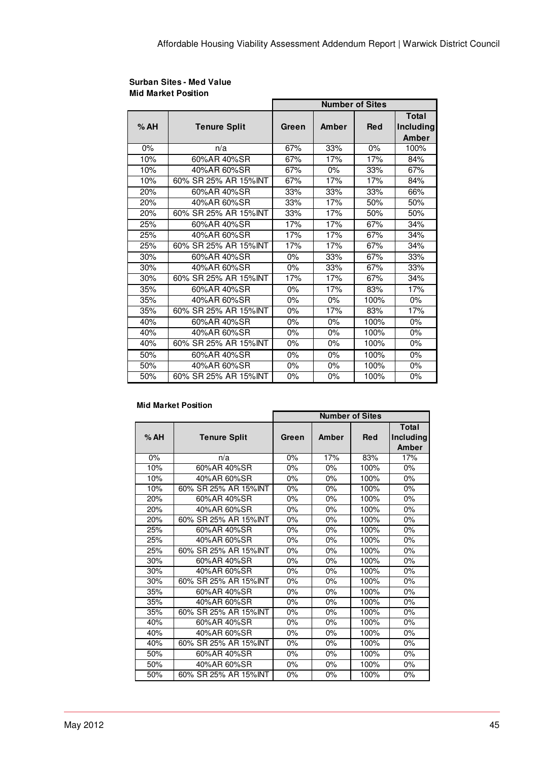|       |                       | <b>Number of Sites</b> |                  |            |                                    |  |
|-------|-----------------------|------------------------|------------------|------------|------------------------------------|--|
| %AH   | <b>Tenure Split</b>   | Green                  | Amber            | <b>Red</b> | <b>Total</b><br>Including<br>Amber |  |
| $0\%$ | n/a                   | 67%                    | 33%              | $0\%$      | 100%                               |  |
| 10%   | 60%AR 40%SR           | 67%                    | $\frac{1}{17\%}$ | 17%        | 84%                                |  |
| 10%   | 40%AR 60%SR           | 67%                    | 0%               | 33%        | 67%                                |  |
| 10%   | 60% SR 25% AR 15% INT | 67%                    | 17%              | 17%        | 84%                                |  |
| 20%   | 60%AR 40%SR           | 33%                    | 33%              | 33%        | 66%                                |  |
| 20%   | 40%AR 60%SR           | 33%                    | 17%              | 50%        | 50%                                |  |
| 20%   | 60% SR 25% AR 15% INT | 33%                    | 17%              | 50%        | 50%                                |  |
| 25%   | 60%AR 40%SR           | 17%                    | 17%              | 67%        | 34%                                |  |
| 25%   | 40%AR 60%SR           | 17%                    | 17%              | 67%        | $\overline{3}4\%$                  |  |
| 25%   | 60% SR 25% AR 15% INT | 17%                    | 17%              | 67%        | 34%                                |  |
| 30%   | 60%AR 40%SR           | $0\%$                  | 33%              | 67%        | 33%                                |  |
| 30%   | 40%AR 60%SR           | $0\%$                  | 33%              | 67%        | 33%                                |  |
| 30%   | 60% SR 25% AR 15%INT  | 17%                    | 17%              | 67%        | 34%                                |  |
| 35%   | 60%AR 40%SR           | 0%                     | 17%              | 83%        | 17%                                |  |
| 35%   | 40%AR 60%SR           | $0\%$                  | $0\%$            | 100%       | 0%                                 |  |
| 35%   | 60% SR 25% AR 15%INT  | 0%                     | 17%              | 83%        | 17%                                |  |
| 40%   | 60%AR 40%SR           | 0%                     | 0%               | 100%       | 0%                                 |  |
| 40%   | 40%AR 60%SR           | 0%                     | 0%               | 100%       | 0%                                 |  |
| 40%   | 60% SR 25% AR 15% INT | $0\%$                  | 0%               | 100%       | 0%                                 |  |
| 50%   | 60%AR 40%SR           | 0%                     | 0%               | 100%       | 0%                                 |  |
| 50%   | 40%AR 60%SR           | 0%                     | 0%               | 100%       | 0%                                 |  |
| 50%   | 60% SR 25% AR 15% INT | $0\%$                  | 0%               | 100%       | 0%                                 |  |

#### **Surban Sites - Med Value Mid Market Position**

#### **Mid Market Position**

|     |                       | <b>Number of Sites</b> |       |            |                                    |
|-----|-----------------------|------------------------|-------|------------|------------------------------------|
| %AH | <b>Tenure Split</b>   | Green                  | Amber | <b>Red</b> | <b>Total</b><br>Including<br>Amber |
| 0%  | n/a                   | 0%                     | 17%   | 83%        | 17%                                |
| 10% | 60%AR 40%SR           | 0%                     | 0%    | 100%       | 0%                                 |
| 10% | 40%AR 60%SR           | $0\%$                  | 0%    | 100%       | 0%                                 |
| 10% | 60% SR 25% AR 15%INT  | 0%                     | 0%    | 100%       | 0%                                 |
| 20% | 60%AR 40%SR           | $0\%$                  | 0%    | 100%       | 0%                                 |
| 20% | 40%AR 60%SR           | 0%                     | 0%    | 100%       | 0%                                 |
| 20% | 60% SR 25% AR 15% INT | 0%                     | 0%    | 100%       | 0%                                 |
| 25% | 60%AR 40%SR           | 0%                     | 0%    | 100%       | 0%                                 |
| 25% | 40%AR 60%SR           | $0\%$                  | 0%    | 100%       | 0%                                 |
| 25% | 60% SR 25% AR 15% INT | 0%                     | 0%    | 100%       | 0%                                 |
| 30% | 60%AR 40%SR           | 0%                     | 0%    | 100%       | 0%                                 |
| 30% | 40%AR 60%SR           | 0%                     | 0%    | 100%       | 0%                                 |
| 30% | 60% SR 25% AR 15%INT  | 0%                     | 0%    | 100%       | 0%                                 |
| 35% | 60%AR 40%SR           | 0%                     | 0%    | 100%       | 0%                                 |
| 35% | 40%AR 60%SR           | 0%                     | 0%    | 100%       | 0%                                 |
| 35% | 60% SR 25% AR 15% INT | 0%                     | 0%    | 100%       | 0%                                 |
| 40% | 60%AR 40%SR           | $0\%$                  | 0%    | 100%       | 0%                                 |
| 40% | 40%AR 60%SR           | 0%                     | 0%    | 100%       | 0%                                 |
| 40% | 60% SR 25% AR 15%INT  | $0\%$                  | 0%    | 100%       | 0%                                 |
| 50% | 60%AR 40%SR           | 0%                     | 0%    | 100%       | 0%                                 |
| 50% | 40%AR 60%SR           | $0\%$                  | 0%    | 100%       | 0%                                 |
| 50% | 60% SR 25% AR 15%INT  | 0%                     | 0%    | 100%       | 0%                                 |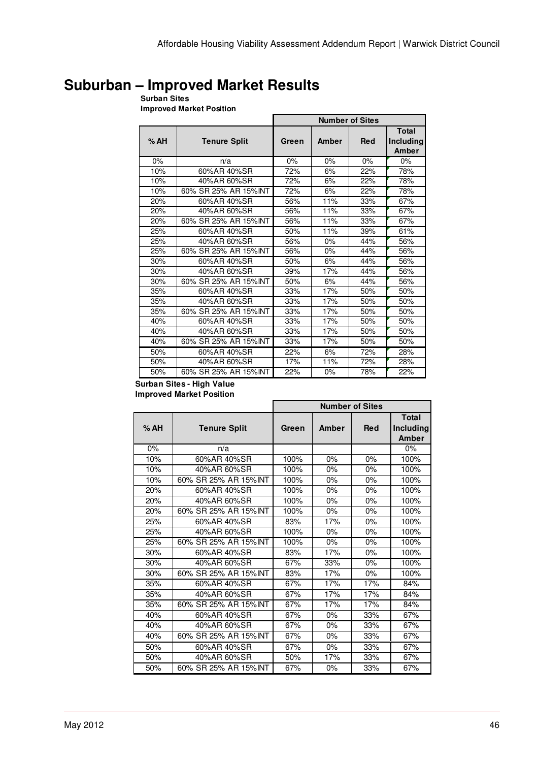## **Suburban – Improved Market Results**

#### **Surban Sites**

**Improved Market Position**

|     |                       | <b>Number of Sites</b> |       |            |                                    |  |
|-----|-----------------------|------------------------|-------|------------|------------------------------------|--|
| %AH | <b>Tenure Split</b>   | Green                  | Amber | <b>Red</b> | <b>Total</b><br>Including<br>Amber |  |
| 0%  | n/a                   | $0\%$                  | 0%    | 0%         | $0\%$                              |  |
| 10% | 60%AR 40%SR           | 72%                    | 6%    | 22%        | 78%                                |  |
| 10% | 40%AR 60%SR           | 72%                    | 6%    | 22%        | 78%                                |  |
| 10% | 60% SR 25% AR 15% INT | 72%                    | 6%    | 22%        | 78%                                |  |
| 20% | 60%AR 40%SR           | 56%                    | 11%   | 33%        | 67%                                |  |
| 20% | 40%AR 60%SR           | 56%                    | 11%   | 33%        | 67%                                |  |
| 20% | 60% SR 25% AR 15% INT | 56%                    | 11%   | 33%        | 67%                                |  |
| 25% | 60%AR 40%SR           | 50%                    | 11%   | 39%        | 61%                                |  |
| 25% | 40%AR 60%SR           | 56%                    | 0%    | 44%        | 56%                                |  |
| 25% | 60% SR 25% AR 15% INT | 56%                    | 0%    | 44%        | 56%                                |  |
| 30% | 60%AR 40%SR           | 50%                    | 6%    | 44%        | 56%                                |  |
| 30% | 40%AR 60%SR           | 39%                    | 17%   | 44%        | 56%                                |  |
| 30% | 60% SR 25% AR 15% INT | 50%                    | 6%    | 44%        | 56%                                |  |
| 35% | 60%AR 40%SR           | 33%                    | 17%   | 50%        | 50%                                |  |
| 35% | 40%AR 60%SR           | 33%                    | 17%   | 50%        | 50%                                |  |
| 35% | 60% SR 25% AR 15% INT | 33%                    | 17%   | 50%        | 50%                                |  |
| 40% | 60%AR 40%SR           | 33%                    | 17%   | 50%        | 50%                                |  |
| 40% | 40%AR 60%SR           | 33%                    | 17%   | 50%        | 50%                                |  |
| 40% | 60% SR 25% AR 15% INT | 33%                    | 17%   | 50%        | 50%                                |  |
| 50% | 60%AR 40%SR           | 22%                    | 6%    | 72%        | 28%                                |  |
| 50% | 40%AR 60%SR           | 17%                    | 11%   | 72%        | 28%                                |  |
| 50% | 60% SR 25% AR 15% INT | 22%                    | 0%    | 78%        | 22%                                |  |

#### **Surban Sites - High Value Improved Market Position**

|     |                       | <b>Number of Sites</b> |       |            |                                    |  |
|-----|-----------------------|------------------------|-------|------------|------------------------------------|--|
| %AH | <b>Tenure Split</b>   | Green                  | Amber | <b>Red</b> | <b>Total</b><br>Including<br>Amber |  |
| 0%  | n/a                   |                        |       |            | $0\%$                              |  |
| 10% | 60%AR 40%SR           | 100%                   | 0%    | 0%         | 100%                               |  |
| 10% | 40%AR 60%SR           | 100%                   | 0%    | 0%         | 100%                               |  |
| 10% | 60% SR 25% AR 15%INT  | 100%                   | 0%    | 0%         | 100%                               |  |
| 20% | 60%AR 40%SR           | 100%                   | $0\%$ | 0%         | 100%                               |  |
| 20% | 40%AR 60%SR           | 100%                   | $0\%$ | $0\%$      | 100%                               |  |
| 20% | 60% SR 25% AR 15% INT | 100%                   | 0%    | 0%         | 100%                               |  |
| 25% | 60%AR 40%SR           | 83%                    | 17%   | 0%         | 100%                               |  |
| 25% | 40%AR 60%SR           | 100%                   | 0%    | 0%         | 100%                               |  |
| 25% | 60% SR 25% AR 15% INT | 100%                   | 0%    | 0%         | 100%                               |  |
| 30% | 60%AR 40%SR           | 83%                    | 17%   | 0%         | 100%                               |  |
| 30% | 40%AR 60%SR           | 67%                    | 33%   | 0%         | 100%                               |  |
| 30% | 60% SR 25% AR 15% INT | 83%                    | 17%   | 0%         | 100%                               |  |
| 35% | 60%AR 40%SR           | 67%                    | 17%   | 17%        | 84%                                |  |
| 35% | 40%AR 60%SR           | 67%                    | 17%   | 17%        | 84%                                |  |
| 35% | 60% SR 25% AR 15% INT | 67%                    | 17%   | 17%        | 84%                                |  |
| 40% | 60%AR 40%SR           | 67%                    | $0\%$ | 33%        | 67%                                |  |
| 40% | 40%AR 60%SR           | 67%                    | $0\%$ | 33%        | 67%                                |  |
| 40% | 60% SR 25% AR 15% INT | 67%                    | 0%    | 33%        | 67%                                |  |
| 50% | 60%AR 40%SR           | 67%                    | 0%    | 33%        | 67%                                |  |
| 50% | 40%AR 60%SR           | 50%                    | 17%   | 33%        | 67%                                |  |
| 50% | 60% SR 25% AR 15% INT | 67%                    | $0\%$ | 33%        | 67%                                |  |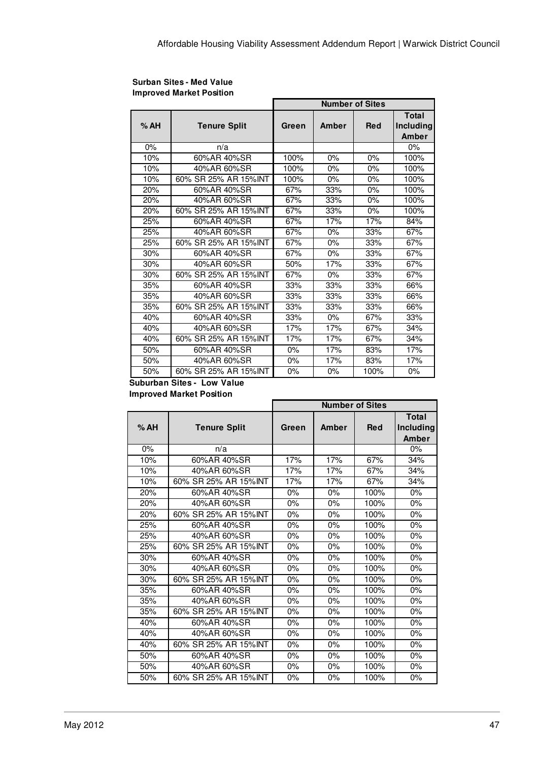#### **Surban Sites - Med Value Improved Market Position**

|     |                       | <b>Number of Sites</b> |       |            |                                    |  |
|-----|-----------------------|------------------------|-------|------------|------------------------------------|--|
| %AH | <b>Tenure Split</b>   | Green                  | Amber | <b>Red</b> | <b>Total</b><br>Including<br>Amber |  |
| 0%  | n/a                   |                        |       |            | $0\%$                              |  |
| 10% | 60%AR 40%SR           | 100%                   | 0%    | 0%         | 100%                               |  |
| 10% | 40%AR 60%SR           | 100%                   | 0%    | 0%         | 100%                               |  |
| 10% | 60% SR 25% AR 15% INT | 100%                   | 0%    | 0%         | 100%                               |  |
| 20% | 60%AR 40%SR           | 67%                    | 33%   | $0\%$      | 100%                               |  |
| 20% | 40%AR 60%SR           | 67%                    | 33%   | 0%         | 100%                               |  |
| 20% | 60% SR 25% AR 15% INT | 67%                    | 33%   | $0\%$      | 100%                               |  |
| 25% | 60%AR 40%SR           | 67%                    | 17%   | 17%        | 84%                                |  |
| 25% | 40%AR 60%SR           | 67%                    | 0%    | 33%        | 67%                                |  |
| 25% | 60% SR 25% AR 15% INT | 67%                    | 0%    | 33%        | 67%                                |  |
| 30% | 60%AR 40%SR           | 67%                    | 0%    | 33%        | 67%                                |  |
| 30% | 40%AR 60%SR           | 50%                    | 17%   | 33%        | 67%                                |  |
| 30% | 60% SR 25% AR 15% INT | 67%                    | 0%    | 33%        | 67%                                |  |
| 35% | 60%AR 40%SR           | 33%                    | 33%   | 33%        | 66%                                |  |
| 35% | 40%AR 60%SR           | 33%                    | 33%   | 33%        | 66%                                |  |
| 35% | 60% SR 25% AR 15% INT | 33%                    | 33%   | 33%        | 66%                                |  |
| 40% | 60%AR 40%SR           | 33%                    | $0\%$ | 67%        | 33%                                |  |
| 40% | 40%AR 60%SR           | 17%                    | 17%   | 67%        | 34%                                |  |
| 40% | 60% SR 25% AR 15% INT | 17%                    | 17%   | 67%        | 34%                                |  |
| 50% | 60%AR 40%SR           | 0%                     | 17%   | 83%        | 17%                                |  |
| 50% | 40%AR 60%SR           | $0\%$                  | 17%   | 83%        | 17%                                |  |
| 50% | 60% SR 25% AR 15% INT | 0%                     | 0%    | 100%       | 0%                                 |  |

#### **Suburban Sites - Low Value Improved Market Position**

|     |                       | <b>Number of Sites</b> |       |            |                                    |  |
|-----|-----------------------|------------------------|-------|------------|------------------------------------|--|
| %AH | <b>Tenure Split</b>   | Green                  | Amber | <b>Red</b> | <b>Total</b><br>Including<br>Amber |  |
| 0%  | n/a                   |                        |       |            | $0\%$                              |  |
| 10% | 60%AR 40%SR           | 17%                    | 17%   | 67%        | 34%                                |  |
| 10% | 40%AR 60%SR           | 17%                    | 17%   | 67%        | 34%                                |  |
| 10% | 60% SR 25% AR 15% INT | 17%                    | 17%   | 67%        | 34%                                |  |
| 20% | 60%AR 40%SR           | 0%                     | 0%    | 100%       | 0%                                 |  |
| 20% | 40%AR 60%SR           | 0%                     | 0%    | 100%       | 0%                                 |  |
| 20% | 60% SR 25% AR 15% INT | $0\%$                  | $0\%$ | 100%       | 0%                                 |  |
| 25% | 60%AR 40%SR           | $0\%$                  | 0%    | 100%       | 0%                                 |  |
| 25% | 40%AR 60%SR           | 0%                     | 0%    | 100%       | 0%                                 |  |
| 25% | 60% SR 25% AR 15% INT | $0\%$                  | $0\%$ | 100%       | $0\%$                              |  |
| 30% | 60%AR 40%SR           | 0%                     | 0%    | 100%       | 0%                                 |  |
| 30% | 40%AR 60%SR           | $0\%$                  | $0\%$ | 100%       | 0%                                 |  |
| 30% | 60% SR 25% AR 15% INT | $0\%$                  | $0\%$ | 100%       | $0\%$                              |  |
| 35% | 60%AR 40%SR           | 0%                     | 0%    | 100%       | 0%                                 |  |
| 35% | 40%AR 60%SR           | 0%                     | 0%    | 100%       | 0%                                 |  |
| 35% | 60% SR 25% AR 15% INT | 0%                     | 0%    | 100%       | 0%                                 |  |
| 40% | 60%AR 40%SR           | $0\%$                  | $0\%$ | 100%       | 0%                                 |  |
| 40% | 40%AR 60%SR           | $0\%$                  | $0\%$ | 100%       | $0\%$                              |  |
| 40% | 60% SR 25% AR 15% INT | 0%                     | 0%    | 100%       | 0%                                 |  |
| 50% | 60%AR 40%SR           | 0%                     | 0%    | 100%       | 0%                                 |  |
| 50% | 40%AR 60%SR           | $0\%$                  | $0\%$ | 100%       | 0%                                 |  |
| 50% | 60% SR 25% AR 15% INT | 0%                     | 0%    | 100%       | 0%                                 |  |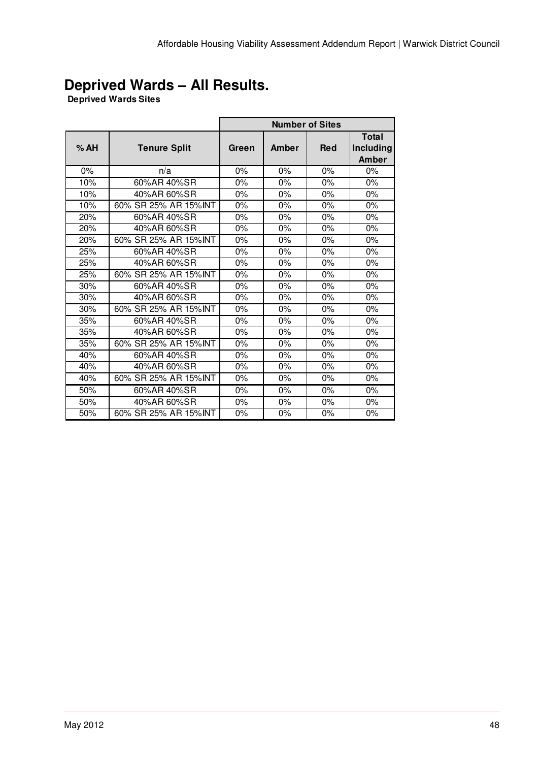# **Deprived Wards – All Results.**

**Deprived Wards Sites** 

|     |                       | <b>Number of Sites</b> |       |            |                                                  |  |
|-----|-----------------------|------------------------|-------|------------|--------------------------------------------------|--|
| %AH | <b>Tenure Split</b>   | Green                  | Amber | <b>Red</b> | <b>Total</b><br><b>Including</b><br><b>Amber</b> |  |
| 0%  | n/a                   | 0%                     | $0\%$ | 0%         | $0\%$                                            |  |
| 10% | 60%AR 40%SR           | 0%                     | 0%    | 0%         | 0%                                               |  |
| 10% | 40%AR 60%SR           | $0\%$                  | $0\%$ | 0%         | $0\%$                                            |  |
| 10% | 60% SR 25% AR 15%INT  | $0\%$                  | 0%    | 0%         | 0%                                               |  |
| 20% | 60%AR 40%SR           | 0%                     | 0%    | 0%         | 0%                                               |  |
| 20% | 40%AR 60%SR           | 0%                     | 0%    | 0%         | 0%                                               |  |
| 20% | 60% SR 25% AR 15% INT | $0\%$                  | 0%    | 0%         | $0\%$                                            |  |
| 25% | 60%AR 40%SR           | $0\%$                  | 0%    | 0%         | 0%                                               |  |
| 25% | 40%AR 60%SR           | $0\%$                  | $0\%$ | $0\%$      | $0\%$                                            |  |
| 25% | 60% SR 25% AR 15%INT  | 0%                     | 0%    | 0%         | 0%                                               |  |
| 30% | 60%AR 40%SR           | 0%                     | 0%    | 0%         | 0%                                               |  |
| 30% | 40%AR 60%SR           | 0%                     | 0%    | 0%         | 0%                                               |  |
| 30% | 60% SR 25% AR 15% INT | 0%                     | 0%    | 0%         | 0%                                               |  |
| 35% | 60%AR 40%SR           | $0\%$                  | 0%    | 0%         | 0%                                               |  |
| 35% | 40%AR 60%SR           | 0%                     | 0%    | 0%         | 0%                                               |  |
| 35% | 60% SR 25% AR 15% INT | $0\%$                  | 0%    | 0%         | 0%                                               |  |
| 40% | 60%AR 40%SR           | $0\%$                  | 0%    | 0%         | 0%                                               |  |
| 40% | 40%AR 60%SR           | 0%                     | 0%    | 0%         | 0%                                               |  |
| 40% | 60% SR 25% AR 15% INT | 0%                     | 0%    | 0%         | 0%                                               |  |
| 50% | 60%AR 40%SR           | 0%                     | 0%    | 0%         | 0%                                               |  |
| 50% | 40%AR 60%SR           | $0\%$                  | $0\%$ | 0%         | 0%                                               |  |
| 50% | 60% SR 25% AR 15% INT | 0%                     | 0%    | 0%         | 0%                                               |  |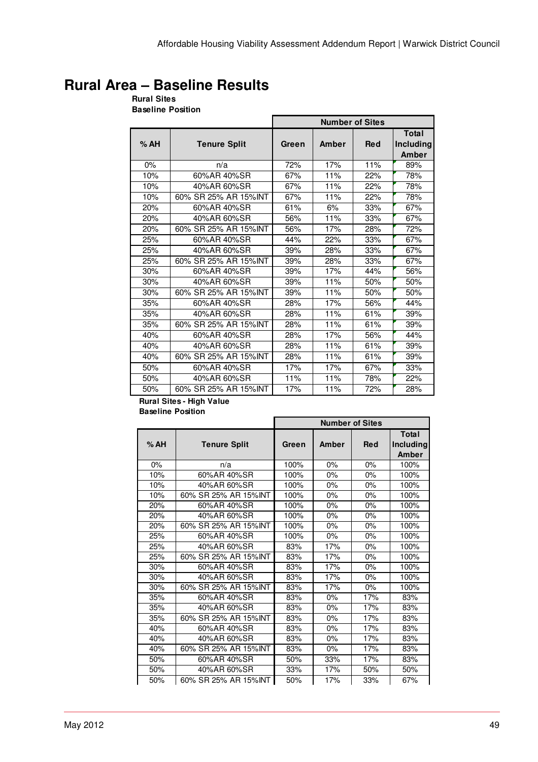# **Rural Area – Baseline Results**

**Rural Sites Baseline Position**

|     |                       | <b>Number of Sites</b> |       |            |                                    |  |
|-----|-----------------------|------------------------|-------|------------|------------------------------------|--|
| %AH | <b>Tenure Split</b>   | Green                  | Amber | <b>Red</b> | <b>Total</b><br>Including<br>Amber |  |
| 0%  | n/a                   | 72%                    | 17%   | 11%        | 89%                                |  |
| 10% | 60%AR 40%SR           | 67%                    | 11%   | 22%        | 78%                                |  |
| 10% | 40%AR 60%SR           | 67%                    | 11%   | 22%        | 78%                                |  |
| 10% | 60% SR 25% AR 15%INT  | 67%                    | 11%   | 22%        | 78%                                |  |
| 20% | 60%AR 40%SR           | 61%                    | 6%    | 33%        | 67%                                |  |
| 20% | 40%AR 60%SR           | 56%                    | 11%   | 33%        | 67%                                |  |
| 20% | 60% SR 25% AR 15% INT | 56%                    | 17%   | 28%        | 72%                                |  |
| 25% | 60%AR 40%SR           | 44%                    | 22%   | 33%        | 67%                                |  |
| 25% | 40%AR 60%SR           | 39%                    | 28%   | 33%        | 67%                                |  |
| 25% | 60% SR 25% AR 15% INT | 39%                    | 28%   | 33%        | 67%                                |  |
| 30% | 60%AR 40%SR           | 39%                    | 17%   | 44%        | 56%                                |  |
| 30% | 40%AR 60%SR           | 39%                    | 11%   | 50%        | 50%                                |  |
| 30% | 60% SR 25% AR 15% INT | 39%                    | 11%   | 50%        | 50%                                |  |
| 35% | 60%AR 40%SR           | 28%                    | 17%   | 56%        | 44%                                |  |
| 35% | 40%AR 60%SR           | 28%                    | 11%   | 61%        | 39%                                |  |
| 35% | 60% SR 25% AR 15% INT | 28%                    | 11%   | 61%        | 39%                                |  |
| 40% | 60%AR 40%SR           | 28%                    | 17%   | 56%        | 44%                                |  |
| 40% | 40%AR 60%SR           | 28%                    | 11%   | 61%        | 39%                                |  |
| 40% | 60% SR 25% AR 15%INT  | 28%                    | 11%   | 61%        | 39%                                |  |
| 50% | 60%AR 40%SR           | 17%                    | 17%   | 67%        | 33%                                |  |
| 50% | 40%AR 60%SR           | 11%                    | 11%   | 78%        | 22%                                |  |
| 50% | 60% SR 25% AR 15%INT  | 17%                    | 11%   | 72%        | 28%                                |  |

#### **Rural Sites - High Value Baseline Position**

|     |                       | <b>Number of Sites</b> |       |            |                                    |
|-----|-----------------------|------------------------|-------|------------|------------------------------------|
| %AH | <b>Tenure Split</b>   | Green                  | Amber | <b>Red</b> | <b>Total</b><br>Including<br>Amber |
| 0%  | n/a                   | 100%                   | 0%    | 0%         | 100%                               |
| 10% | 60%AR 40%SR           | 100%                   | 0%    | 0%         | 100%                               |
| 10% | 40%AR 60%SR           | 100%                   | 0%    | 0%         | 100%                               |
| 10% | 60% SR 25% AR 15% INT | 100%                   | 0%    | $0\%$      | 100%                               |
| 20% | 60%AR 40%SR           | 100%                   | 0%    | 0%         | 100%                               |
| 20% | 40%AR 60%SR           | 100%                   | $0\%$ | 0%         | 100%                               |
| 20% | 60% SR 25% AR 15% INT | 100%                   | 0%    | $0\%$      | 100%                               |
| 25% | 60%AR 40%SR           | 100%                   | 0%    | 0%         | 100%                               |
| 25% | 40%AR 60%SR           | 83%                    | 17%   | $0\%$      | 100%                               |
| 25% | 60% SR 25% AR 15% INT | 83%                    | 17%   | $0\%$      | 100%                               |
| 30% | 60%AR 40%SR           | 83%                    | 17%   | $0\%$      | 100%                               |
| 30% | 40%AR 60%SR           | 83%                    | 17%   | $0\%$      | 100%                               |
| 30% | 60% SR 25% AR 15% INT | 83%                    | 17%   | 0%         | 100%                               |
| 35% | 60%AR 40%SR           | 83%                    | 0%    | 17%        | 83%                                |
| 35% | 40%AR 60%SR           | 83%                    | 0%    | 17%        | 83%                                |
| 35% | 60% SR 25% AR 15% INT | 83%                    | $0\%$ | 17%        | 83%                                |
| 40% | 60%AR 40%SR           | 83%                    | 0%    | 17%        | 83%                                |
| 40% | 40%AR 60%SR           | 83%                    | 0%    | 17%        | 83%                                |
| 40% | 60% SR 25% AR 15% INT | 83%                    | 0%    | 17%        | 83%                                |
| 50% | 60%AR 40%SR           | 50%                    | 33%   | 17%        | 83%                                |
| 50% | 40%AR 60%SR           | 33%                    | 17%   | 50%        | 50%                                |
| 50% | 60% SR 25% AR 15% INT | 50%                    | 17%   | 33%        | 67%                                |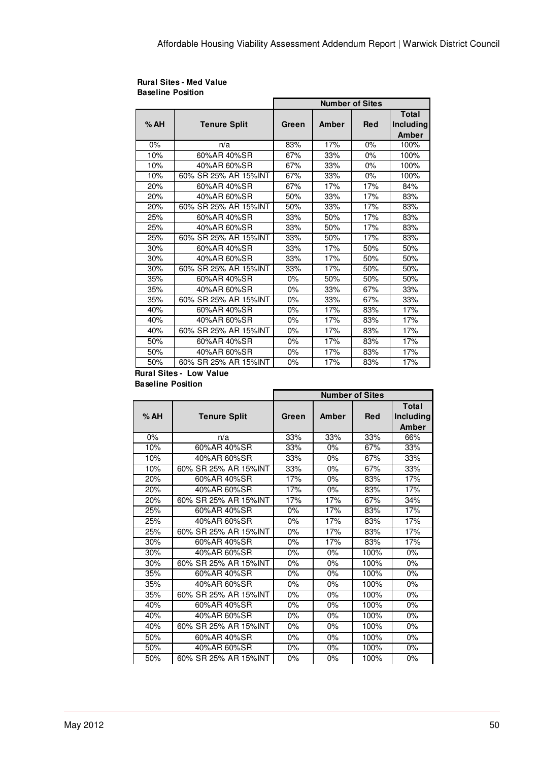#### **Rural Sites - Med Value Baseline Position**

|       |                       | <b>Number of Sites</b> |       |            |                                    |  |
|-------|-----------------------|------------------------|-------|------------|------------------------------------|--|
| %AH   | <b>Tenure Split</b>   | Green                  | Amber | <b>Red</b> | Total<br><b>Including</b><br>Amber |  |
| $0\%$ | n/a                   | 83%                    | 17%   | 0%         | 100%                               |  |
| 10%   | 60%AR 40%SR           | 67%                    | 33%   | 0%         | 100%                               |  |
| 10%   | 40%AR 60%SR           | 67%                    | 33%   | 0%         | 100%                               |  |
| 10%   | 60% SR 25% AR 15% INT | 67%                    | 33%   | 0%         | 100%                               |  |
| 20%   | 60%AR 40%SR           | 67%                    | 17%   | 17%        | 84%                                |  |
| 20%   | 40%AR 60%SR           | 50%                    | 33%   | 17%        | 83%                                |  |
| 20%   | 60% SR 25% AR 15% INT | 50%                    | 33%   | 17%        | 83%                                |  |
| 25%   | 60%AR 40%SR           | 33%                    | 50%   | 17%        | 83%                                |  |
| 25%   | 40%AR 60%SR           | 33%                    | 50%   | 17%        | 83%                                |  |
| 25%   | 60% SR 25% AR 15% INT | 33%                    | 50%   | 17%        | 83%                                |  |
| 30%   | 60%AR 40%SR           | 33%                    | 17%   | 50%        | 50%                                |  |
| 30%   | 40%AR 60%SR           | 33%                    | 17%   | 50%        | 50%                                |  |
| 30%   | 60% SR 25% AR 15% INT | 33%                    | 17%   | 50%        | 50%                                |  |
| 35%   | 60%AR 40%SR           | 0%                     | 50%   | 50%        | 50%                                |  |
| 35%   | 40%AR 60%SR           | 0%                     | 33%   | 67%        | 33%                                |  |
| 35%   | 60% SR 25% AR 15% INT | $0\%$                  | 33%   | 67%        | 33%                                |  |
| 40%   | 60%AR 40%SR           | 0%                     | 17%   | 83%        | 17%                                |  |
| 40%   | 40%AR 60%SR           | 0%                     | 17%   | 83%        | 17%                                |  |
| 40%   | 60% SR 25% AR 15% INT | 0%                     | 17%   | 83%        | 17%                                |  |
| 50%   | 60%AR 40%SR           | 0%                     | 17%   | 83%        | 17%                                |  |
| 50%   | 40%AR 60%SR           | 0%                     | 17%   | 83%        | 17%                                |  |
| 50%   | 60% SR 25% AR 15% INT | 0%                     | 17%   | 83%        | 17%                                |  |

#### **Rural Sites - Low Value Baseline Position**

|      |                       | <b>Number of Sites</b> |       |            |              |
|------|-----------------------|------------------------|-------|------------|--------------|
|      |                       |                        |       |            | <b>Total</b> |
| % AH | <b>Tenure Split</b>   | Green                  | Amber | <b>Red</b> | Including    |
|      |                       |                        |       |            | Amber        |
| 0%   | n/a                   | 33%                    | 33%   | 33%        | 66%          |
| 10%  | 60%AR 40%SR           | 33%                    | 0%    | 67%        | 33%          |
| 10%  | 40%AR 60%SR           | 33%                    | 0%    | 67%        | 33%          |
| 10%  | 60% SR 25% AR 15%INT  | 33%                    | 0%    | 67%        | 33%          |
| 20%  | 60%AR 40%SR           | 17%                    | 0%    | 83%        | 17%          |
| 20%  | 40%AR 60%SR           | 17%                    | 0%    | 83%        | 17%          |
| 20%  | 60% SR 25% AR 15% INT | 17%                    | 17%   | 67%        | 34%          |
| 25%  | 60%AR 40%SR           | 0%                     | 17%   | 83%        | 17%          |
| 25%  | 40%AR 60%SR           | $0\%$                  | 17%   | 83%        | 17%          |
| 25%  | 60% SR 25% AR 15% INT | $0\%$                  | 17%   | 83%        | 17%          |
| 30%  | 60%AR 40%SR           | 0%                     | 17%   | 83%        | 17%          |
| 30%  | 40%AR 60%SR           | 0%                     | 0%    | 100%       | 0%           |
| 30%  | 60% SR 25% AR 15% INT | $0\%$                  | 0%    | 100%       | 0%           |
| 35%  | 60%AR 40%SR           | 0%                     | 0%    | 100%       | $0\%$        |
| 35%  | 40%AR 60%SR           | 0%                     | 0%    | 100%       | 0%           |
| 35%  | 60% SR 25% AR 15% INT | 0%                     | 0%    | 100%       | 0%           |
| 40%  | 60%AR 40%SR           | 0%                     | 0%    | 100%       | 0%           |
| 40%  | 40%AR 60%SR           | 0%                     | 0%    | 100%       | $0\%$        |
| 40%  | 60% SR 25% AR 15%INT  | 0%                     | 0%    | 100%       | 0%           |
| 50%  | 60%AR 40%SR           | 0%                     | 0%    | 100%       | 0%           |
| 50%  | 40%AR 60%SR           | $0\%$                  | 0%    | 100%       | $0\%$        |
| 50%  | 60% SR 25% AR 15% INT | 0%                     | 0%    | 100%       | 0%           |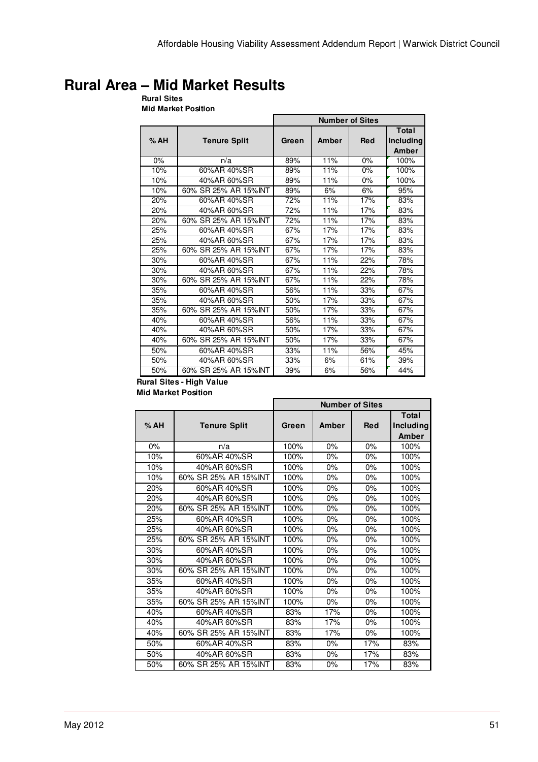# **Rural Area – Mid Market Results**

**Rural Sites Mid Market Position**

|     |                       | <b>Number of Sites</b> |       |            |                             |  |
|-----|-----------------------|------------------------|-------|------------|-----------------------------|--|
| %AH | <b>Tenure Split</b>   | Green                  | Amber | <b>Red</b> | Total<br>Including<br>Amber |  |
| 0%  | n/a                   | 89%                    | 11%   | 0%         | 100%                        |  |
| 10% | 60%AR 40%SR           | 89%                    | 11%   | 0%         | 100%                        |  |
| 10% | 40%AR 60%SR           | 89%                    | 11%   | 0%         | 100%                        |  |
| 10% | 60% SR 25% AR 15% INT | 89%                    | 6%    | 6%         | 95%                         |  |
| 20% | 60%AR 40%SR           | 72%                    | 11%   | 17%        | 83%                         |  |
| 20% | 40%AR 60%SR           | 72%                    | 11%   | 17%        | 83%                         |  |
| 20% | 60% SR 25% AR 15% INT | 72%                    | 11%   | 17%        | 83%                         |  |
| 25% | 60%AR 40%SR           | 67%                    | 17%   | 17%        | 83%                         |  |
| 25% | 40%AR 60%SR           | 67%                    | 17%   | 17%        | 83%                         |  |
| 25% | 60% SR 25% AR 15% INT | 67%                    | 17%   | 17%        | 83%                         |  |
| 30% | 60%AR 40%SR           | 67%                    | 11%   | 22%        | 78%                         |  |
| 30% | 40%AR 60%SR           | 67%                    | 11%   | 22%        | 78%                         |  |
| 30% | 60% SR 25% AR 15% INT | 67%                    | 11%   | 22%        | 78%                         |  |
| 35% | 60%AR 40%SR           | 56%                    | 11%   | 33%        | 67%                         |  |
| 35% | 40%AR 60%SR           | 50%                    | 17%   | 33%        | 67%                         |  |
| 35% | 60% SR 25% AR 15% INT | 50%                    | 17%   | 33%        | 67%                         |  |
| 40% | 60%AR 40%SR           | 56%                    | 11%   | 33%        | 67%                         |  |
| 40% | 40%AR 60%SR           | 50%                    | 17%   | 33%        | 67%                         |  |
| 40% | 60% SR 25% AR 15% INT | 50%                    | 17%   | 33%        | 67%                         |  |
| 50% | 60%AR 40%SR           | 33%                    | 11%   | 56%        | 45%                         |  |
| 50% | 40%AR 60%SR           | 33%                    | 6%    | 61%        | 39%                         |  |
| 50% | 60% SR 25% AR 15%INT  | 39%                    | 6%    | 56%        | 44%                         |  |

#### **Rural Sites - High Value Mid Market Position**

|     |                       | <b>Number of Sites</b> |       |            |                                    |  |
|-----|-----------------------|------------------------|-------|------------|------------------------------------|--|
| %AH | <b>Tenure Split</b>   | Green                  | Amber | <b>Red</b> | <b>Total</b><br>Including<br>Amber |  |
| 0%  | n/a                   | 100%                   | 0%    | 0%         | 100%                               |  |
| 10% | 60%AR 40%SR           | 100%                   | 0%    | 0%         | 100%                               |  |
| 10% | 40%AR 60%SR           | 100%                   | 0%    | 0%         | 100%                               |  |
| 10% | 60% SR 25% AR 15% INT | 100%                   | 0%    | 0%         | 100%                               |  |
| 20% | 60%AR 40%SR           | 100%                   | 0%    | $0\%$      | 100%                               |  |
| 20% | 40%AR 60%SR           | 100%                   | 0%    | 0%         | 100%                               |  |
| 20% | 60% SR 25% AR 15% INT | 100%                   | 0%    | 0%         | 100%                               |  |
| 25% | 60%AR 40%SR           | 100%                   | 0%    | $0\%$      | 100%                               |  |
| 25% | 40%AR 60%SR           | 100%                   | $0\%$ | $0\%$      | 100%                               |  |
| 25% | 60% SR 25% AR 15% INT | 100%                   | 0%    | 0%         | 100%                               |  |
| 30% | 60%AR 40%SR           | 100%                   | 0%    | 0%         | 100%                               |  |
| 30% | 40%AR 60%SR           | 100%                   | 0%    | $0\%$      | 100%                               |  |
| 30% | 60% SR 25% AR 15% INT | 100%                   | 0%    | 0%         | 100%                               |  |
| 35% | 60%AR 40%SR           | 100%                   | 0%    | 0%         | 100%                               |  |
| 35% | 40%AR 60%SR           | 100%                   | 0%    | 0%         | 100%                               |  |
| 35% | 60% SR 25% AR 15% INT | 100%                   | 0%    | 0%         | 100%                               |  |
| 40% | 60%AR 40%SR           | 83%                    | 17%   | $0\%$      | 100%                               |  |
| 40% | 40%AR 60%SR           | 83%                    | 17%   | 0%         | 100%                               |  |
| 40% | 60% SR 25% AR 15%INT  | 83%                    | 17%   | 0%         | 100%                               |  |
| 50% | 60%AR 40%SR           | 83%                    | 0%    | 17%        | 83%                                |  |
| 50% | 40%AR 60%SR           | 83%                    | 0%    | 17%        | 83%                                |  |
| 50% | 60% SR 25% AR 15% INT | 83%                    | 0%    | 17%        | 83%                                |  |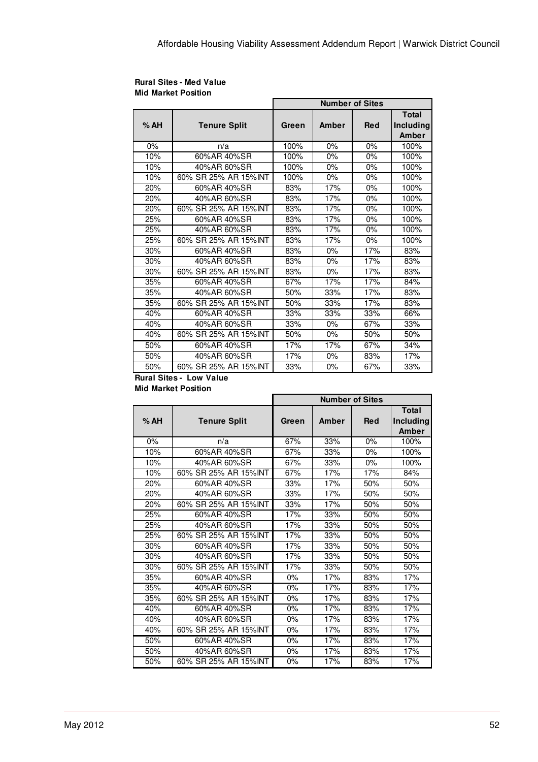| <b>Rural Sites - Med Value</b> |  |
|--------------------------------|--|
| <b>Mid Market Position</b>     |  |

|     |                       | <b>Number of Sites</b> |       |            |                                           |  |
|-----|-----------------------|------------------------|-------|------------|-------------------------------------------|--|
| %AH | <b>Tenure Split</b>   | Green                  | Amber | <b>Red</b> | <b>Total</b><br><b>Including</b><br>Amber |  |
| 0%  | n/a                   | 100%                   | 0%    | 0%         | 100%                                      |  |
| 10% | 60%AR 40%SR           | 100%                   | 0%    | 0%         | 100%                                      |  |
| 10% | 40%AR 60%SR           | 100%                   | $0\%$ | 0%         | 100%                                      |  |
| 10% | 60% SR 25% AR 15% INT | 100%                   | $0\%$ | $0\%$      | 100%                                      |  |
| 20% | 60%AR 40%SR           | 83%                    | 17%   | 0%         | 100%                                      |  |
| 20% | 40%AR 60%SR           | 83%                    | 17%   | 0%         | 100%                                      |  |
| 20% | 60% SR 25% AR 15% INT | 83%                    | 17%   | 0%         | 100%                                      |  |
| 25% | 60%AR 40%SR           | 83%                    | 17%   | 0%         | 100%                                      |  |
| 25% | 40%AR 60%SR           | 83%                    | 17%   | 0%         | 100%                                      |  |
| 25% | 60% SR 25% AR 15% INT | 83%                    | 17%   | $0\%$      | 100%                                      |  |
| 30% | 60%AR 40%SR           | 83%                    | $0\%$ | 17%        | 83%                                       |  |
| 30% | 40%AR 60%SR           | 83%                    | 0%    | 17%        | 83%                                       |  |
| 30% | 60% SR 25% AR 15%INT  | 83%                    | $0\%$ | 17%        | 83%                                       |  |
| 35% | 60%AR 40%SR           | 67%                    | 17%   | 17%        | 84%                                       |  |
| 35% | 40%AR 60%SR           | 50%                    | 33%   | 17%        | 83%                                       |  |
| 35% | 60% SR 25% AR 15%INT  | 50%                    | 33%   | 17%        | 83%                                       |  |
| 40% | 60%AR 40%SR           | 33%                    | 33%   | 33%        | 66%                                       |  |
| 40% | 40%AR 60%SR           | 33%                    | $0\%$ | 67%        | 33%                                       |  |
| 40% | 60% SR 25% AR 15%INT  | 50%                    | $0\%$ | 50%        | 50%                                       |  |
| 50% | 60%AR 40%SR           | 17%                    | 17%   | 67%        | 34%                                       |  |
| 50% | 40%AR 60%SR           | 17%                    | $0\%$ | 83%        | 17%                                       |  |
| 50% | 60% SR 25% AR 15%INT  | 33%                    | 0%    | 67%        | 33%                                       |  |

## **Rural Sites - Low Value**

**Mid Market Position**

|       |                       | <b>Number of Sites</b> |       |            |                                    |
|-------|-----------------------|------------------------|-------|------------|------------------------------------|
| %AH   | <b>Tenure Split</b>   | Green                  | Amber | <b>Red</b> | <b>Total</b><br>Including<br>Amber |
| $0\%$ | n/a                   | 67%                    | 33%   | $0\%$      | 100%                               |
| 10%   | 60%AR 40%SR           | 67%                    | 33%   | 0%         | 100%                               |
| 10%   | 40%AR 60%SR           | 67%                    | 33%   | 0%         | 100%                               |
| 10%   | 60% SR 25% AR 15% INT | 67%                    | 17%   | 17%        | 84%                                |
| 20%   | 60%AR 40%SR           | 33%                    | 17%   | 50%        | 50%                                |
| 20%   | 40%AR 60%SR           | 33%                    | 17%   | 50%        | 50%                                |
| 20%   | 60% SR 25% AR 15%INT  | 33%                    | 17%   | 50%        | 50%                                |
| 25%   | 60%AR 40%SR           | 17%                    | 33%   | 50%        | 50%                                |
| 25%   | 40%AR 60%SR           | 17%                    | 33%   | 50%        | 50%                                |
| 25%   | 60% SR 25% AR 15% INT | 17%                    | 33%   | 50%        | 50%                                |
| 30%   | 60%AR 40%SR           | 17%                    | 33%   | 50%        | 50%                                |
| 30%   | 40%AR 60%SR           | 17%                    | 33%   | 50%        | 50%                                |
| 30%   | 60% SR 25% AR 15% INT | 17%                    | 33%   | 50%        | 50%                                |
| 35%   | 60%AR 40%SR           | 0%                     | 17%   | 83%        | 17%                                |
| 35%   | 40%AR 60%SR           | 0%                     | 17%   | 83%        | 17%                                |
| 35%   | 60% SR 25% AR 15%INT  | 0%                     | 17%   | 83%        | 17%                                |
| 40%   | 60%AR 40%SR           | 0%                     | 17%   | 83%        | 17%                                |
| 40%   | 40%AR 60%SR           | $0\%$                  | 17%   | 83%        | 17%                                |
| 40%   | 60% SR 25% AR 15% INT | $0\%$                  | 17%   | 83%        | 17%                                |
| 50%   | 60%AR 40%SR           | 0%                     | 17%   | 83%        | 17%                                |
| 50%   | 40%AR 60%SR           | $0\%$                  | 17%   | 83%        | 17%                                |
| 50%   | 60% SR 25% AR 15%INT  | 0%                     | 17%   | 83%        | 17%                                |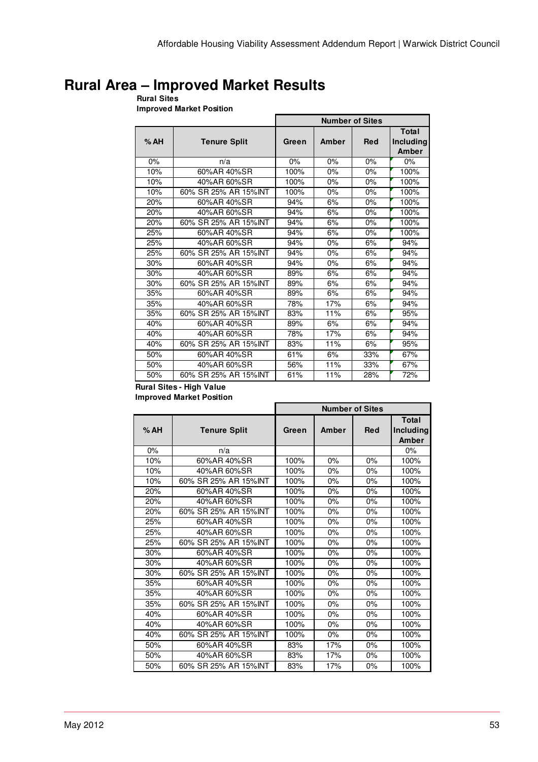## **Rural Area – Improved Market Results**

**Rural Sites Improved Market Position**

|     |                       | <b>Number of Sites</b> |       |            |                             |  |
|-----|-----------------------|------------------------|-------|------------|-----------------------------|--|
| %AH | <b>Tenure Split</b>   | Green                  | Amber | <b>Red</b> | Total<br>Including<br>Amber |  |
| 0%  | n/a                   | 0%                     | 0%    | 0%         | 0%                          |  |
| 10% | 60%AR 40%SR           | 100%                   | 0%    | 0%         | 100%                        |  |
| 10% | 40%AR 60%SR           | 100%                   | 0%    | 0%         | 100%                        |  |
| 10% | 60% SR 25% AR 15%INT  | 100%                   | 0%    | 0%         | 100%                        |  |
| 20% | 60%AR 40%SR           | 94%                    | 6%    | 0%         | 100%                        |  |
| 20% | 40%AR 60%SR           | 94%                    | 6%    | 0%         | 100%                        |  |
| 20% | 60% SR 25% AR 15% INT | 94%                    | 6%    | $0\%$      | 100%                        |  |
| 25% | 60%AR 40%SR           | 94%                    | 6%    | 0%         | 100%                        |  |
| 25% | 40%AR 60%SR           | 94%                    | 0%    | 6%         | 94%                         |  |
| 25% | 60% SR 25% AR 15% INT | 94%                    | 0%    | 6%         | 94%                         |  |
| 30% | 60%AR 40%SR           | 94%                    | 0%    | 6%         | 94%                         |  |
| 30% | 40%AR 60%SR           | 89%                    | 6%    | 6%         | 94%                         |  |
| 30% | 60% SR 25% AR 15% INT | 89%                    | 6%    | 6%         | 94%                         |  |
| 35% | 60%AR 40%SR           | 89%                    | 6%    | 6%         | 94%                         |  |
| 35% | 40%AR 60%SR           | 78%                    | 17%   | 6%         | 94%                         |  |
| 35% | 60% SR 25% AR 15% INT | 83%                    | 11%   | 6%         | 95%                         |  |
| 40% | 60%AR 40%SR           | 89%                    | 6%    | 6%         | 94%                         |  |
| 40% | 40%AR 60%SR           | 78%                    | 17%   | 6%         | 94%                         |  |
| 40% | 60% SR 25% AR 15% INT | 83%                    | 11%   | 6%         | 95%                         |  |
| 50% | 60%AR 40%SR           | 61%                    | 6%    | 33%        | 67%                         |  |
| 50% | 40%AR 60%SR           | 56%                    | 11%   | 33%        | 67%                         |  |
| 50% | 60% SR 25% AR 15% INT | 61%                    | 11%   | 28%        | 72%                         |  |

**Rural Sites - High Value Improved Market Position**

|      |                       | <b>Number of Sites</b> |       |            |                                    |
|------|-----------------------|------------------------|-------|------------|------------------------------------|
| % AH | <b>Tenure Split</b>   | Green                  | Amber | <b>Red</b> | <b>Total</b><br>Including<br>Amber |
| 0%   | n/a                   |                        |       |            | 0%                                 |
| 10%  | 60%AR 40%SR           | 100%                   | 0%    | 0%         | 100%                               |
| 10%  | 40%AR 60%SR           | 100%                   | 0%    | $0\%$      | 100%                               |
| 10%  | 60% SR 25% AR 15%INT  | 100%                   | 0%    | 0%         | 100%                               |
| 20%  | 60%AR 40%SR           | 100%                   | $0\%$ | $0\%$      | 100%                               |
| 20%  | 40%AR 60%SR           | 100%                   | 0%    | 0%         | 100%                               |
| 20%  | 60% SR 25% AR 15%INT  | 100%                   | 0%    | 0%         | 100%                               |
| 25%  | 60%AR 40%SR           | 100%                   | $0\%$ | $0\%$      | 100%                               |
| 25%  | 40%AR 60%SR           | 100%                   | $0\%$ | $0\%$      | 100%                               |
| 25%  | 60% SR 25% AR 15%INT  | 100%                   | 0%    | $0\%$      | 100%                               |
| 30%  | 60%AR 40%SR           | 100%                   | 0%    | 0%         | 100%                               |
| 30%  | 40%AR 60%SR           | 100%                   | 0%    | 0%         | 100%                               |
| 30%  | 60% SR 25% AR 15%INT  | 100%                   | $0\%$ | $0\%$      | 100%                               |
| 35%  | 60%AR 40%SR           | 100%                   | 0%    | 0%         | 100%                               |
| 35%  | 40%AR 60%SR           | 100%                   | 0%    | 0%         | 100%                               |
| 35%  | 60% SR 25% AR 15% INT | 100%                   | 0%    | $0\%$      | 100%                               |
| 40%  | 60%AR 40%SR           | 100%                   | $0\%$ | $0\%$      | 100%                               |
| 40%  | 40%AR 60%SR           | 100%                   | 0%    | $0\%$      | 100%                               |
| 40%  | 60% SR 25% AR 15% INT | 100%                   | 0%    | 0%         | 100%                               |
| 50%  | 60%AR 40%SR           | 83%                    | 17%   | 0%         | 100%                               |
| 50%  | 40%AR 60%SR           | 83%                    | 17%   | $0\%$      | 100%                               |
| 50%  | 60% SR 25% AR 15%INT  | 83%                    | 17%   | 0%         | 100%                               |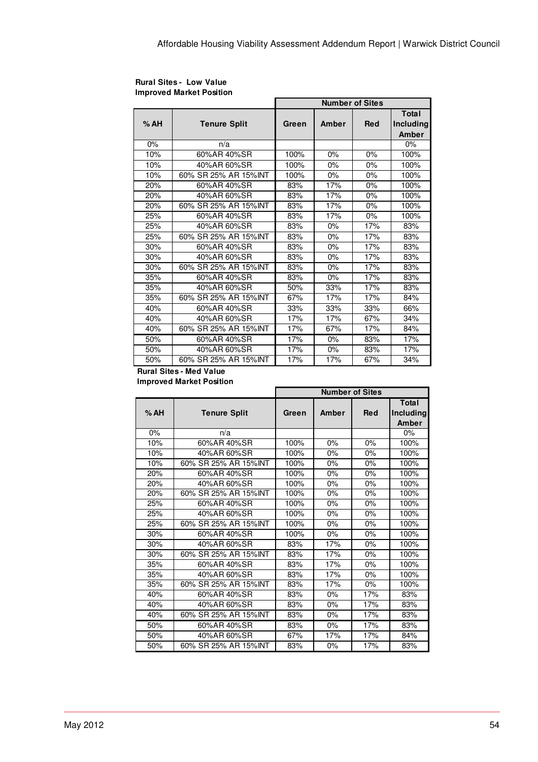|     |                       | <b>Number of Sites</b> |       |            |              |  |
|-----|-----------------------|------------------------|-------|------------|--------------|--|
|     |                       |                        |       |            | <b>Total</b> |  |
| %AH | <b>Tenure Split</b>   | Green                  | Amber | <b>Red</b> | Including    |  |
|     |                       |                        |       |            | Amber        |  |
| 0%  | n/a                   |                        |       |            | 0%           |  |
| 10% | 60%AR 40%SR           | 100%                   | 0%    | $0\%$      | 100%         |  |
| 10% | 40%AR 60%SR           | 100%                   | 0%    | $0\%$      | 100%         |  |
| 10% | 60% SR 25% AR 15%INT  | 100%                   | 0%    | $0\%$      | 100%         |  |
| 20% | 60%AR 40%SR           | 83%                    | 17%   | 0%         | 100%         |  |
| 20% | 40%AR 60%SR           | 83%                    | 17%   | $0\%$      | 100%         |  |
| 20% | 60% SR 25% AR 15% INT | 83%                    | 17%   | 0%         | 100%         |  |
| 25% | 60%AR 40%SR           | 83%                    | 17%   | $0\%$      | 100%         |  |
| 25% | 40%AR 60%SR           | 83%                    | 0%    | 17%        | 83%          |  |
| 25% | 60% SR 25% AR 15%INT  | 83%                    | 0%    | 17%        | 83%          |  |
| 30% | 60%AR 40%SR           | 83%                    | 0%    | 17%        | 83%          |  |
| 30% | 40%AR 60%SR           | 83%                    | $0\%$ | 17%        | 83%          |  |
| 30% | 60% SR 25% AR 15%INT  | 83%                    | 0%    | 17%        | 83%          |  |
| 35% | 60%AR 40%SR           | 83%                    | 0%    | 17%        | 83%          |  |
| 35% | 40%AR 60%SR           | 50%                    | 33%   | 17%        | 83%          |  |
| 35% | 60% SR 25% AR 15% INT | 67%                    | 17%   | 17%        | 84%          |  |
| 40% | 60%AR 40%SR           | 33%                    | 33%   | 33%        | 66%          |  |
| 40% | 40%AR 60%SR           | 17%                    | 17%   | 67%        | 34%          |  |
| 40% | 60% SR 25% AR 15% INT | 17%                    | 67%   | 17%        | 84%          |  |
| 50% | 60%AR 40%SR           | 17%                    | 0%    | 83%        | 17%          |  |
| 50% | 40%AR 60%SR           | 17%                    | $0\%$ | 83%        | 17%          |  |
| 50% | 60% SR 25% AR 15%INT  | 17%                    | 17%   | 67%        | 34%          |  |

#### **Rural Sites - Low Value Improved Market Position**

## **Rural Sites - Med Value**

**Improved Market Position**

|       |                       | <b>Number of Sites</b> |       |            |                                    |
|-------|-----------------------|------------------------|-------|------------|------------------------------------|
| %AH   | <b>Tenure Split</b>   | Green                  | Amber | <b>Red</b> | <b>Total</b><br>Including<br>Amber |
| $0\%$ | n/a                   |                        |       |            | 0%                                 |
| 10%   | 60%AR 40%SR           | 100%                   | 0%    | 0%         | 100%                               |
| 10%   | 40%AR 60%SR           | 100%                   | 0%    | 0%         | 100%                               |
| 10%   | 60% SR 25% AR 15%INT  | 100%                   | 0%    | 0%         | 100%                               |
| 20%   | 60%AR 40%SR           | 100%                   | 0%    | 0%         | 100%                               |
| 20%   | 40%AR 60%SR           | 100%                   | 0%    | 0%         | 100%                               |
| 20%   | 60% SR 25% AR 15%INT  | 100%                   | 0%    | 0%         | 100%                               |
| 25%   | 60%AR 40%SR           | 100%                   | 0%    | 0%         | 100%                               |
| 25%   | 40%AR 60%SR           | 100%                   | 0%    | 0%         | 100%                               |
| 25%   | 60% SR 25% AR 15% INT | 100%                   | 0%    | 0%         | 100%                               |
| 30%   | 60%AR 40%SR           | 100%                   | 0%    | 0%         | 100%                               |
| 30%   | 40%AR 60%SR           | 83%                    | 17%   | 0%         | 100%                               |
| 30%   | 60% SR 25% AR 15%INT  | 83%                    | 17%   | 0%         | 100%                               |
| 35%   | 60%AR 40%SR           | 83%                    | 17%   | 0%         | 100%                               |
| 35%   | 40%AR 60%SR           | 83%                    | 17%   | 0%         | 100%                               |
| 35%   | 60% SR 25% AR 15% INT | 83%                    | 17%   | 0%         | 100%                               |
| 40%   | 60%AR 40%SR           | 83%                    | 0%    | 17%        | 83%                                |
| 40%   | 40%AR 60%SR           | 83%                    | 0%    | 17%        | 83%                                |
| 40%   | 60% SR 25% AR 15%INT  | 83%                    | $0\%$ | 17%        | 83%                                |
| 50%   | 60%AR 40%SR           | 83%                    | 0%    | 17%        | 83%                                |
| 50%   | 40%AR 60%SR           | 67%                    | 17%   | 17%        | 84%                                |
| 50%   | 60% SR 25% AR 15%INT  | 83%                    | 0%    | 17%        | 83%                                |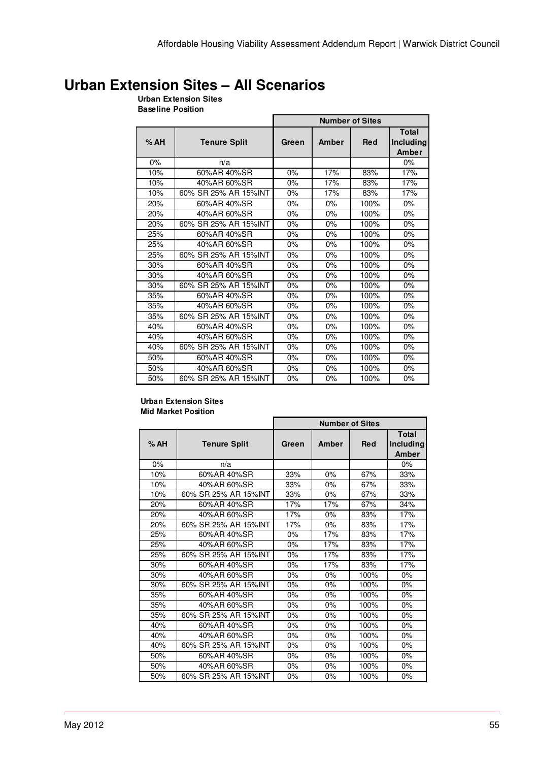## **Urban Extension Sites – All Scenarios**

### **Urban Extension Sites**

**Baseline Position**

|     |                       | <b>Number of Sites</b> |       |            |                                    |  |
|-----|-----------------------|------------------------|-------|------------|------------------------------------|--|
| %AH | <b>Tenure Split</b>   | Green                  | Amber | <b>Red</b> | <b>Total</b><br>Including<br>Amber |  |
| 0%  | n/a                   |                        |       |            | $0\%$                              |  |
| 10% | 60%AR 40%SR           | 0%                     | 17%   | 83%        | 17%                                |  |
| 10% | 40%AR 60%SR           | 0%                     | 17%   | 83%        | 17%                                |  |
| 10% | 60% SR 25% AR 15% INT | $0\%$                  | 17%   | 83%        | 17%                                |  |
| 20% | 60%AR 40%SR           | $0\%$                  | $0\%$ | 100%       | $0\%$                              |  |
| 20% | 40%AR 60%SR           | $0\%$                  | $0\%$ | 100%       | 0%                                 |  |
| 20% | 60% SR 25% AR 15% INT | 0%                     | 0%    | 100%       | 0%                                 |  |
| 25% | 60%AR 40%SR           | $0\%$                  | 0%    | 100%       | 0%                                 |  |
| 25% | 40%AR 60%SR           | $0\%$                  | 0%    | 100%       | $0\%$                              |  |
| 25% | 60% SR 25% AR 15% INT | $0\%$                  | 0%    | 100%       | 0%                                 |  |
| 30% | 60%AR 40%SR           | 0%                     | 0%    | 100%       | $0\%$                              |  |
| 30% | 40%AR 60%SR           | $0\%$                  | 0%    | 100%       | $0\%$                              |  |
| 30% | 60% SR 25% AR 15% INT | $0\%$                  | $0\%$ | 100%       | 0%                                 |  |
| 35% | 60%AR 40%SR           | 0%                     | 0%    | 100%       | 0%                                 |  |
| 35% | 40%AR 60%SR           | $0\%$                  | 0%    | 100%       | 0%                                 |  |
| 35% | 60% SR 25% AR 15% INT | 0%                     | 0%    | 100%       | 0%                                 |  |
| 40% | 60%AR 40%SR           | 0%                     | 0%    | 100%       | 0%                                 |  |
| 40% | 40%AR 60%SR           | $0\%$                  | 0%    | 100%       | 0%                                 |  |
| 40% | 60% SR 25% AR 15%INT  | $0\%$                  | $0\%$ | 100%       | 0%                                 |  |
| 50% | 60%AR 40%SR           | $0\%$                  | 0%    | 100%       | 0%                                 |  |
| 50% | 40%AR 60%SR           | $0\%$                  | $0\%$ | 100%       | $0\%$                              |  |
| 50% | 60% SR 25% AR 15% INT | 0%                     | 0%    | 100%       | 0%                                 |  |

#### **Urban Extension Sites Mid Market Position**

|     |                       | <b>Number of Sites</b> |       |            |                                    |  |
|-----|-----------------------|------------------------|-------|------------|------------------------------------|--|
| %AH | <b>Tenure Split</b>   | Green                  | Amber | <b>Red</b> | <b>Total</b><br>Including<br>Amber |  |
| 0%  | n/a                   |                        |       |            | 0%                                 |  |
| 10% | 60%AR 40%SR           | 33%                    | 0%    | 67%        | 33%                                |  |
| 10% | 40%AR 60%SR           | 33%                    | 0%    | 67%        | 33%                                |  |
| 10% | 60% SR 25% AR 15% INT | 33%                    | $0\%$ | 67%        | 33%                                |  |
| 20% | 60%AR 40%SR           | 17%                    | 17%   | 67%        | 34%                                |  |
| 20% | 40%AR 60%SR           | 17%                    | 0%    | 83%        | 17%                                |  |
| 20% | 60% SR 25% AR 15% INT | 17%                    | $0\%$ | 83%        | 17%                                |  |
| 25% | 60%AR 40%SR           | 0%                     | 17%   | 83%        | 17%                                |  |
| 25% | 40%AR 60%SR           | 0%                     | 17%   | 83%        | 17%                                |  |
| 25% | 60% SR 25% AR 15% INT | 0%                     | 17%   | 83%        | 17%                                |  |
| 30% | 60%AR 40%SR           | 0%                     | 17%   | 83%        | 17%                                |  |
| 30% | 40%AR 60%SR           | 0%                     | $0\%$ | 100%       | 0%                                 |  |
| 30% | 60% SR 25% AR 15%INT  | 0%                     | 0%    | 100%       | 0%                                 |  |
| 35% | 60%AR 40%SR           | 0%                     | $0\%$ | 100%       | 0%                                 |  |
| 35% | 40%AR 60%SR           | 0%                     | 0%    | 100%       | 0%                                 |  |
| 35% | 60% SR 25% AR 15% INT | 0%                     | $0\%$ | 100%       | 0%                                 |  |
| 40% | 60%AR 40%SR           | 0%                     | 0%    | 100%       | 0%                                 |  |
| 40% | 40%AR 60%SR           | 0%                     | 0%    | 100%       | 0%                                 |  |
| 40% | 60% SR 25% AR 15% INT | 0%                     | 0%    | 100%       | 0%                                 |  |
| 50% | 60%AR 40%SR           | 0%                     | 0%    | 100%       | 0%                                 |  |
| 50% | 40%AR 60%SR           | 0%                     | 0%    | 100%       | 0%                                 |  |
| 50% | 60% SR 25% AR 15% INT | 0%                     | 0%    | 100%       | 0%                                 |  |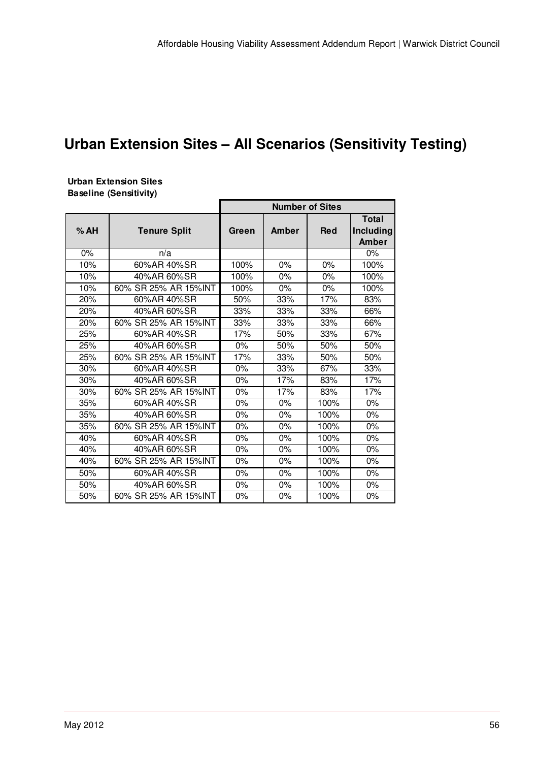# **Urban Extension Sites – All Scenarios (Sensitivity Testing)**

#### **Urban Extension Sites Baseline (Sensitivity)**

|     |                       | <b>Number of Sites</b> |       |            |                                           |  |
|-----|-----------------------|------------------------|-------|------------|-------------------------------------------|--|
| %AH | <b>Tenure Split</b>   | Green                  | Amber | <b>Red</b> | <b>Total</b><br>Including<br><b>Amber</b> |  |
| 0%  | n/a                   |                        |       |            | $0\%$                                     |  |
| 10% | 60%AR 40%SR           | 100%                   | 0%    | 0%         | 100%                                      |  |
| 10% | 40%AR 60%SR           | 100%                   | 0%    | 0%         | 100%                                      |  |
| 10% | 60% SR 25% AR 15%INT  | 100%                   | 0%    | 0%         | 100%                                      |  |
| 20% | 60%AR 40%SR           | 50%                    | 33%   | 17%        | 83%                                       |  |
| 20% | 40%AR 60%SR           | 33%                    | 33%   | 33%        | 66%                                       |  |
| 20% | 60% SR 25% AR 15%INT  | 33%                    | 33%   | 33%        | 66%                                       |  |
| 25% | 60%AR 40%SR           | 17%                    | 50%   | 33%        | 67%                                       |  |
| 25% | 40%AR 60%SR           | 0%                     | 50%   | 50%        | 50%                                       |  |
| 25% | 60% SR 25% AR 15%INT  | 17%                    | 33%   | 50%        | 50%                                       |  |
| 30% | 60%AR 40%SR           | 0%                     | 33%   | 67%        | 33%                                       |  |
| 30% | 40%AR 60%SR           | 0%                     | 17%   | 83%        | 17%                                       |  |
| 30% | 60% SR 25% AR 15%INT  | 0%                     | 17%   | 83%        | 17%                                       |  |
| 35% | 60%AR 40%SR           | 0%                     | 0%    | 100%       | 0%                                        |  |
| 35% | 40%AR 60%SR           | $0\%$                  | $0\%$ | 100%       | $0\%$                                     |  |
| 35% | 60% SR 25% AR 15%INT  | $0\%$                  | 0%    | 100%       | 0%                                        |  |
| 40% | 60%AR 40%SR           | $0\%$                  | 0%    | 100%       | 0%                                        |  |
| 40% | 40%AR 60%SR           | 0%                     | 0%    | 100%       | 0%                                        |  |
| 40% | 60% SR 25% AR 15%INT  | $0\%$                  | $0\%$ | 100%       | $0\%$                                     |  |
| 50% | 60%AR 40%SR           | 0%                     | 0%    | 100%       | 0%                                        |  |
| 50% | 40%AR 60%SR           | $0\%$                  | $0\%$ | 100%       | 0%                                        |  |
| 50% | 60% SR 25% AR 15% INT | 0%                     | 0%    | 100%       | 0%                                        |  |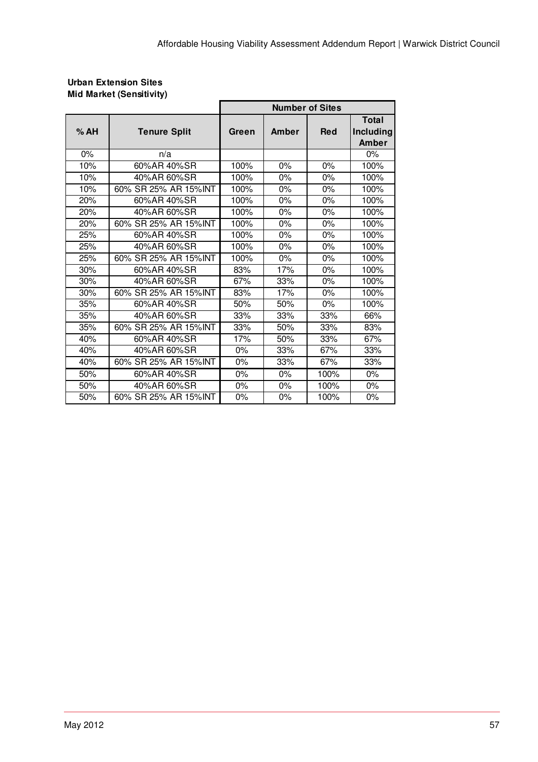#### **Urban Extension Sites Mid Market (Sensitivity)**

|       |                      | <b>Number of Sites</b> |       |            |                                    |
|-------|----------------------|------------------------|-------|------------|------------------------------------|
| %AH   | <b>Tenure Split</b>  | Green                  | Amber | <b>Red</b> | <b>Total</b><br>Including<br>Amber |
| $0\%$ | n/a                  |                        |       |            | 0%                                 |
| 10%   | 60%AR 40%SR          | 100%                   | 0%    | 0%         | 100%                               |
| 10%   | 40%AR 60%SR          | 100%                   | $0\%$ | $0\%$      | 100%                               |
| 10%   | 60% SR 25% AR 15%INT | 100%                   | 0%    | 0%         | 100%                               |
| 20%   | 60%AR 40%SR          | 100%                   | 0%    | 0%         | 100%                               |
| 20%   | 40%AR 60%SR          | 100%                   | 0%    | 0%         | 100%                               |
| 20%   | 60% SR 25% AR 15%INT | 100%                   | $0\%$ | 0%         | 100%                               |
| 25%   | 60%AR 40%SR          | 100%                   | 0%    | 0%         | 100%                               |
| 25%   | 40%AR 60%SR          | 100%                   | $0\%$ | $0\%$      | 100%                               |
| 25%   | 60% SR 25% AR 15%INT | 100%                   | 0%    | 0%         | 100%                               |
| 30%   | 60%AR 40%SR          | 83%                    | 17%   | 0%         | 100%                               |
| 30%   | 40%AR 60%SR          | 67%                    | 33%   | 0%         | 100%                               |
| 30%   | 60% SR 25% AR 15%INT | 83%                    | 17%   | $0\%$      | 100%                               |
| 35%   | 60%AR 40%SR          | 50%                    | 50%   | 0%         | 100%                               |
| 35%   | 40%AR 60%SR          | 33%                    | 33%   | 33%        | 66%                                |
| 35%   | 60% SR 25% AR 15%INT | 33%                    | 50%   | 33%        | 83%                                |
| 40%   | 60%AR 40%SR          | 17%                    | 50%   | 33%        | 67%                                |
| 40%   | 40%AR 60%SR          | 0%                     | 33%   | 67%        | 33%                                |
| 40%   | 60% SR 25% AR 15%INT | $0\%$                  | 33%   | 67%        | 33%                                |
| 50%   | 60%AR 40%SR          | 0%                     | 0%    | 100%       | 0%                                 |
| 50%   | 40%AR 60%SR          | 0%                     | $0\%$ | 100%       | $0\%$                              |
| 50%   | 60% SR 25% AR 15%INT | 0%                     | 0%    | 100%       | 0%                                 |